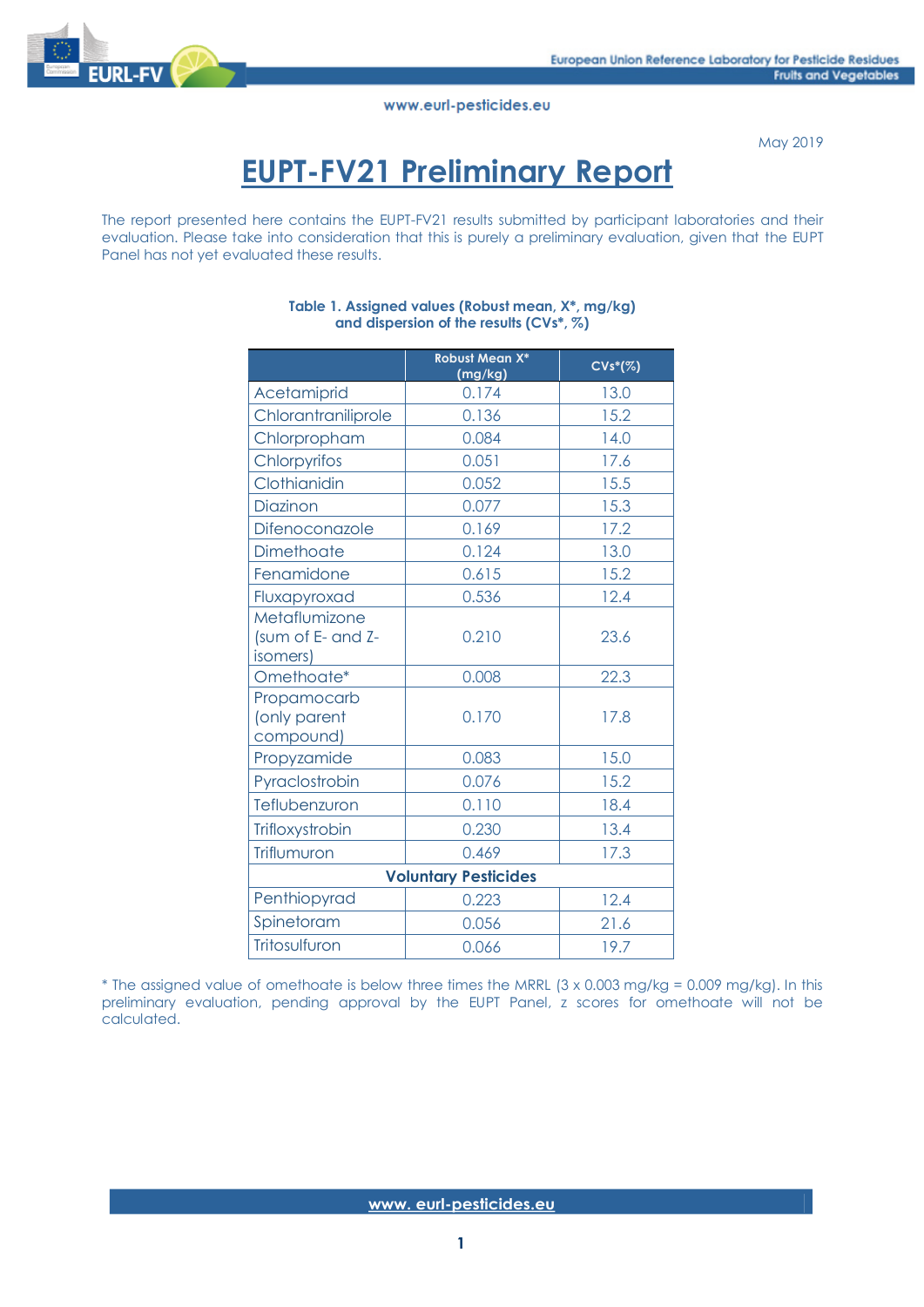

May 2019

# **EUPT-FV21 Preliminary Report**

The report presented here contains the EUPT-FV21 results submitted by participant laboratories and their evaluation. Please take into consideration that this is purely a preliminary evaluation, given that the EUPT Panel has not yet evaluated these results.

|                                                | <b>Robust Mean X*</b><br>(mg/kg) | $CVs*(\%)$ |
|------------------------------------------------|----------------------------------|------------|
| Acetamiprid                                    | 0.174                            | 13.0       |
| Chlorantraniliprole                            | 0.136                            | 15.2       |
| Chlorpropham                                   | 0.084                            | 14.0       |
| Chlorpyrifos                                   | 0.051                            | 17.6       |
| Clothianidin                                   | 0.052                            | 15.5       |
| Diazinon                                       | 0.077                            | 15.3       |
| Difenoconazole                                 | 0.169                            | 17.2       |
| Dimethoate                                     | 0.124                            | 13.0       |
| Fenamidone                                     | 0.615                            | 15.2       |
| Fluxapyroxad                                   | 0.536                            | 12.4       |
| Metaflumizone<br>(sum of E- and Z-<br>isomers) | 0.210                            | 23.6       |
| Omethoate*                                     | 0.008                            | 22.3       |
| Propamocarb<br>(only parent<br>compound)       | 0.170                            | 17.8       |
| Propyzamide                                    | 0.083                            | 15.0       |
| Pyraclostrobin                                 | 0.076                            | 15.2       |
| Teflubenzuron                                  | 0.110                            | 18.4       |
| Trifloxystrobin                                | 0.230                            | 13.4       |
| Triflumuron                                    | 0.469                            | 17.3       |
|                                                | <b>Voluntary Pesticides</b>      |            |
| Penthiopyrad                                   | 0.223                            | 12.4       |
| Spinetoram                                     | 0.056                            | 21.6       |
| Tritosulfuron                                  | 0.066                            | 19.7       |

#### **Table 1. Assigned values (Robust mean, X\*, mg/kg) and dispersion of the results (CVs\*, %)**

\* The assigned value of omethoate is below three times the MRRL (3 x 0.003 mg/kg = 0.009 mg/kg). In this preliminary evaluation, pending approval by the EUPT Panel, z scores for omethoate will not be calculated.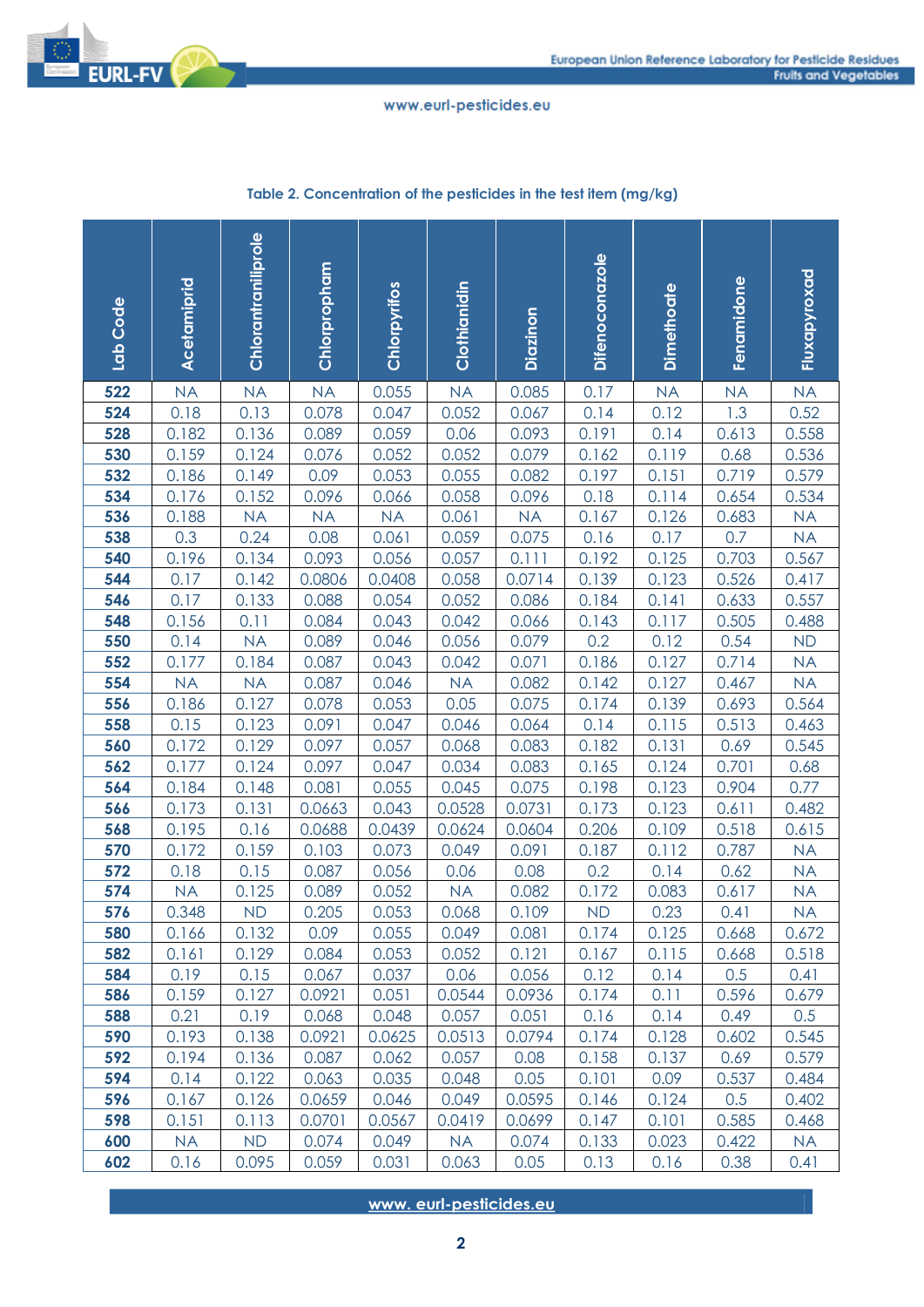

| Code<br>$\frac{1}{a}$ | Acetamiprid   | Chlorantraniliprole | Chlorpropham   | Chlorpyrifos   | Clothianidin   | Diazinon     | <b>Difenoconazole</b> | <b>Dimethoate</b> | Fenamidone    | Fluxapyroxad   |
|-----------------------|---------------|---------------------|----------------|----------------|----------------|--------------|-----------------------|-------------------|---------------|----------------|
| 522                   | <b>NA</b>     | <b>NA</b>           | <b>NA</b>      | 0.055          | <b>NA</b>      | 0.085        | 0.17                  | <b>NA</b>         | <b>NA</b>     | <b>NA</b>      |
| 524                   | 0.18          | 0.13                | 0.078          | 0.047          | 0.052          | 0.067        | 0.14                  | 0.12              | 1.3           | 0.52           |
| 528                   | 0.182         | 0.136               | 0.089          | 0.059          | 0.06           | 0.093        | 0.191                 | 0.14              | 0.613         | 0.558          |
| 530                   | 0.159         | 0.124               | 0.076          | 0.052          | 0.052          | 0.079        | 0.162                 | 0.119             | 0.68          | 0.536          |
| 532                   | 0.186         | 0.149               | 0.09           | 0.053          | 0.055          | 0.082        | 0.197                 | 0.151             | 0.719         | 0.579          |
| 534                   | 0.176         | 0.152               | 0.096          | 0.066          | 0.058          | 0.096        | 0.18                  | 0.114             | 0.654         | 0.534          |
| 536                   | 0.188         | <b>NA</b>           | <b>NA</b>      | <b>NA</b>      | 0.061          | <b>NA</b>    | 0.167                 | 0.126             | 0.683         | <b>NA</b>      |
| 538                   | 0.3           | 0.24                | 0.08           | 0.061          | 0.059          | 0.075        | 0.16                  | 0.17              | 0.7           | <b>NA</b>      |
| 540                   | 0.196         | 0.134               | 0.093          | 0.056          | 0.057          | 0.111        | 0.192                 | 0.125             | 0.703         | 0.567          |
| 544                   | 0.17          | 0.142               | 0.0806         | 0.0408         | 0.058          | 0.0714       | 0.139                 | 0.123             | 0.526         | 0.417          |
| 546                   | 0.17          | 0.133               | 0.088          | 0.054          | 0.052          | 0.086        | 0.184                 | 0.141             | 0.633         | 0.557          |
| 548                   | 0.156         | 0.11                | 0.084          | 0.043          | 0.042          | 0.066        | 0.143                 | 0.117             | 0.505         | 0.488          |
| 550                   | 0.14          | <b>NA</b>           | 0.089          | 0.046          | 0.056          | 0.079        | 0.2                   | 0.12              | 0.54          | <b>ND</b>      |
| 552                   | 0.177         | 0.184               | 0.087          | 0.043          | 0.042          | 0.071        | 0.186                 | 0.127             | 0.714         | <b>NA</b>      |
| 554                   | <b>NA</b>     | <b>NA</b>           | 0.087          | 0.046          | <b>NA</b>      | 0.082        | 0.142                 | 0.127             | 0.467         | <b>NA</b>      |
| 556                   | 0.186         | 0.127               | 0.078          | 0.053          | 0.05           | 0.075        | 0.174                 | 0.139             | 0.693         | 0.564          |
| 558                   | 0.15          | 0.123               | 0.091          | 0.047          | 0.046          | 0.064        | 0.14                  | 0.115             | 0.513         | 0.463          |
| 560                   | 0.172         | 0.129               | 0.097          | 0.057          | 0.068          | 0.083        | 0.182                 | 0.131             | 0.69          | 0.545          |
| 562                   | 0.177         | 0.124               | 0.097          | 0.047          | 0.034          | 0.083        | 0.165                 | 0.124             | 0.701         | 0.68           |
| 564                   | 0.184         | 0.148               | 0.081          | 0.055          | 0.045          | 0.075        | 0.198                 | 0.123             | 0.904         | 0.77           |
| 566                   | 0.173         | 0.131               | 0.0663         | 0.043          | 0.0528         | 0.0731       | 0.173                 | 0.123             | 0.611         | 0.482          |
| 568                   | 0.195         | 0.16                | 0.0688         | 0.0439         | 0.0624         | 0.0604       | 0.206                 | 0.109             | 0.518         | 0.615          |
| 570                   | 0.172         | 0.159               | 0.103          | 0.073          | 0.049          | 0.091        | 0.187                 | 0.112             | 0.787         | <b>NA</b>      |
| 572                   | 0.18          | 0.15                | 0.087          | 0.056          | 0.06           | 0.08         | 0.2                   | 0.14              | 0.62          | <b>NA</b>      |
| 574                   | <b>NA</b>     | 0.125               | 0.089          | 0.052          | <b>NA</b>      | 0.082        | 0.172                 | 0.083             | 0.617         | <b>NA</b>      |
| 576                   | 0.348         | <b>ND</b>           | 0.205          | 0.053          | 0.068          | 0.109        | <b>ND</b>             | 0.23              | 0.41          | <b>NA</b>      |
| 580                   | 0.166         | 0.132               | 0.09           | 0.055          | 0.049          | 0.081        | 0.174                 | 0.125             | 0.668         | 0.672          |
| 582                   | 0.161         | 0.129               | 0.084          | 0.053          | 0.052          | 0.121        | 0.167                 | 0.115             | 0.668         | 0.518          |
| 584                   | 0.19          | 0.15                | 0.067          | 0.037          | 0.06           | 0.056        | 0.12                  | 0.14              | 0.5           | 0.41           |
| 586<br>588            | 0.159         | 0.127               | 0.0921         | 0.051<br>0.048 | 0.0544         | 0.0936       | 0.174<br>0.16         | 0.11              | 0.596         | 0.679          |
|                       | 0.21          | 0.19                | 0.068          |                | 0.057          | 0.051        |                       | 0.14              | 0.49          | 0.5            |
| 590                   | 0.193         | 0.138               | 0.0921         | 0.0625         | 0.0513         | 0.0794       | 0.174                 | 0.128             | 0.602         | 0.545          |
| 592<br>594            | 0.194<br>0.14 | 0.136<br>0.122      | 0.087<br>0.063 | 0.062<br>0.035 | 0.057<br>0.048 | 0.08<br>0.05 | 0.158<br>0.101        | 0.137<br>0.09     | 0.69<br>0.537 | 0.579<br>0.484 |
| 596                   | 0.167         | 0.126               | 0.0659         | 0.046          | 0.049          | 0.0595       | 0.146                 | 0.124             | 0.5           | 0.402          |
| 598                   | 0.151         | 0.113               | 0.0701         | 0.0567         | 0.0419         | 0.0699       | 0.147                 | 0.101             | 0.585         | 0.468          |
| 600                   | <b>NA</b>     | <b>ND</b>           | 0.074          | 0.049          | <b>NA</b>      | 0.074        | 0.133                 | 0.023             | 0.422         | <b>NA</b>      |
| 602                   | 0.16          | 0.095               | 0.059          | 0.031          | 0.063          | 0.05         | 0.13                  | 0.16              | 0.38          | 0.41           |

# **Table 2. Concentration of the pesticides in the test item (mg/kg)**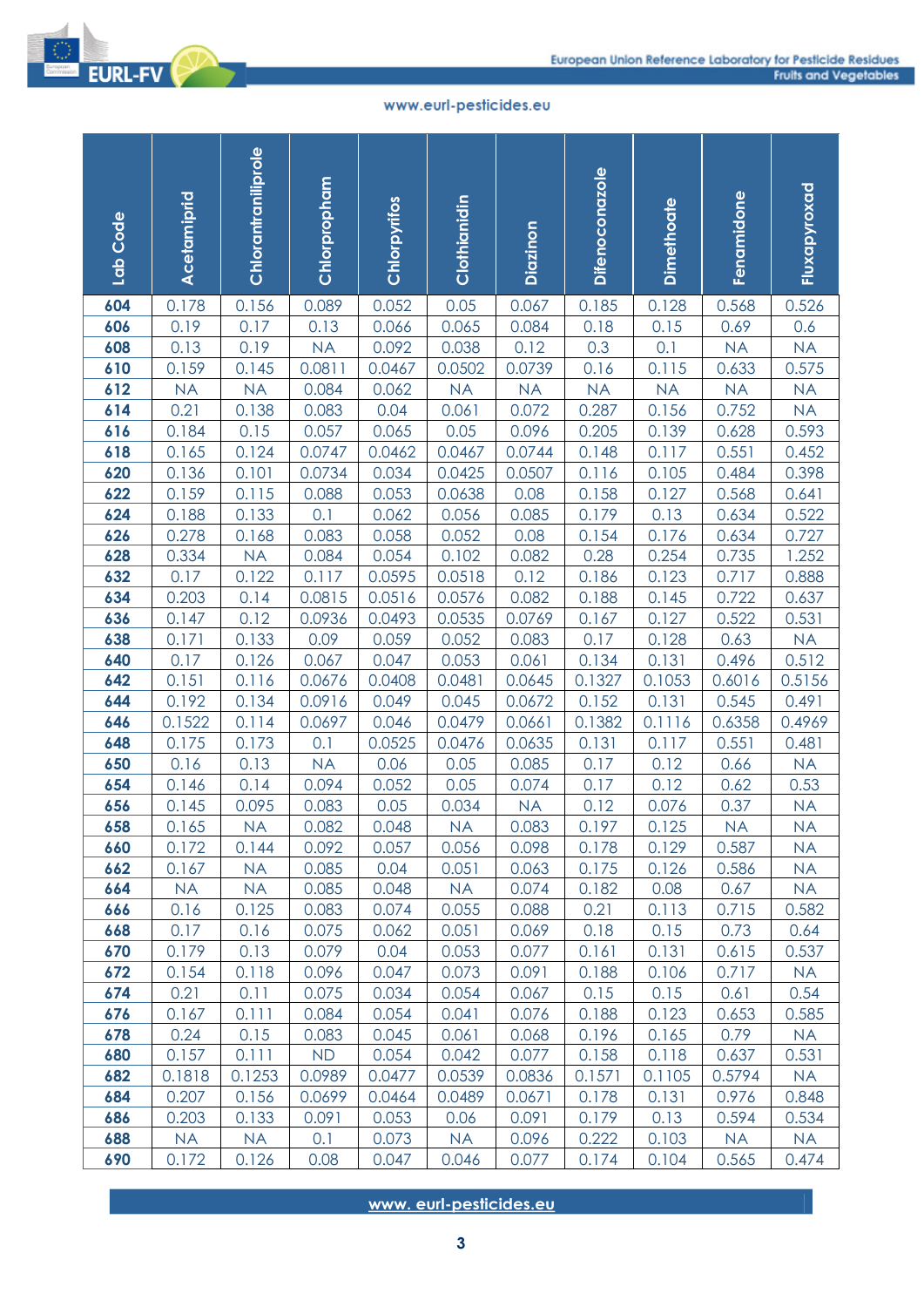

| Lab Code   | Acetamiprid   | Chlorantraniliprole | Chlorpropham    | Chlorpyrifos     | Clothianidin                           | Diazinon       | Difenoconazole | Dimethoate     | Fenamidone     | Fluxapyroxad      |
|------------|---------------|---------------------|-----------------|------------------|----------------------------------------|----------------|----------------|----------------|----------------|-------------------|
| 604        | 0.178         | 0.156               | 0.089           | 0.052            | 0.05                                   | 0.067          | 0.185          | 0.128          | 0.568          | 0.526             |
| 606        | 0.19          | 0.17                | 0.13            | 0.066            | 0.065                                  | 0.084          | 0.18           | 0.15           | 0.69           | 0.6               |
| 608        | 0.13          | 0.19                | <b>NA</b>       | 0.092            | 0.038                                  | 0.12           | 0.3            | 0.1            | <b>NA</b>      | <b>NA</b>         |
| 610        | 0.159         | 0.145               | 0.0811          | 0.0467           | 0.0502                                 | 0.0739         | 0.16           | 0.115          | 0.633          | 0.575             |
| 612        | <b>NA</b>     | <b>NA</b>           | 0.084           | 0.062            | <b>NA</b>                              | <b>NA</b>      | <b>NA</b>      | <b>NA</b>      | <b>NA</b>      | <b>NA</b>         |
| 614        | 0.21          | 0.138               | 0.083           | 0.04             | 0.061                                  | 0.072          | 0.287          | 0.156          | 0.752          | <b>NA</b>         |
| 616        | 0.184         | 0.15                | 0.057           | 0.065            | 0.05                                   | 0.096          | 0.205          | 0.139          | 0.628          | 0.593             |
| 618        | 0.165         | 0.124               | 0.0747          | 0.0462           | 0.0467                                 | 0.0744         | 0.148          | 0.117          | 0.551          | 0.452             |
| 620        | 0.136         | 0.101               | 0.0734          | 0.034            | 0.0425                                 | 0.0507         | 0.116          | 0.105          | 0.484          | 0.398             |
| 622        | 0.159         | 0.115               | 0.088           | 0.053            | 0.0638                                 | 0.08           | 0.158          | 0.127          | 0.568          | 0.641             |
| 624        | 0.188         | 0.133               | 0.1             | 0.062            | 0.056                                  | 0.085          | 0.179          | 0.13           | 0.634          | 0.522             |
| 626        | 0.278         | 0.168               | 0.083           | 0.058            | 0.052                                  | 0.08           | 0.154          | 0.176          | 0.634          | 0.727             |
| 628        | 0.334         | <b>NA</b><br>0.122  | 0.084           | 0.054            | 0.102                                  | 0.082          | 0.28           | 0.254          | 0.735          | 1.252             |
| 632<br>634 | 0.17<br>0.203 | 0.14                | 0.117<br>0.0815 | 0.0595<br>0.0516 | 0.0518<br>0.0576                       | 0.12<br>0.082  | 0.186<br>0.188 | 0.123<br>0.145 | 0.717<br>0.722 | 0.888<br>0.637    |
| 636        | 0.147         | 0.12                | 0.0936          | 0.0493           | 0.0535                                 | 0.0769         | 0.167          | 0.127          | 0.522          | 0.531             |
| 638        | 0.171         | 0.133               | 0.09            | 0.059            | 0.052                                  | 0.083          | 0.17           | 0.128          | 0.63           | <b>NA</b>         |
| 640        | 0.17          | 0.126               | 0.067           | 0.047            | 0.053                                  | 0.061          | 0.134          | 0.131          | 0.496          | 0.512             |
| 642        | 0.151         | 0.116               | 0.0676          | 0.0408           | 0.0481                                 | 0.0645         | 0.1327         | 0.1053         | 0.6016         | 0.5156            |
| 644        | 0.192         | 0.134               | 0.0916          | 0.049            | 0.045                                  | 0.0672         | 0.152          | 0.131          | 0.545          | 0.491             |
| 646        | 0.1522        | 0.114               | 0.0697          | 0.046            | 0.0479                                 | 0.0661         | 0.1382         | 0.1116         | 0.6358         | 0.4969            |
| 648        | 0.175         | 0.173               | 0.1             | 0.0525           | 0.0476                                 | 0.0635         | 0.131          | 0.117          | 0.551          | 0.481             |
| 650        | 0.16          | 0.13                | <b>NA</b>       | 0.06             | 0.05                                   | 0.085          | 0.17           | 0.12           | 0.66           | <b>NA</b>         |
| 654        | 0.146         | 0.14                | 0.094           | 0.052            | 0.05                                   | 0.074          | 0.17           | 0.12           | 0.62           | 0.53              |
| 656        | 0.145         | 0.095               | 0.083           | 0.05             | 0.034                                  | <b>NA</b>      | 0.12           | 0.076          | 0.37           | <b>NA</b>         |
| 658        | 0.165         | NA                  | 0.082           | 0.048            | NA                                     | 0.083          | 0.197          | 0.125          | NA             | <b>NA</b>         |
| 660        | 0.172         | 0.144               | 0.092           | 0.057            | 0.056                                  | 0.098          | 0.178          | 0.129          | 0.587          | <b>NA</b>         |
| 662        | 0.167         | <b>NA</b>           | 0.085           | 0.04             | 0.051                                  | 0.063          | 0.175          | 0.126          | 0.586          | <b>NA</b>         |
| 664        | <b>NA</b>     | <b>NA</b>           | 0.085           | 0.048            | <b>NA</b>                              | 0.074          | 0.182          | 0.08           | 0.67           | <b>NA</b>         |
| 666        | 0.16          | 0.125               | 0.083           | 0.074            | 0.055                                  | 0.088          | 0.21           | 0.113          | 0.715          | 0.582             |
| 668        | 0.17          | 0.16                | 0.075           | 0.062            | 0.051                                  | 0.069          | 0.18           | 0.15           | 0.73           | 0.64              |
| 670<br>672 | 0.179         | 0.13                | 0.079           | 0.04<br>0.047    | 0.053<br>0.073                         | 0.077          | 0.161          | 0.131          | 0.615<br>0.717 | 0.537             |
| 674        | 0.154<br>0.21 | 0.118<br>0.11       | 0.096<br>0.075  | 0.034            | 0.054                                  | 0.091<br>0.067 | 0.188<br>0.15  | 0.106<br>0.15  | 0.61           | <b>NA</b><br>0.54 |
| 676        | 0.167         | 0.111               | 0.084           | 0.054            | 0.041                                  | 0.076          | 0.188          | 0.123          | 0.653          | 0.585             |
| 678        | 0.24          | 0.15                | 0.083           | 0.045            | 0.061                                  | 0.068          | 0.196          | 0.165          | 0.79           | <b>NA</b>         |
| 680        | 0.157         | 0.111               | <b>ND</b>       | 0.054            | 0.042                                  | 0.077          | 0.158          | 0.118          | 0.637          | 0.531             |
| 682        | 0.1818        | 0.1253              | 0.0989          | 0.0477           | 0.0539                                 | 0.0836         | 0.1571         | 0.1105         | 0.5794         | <b>NA</b>         |
| 684        | 0.207         | 0.156               | 0.0699          | 0.0464           | 0.0489                                 | 0.0671         | 0.178          | 0.131          | 0.976          | 0.848             |
| 686        | 0.203         | 0.133               | 0.091           | 0.053            | 0.06                                   | 0.091          | 0.179          | 0.13           | 0.594          | 0.534             |
| 688        | <b>NA</b>     | <b>NA</b>           | 0.1             | 0.073            | <b>NA</b>                              | 0.096          | 0.222          | 0.103          | <b>NA</b>      | <b>NA</b>         |
| 690        | 0.172         | 0.126               | 0.08            | 0.047            | 0.046                                  | 0.077          | 0.174          | 0.104          | 0.565          | 0.474             |
|            |               |                     |                 |                  | www.eurl-pesticides.eu<br>$\mathbf{3}$ |                |                |                |                |                   |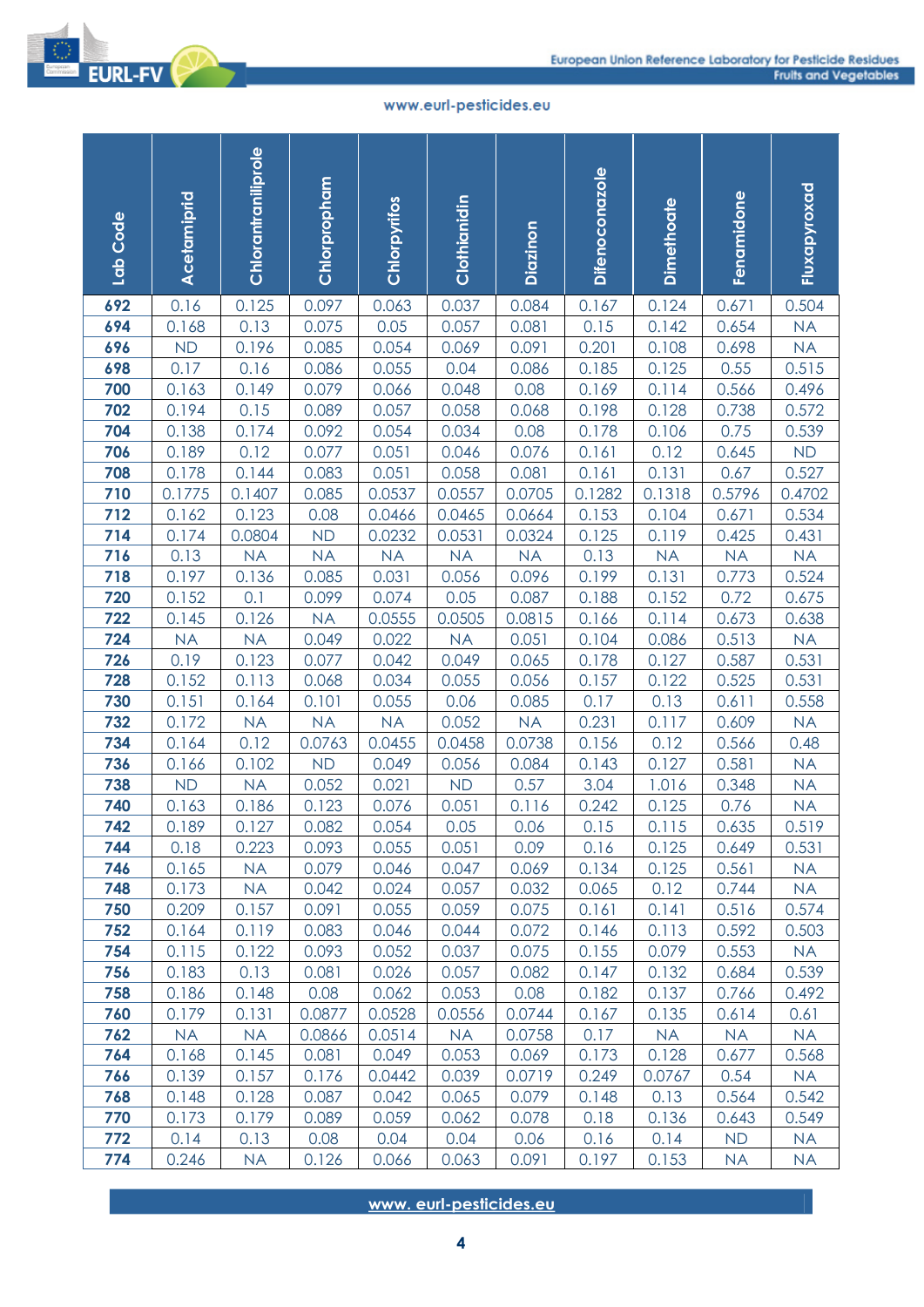

| Lab Code   | Acetamiprid     | Chlorantraniliprole | Chlorpropham   | Chlorpyrifos     | Clothianidin                | Diazinon         | <b>Difenoconazole</b> | Dimethoate      | Fenamidone      | Fluxapyroxad    |
|------------|-----------------|---------------------|----------------|------------------|-----------------------------|------------------|-----------------------|-----------------|-----------------|-----------------|
| 692        | 0.16            | 0.125               | 0.097          | 0.063            | 0.037                       | 0.084            | 0.167                 | 0.124           | 0.671           | 0.504           |
| 694        | 0.168           | 0.13                | 0.075          | 0.05             | 0.057                       | 0.081            | 0.15                  | 0.142           | 0.654           | <b>NA</b>       |
| 696        | <b>ND</b>       | 0.196               | 0.085          | 0.054            | 0.069                       | 0.091            | 0.201                 | 0.108           | 0.698           | <b>NA</b>       |
| 698        | 0.17            | 0.16                | 0.086          | 0.055            | 0.04                        | 0.086            | 0.185                 | 0.125           | 0.55            | 0.515           |
| 700        | 0.163           | 0.149               | 0.079          | 0.066            | 0.048                       | 0.08             | 0.169                 | 0.114           | 0.566           | 0.496           |
| 702        | 0.194           | 0.15                | 0.089          | 0.057            | 0.058                       | 0.068            | 0.198                 | 0.128           | 0.738           | 0.572           |
| 704        | 0.138           | 0.174               | 0.092          | 0.054            | 0.034                       | 0.08             | 0.178                 | 0.106           | 0.75            | 0.539           |
| 706        | 0.189           | 0.12                | 0.077          | 0.051            | 0.046                       | 0.076            | 0.161                 | 0.12            | 0.645           | <b>ND</b>       |
| 708<br>710 | 0.178           | 0.144               | 0.083          | 0.051            | 0.058                       | 0.081            | 0.161                 | 0.131           | 0.67            | 0.527           |
| 712        | 0.1775<br>0.162 | 0.1407<br>0.123     | 0.085<br>0.08  | 0.0537           | 0.0557<br>0.0465            | 0.0705<br>0.0664 | 0.1282<br>0.153       | 0.1318<br>0.104 | 0.5796<br>0.671 | 0.4702<br>0.534 |
| 714        | 0.174           | 0.0804              | <b>ND</b>      | 0.0466<br>0.0232 | 0.0531                      | 0.0324           | 0.125                 | 0.119           | 0.425           | 0.431           |
| 716        | 0.13            | <b>NA</b>           | <b>NA</b>      | <b>NA</b>        | <b>NA</b>                   | <b>NA</b>        | 0.13                  | <b>NA</b>       | <b>NA</b>       | <b>NA</b>       |
| 718        | 0.197           | 0.136               | 0.085          | 0.031            | 0.056                       | 0.096            | 0.199                 | 0.131           | 0.773           | 0.524           |
| 720        | 0.152           | 0.1                 | 0.099          | 0.074            | 0.05                        | 0.087            | 0.188                 | 0.152           | 0.72            | 0.675           |
| 722        | 0.145           | 0.126               | <b>NA</b>      | 0.0555           | 0.0505                      | 0.0815           | 0.166                 | 0.114           | 0.673           | 0.638           |
| 724        | <b>NA</b>       | <b>NA</b>           | 0.049          | 0.022            | <b>NA</b>                   | 0.051            | 0.104                 | 0.086           | 0.513           | <b>NA</b>       |
| 726        | 0.19            | 0.123               | 0.077          | 0.042            | 0.049                       | 0.065            | 0.178                 | 0.127           | 0.587           | 0.531           |
| 728        | 0.152           | 0.113               | 0.068          | 0.034            | 0.055                       | 0.056            | 0.157                 | 0.122           | 0.525           | 0.531           |
| 730        | 0.151           | 0.164               | 0.101          | 0.055            | 0.06                        | 0.085            | 0.17                  | 0.13            | 0.611           | 0.558           |
| 732        | 0.172           | <b>NA</b>           | <b>NA</b>      | <b>NA</b>        | 0.052                       | <b>NA</b>        | 0.231                 | 0.117           | 0.609           | <b>NA</b>       |
| 734        | 0.164           | 0.12                | 0.0763         | 0.0455           | 0.0458                      | 0.0738           | 0.156                 | 0.12            | 0.566           | 0.48            |
| 736        | 0.166           | 0.102               | <b>ND</b>      | 0.049            | 0.056                       | 0.084            | 0.143                 | 0.127           | 0.581           | <b>NA</b>       |
| 738        | <b>ND</b>       | <b>NA</b>           | 0.052          | 0.021            | <b>ND</b>                   | 0.57             | 3.04                  | 1.016           | 0.348           | <b>NA</b>       |
| 740        | 0.163           | 0.186               | 0.123          | 0.076            | 0.051                       | 0.116            | 0.242                 | 0.125           | 0.76            | <b>NA</b>       |
| 742        | 0.189           | 0.127               | 0.082          | 0.054            | 0.05                        | 0.06             | 0.15                  | 0.115           | 0.635           | 0.519           |
| 744        | 0.18            | 0.223               | 0.093          | 0.055            | 0.051                       | 0.09             | 0.16                  | 0.125           | 0.649           | 0.531           |
| 746        | 0.165           | <b>NA</b>           | 0.079          | 0.046            | 0.047                       | 0.069            | 0.134                 | 0.125           | 0.561           | <b>NA</b>       |
| 748        | 0.173           | <b>NA</b>           | 0.042          | 0.024            | 0.057                       | 0.032            | 0.065                 | 0.12            | 0.744           | <b>NA</b>       |
| 750<br>752 | 0.209<br>0.164  | 0.157<br>0.119      | 0.091<br>0.083 | 0.055<br>0.046   | 0.059<br>0.044              | 0.075<br>0.072   | 0.161<br>0.146        | 0.141<br>0.113  | 0.516<br>0.592  | 0.574<br>0.503  |
| 754        | 0.115           | 0.122               | 0.093          | 0.052            | 0.037                       | 0.075            | 0.155                 | 0.079           | 0.553           | <b>NA</b>       |
| 756        | 0.183           | 0.13                | 0.081          | 0.026            | 0.057                       | 0.082            | 0.147                 | 0.132           | 0.684           | 0.539           |
| 758        | 0.186           | 0.148               | 0.08           | 0.062            | 0.053                       | 0.08             | 0.182                 | 0.137           | 0.766           | 0.492           |
| 760        | 0.179           | 0.131               | 0.0877         | 0.0528           | 0.0556                      | 0.0744           | 0.167                 | 0.135           | 0.614           | 0.61            |
| 762        | <b>NA</b>       | <b>NA</b>           | 0.0866         | 0.0514           | <b>NA</b>                   | 0.0758           | 0.17                  | <b>NA</b>       | <b>NA</b>       | <b>NA</b>       |
| 764        | 0.168           | 0.145               | 0.081          | 0.049            | 0.053                       | 0.069            | 0.173                 | 0.128           | 0.677           | 0.568           |
| 766        | 0.139           | 0.157               | 0.176          | 0.0442           | 0.039                       | 0.0719           | 0.249                 | 0.0767          | 0.54            | <b>NA</b>       |
| 768        | 0.148           | 0.128               | 0.087          | 0.042            | 0.065                       | 0.079            | 0.148                 | 0.13            | 0.564           | 0.542           |
| 770        | 0.173           | 0.179               | 0.089          | 0.059            | 0.062                       | 0.078            | 0.18                  | 0.136           | 0.643           | 0.549           |
| 772        | 0.14            | 0.13                | 0.08           | 0.04             | 0.04                        | 0.06             | 0.16                  | 0.14            | <b>ND</b>       | <b>NA</b>       |
| 774        | 0.246           | <b>NA</b>           | 0.126          | 0.066            | 0.063                       | 0.091            | 0.197                 | 0.153           | <b>NA</b>       | <b>NA</b>       |
|            |                 |                     |                |                  | www.eurl-pesticides.eu<br>4 |                  |                       |                 |                 |                 |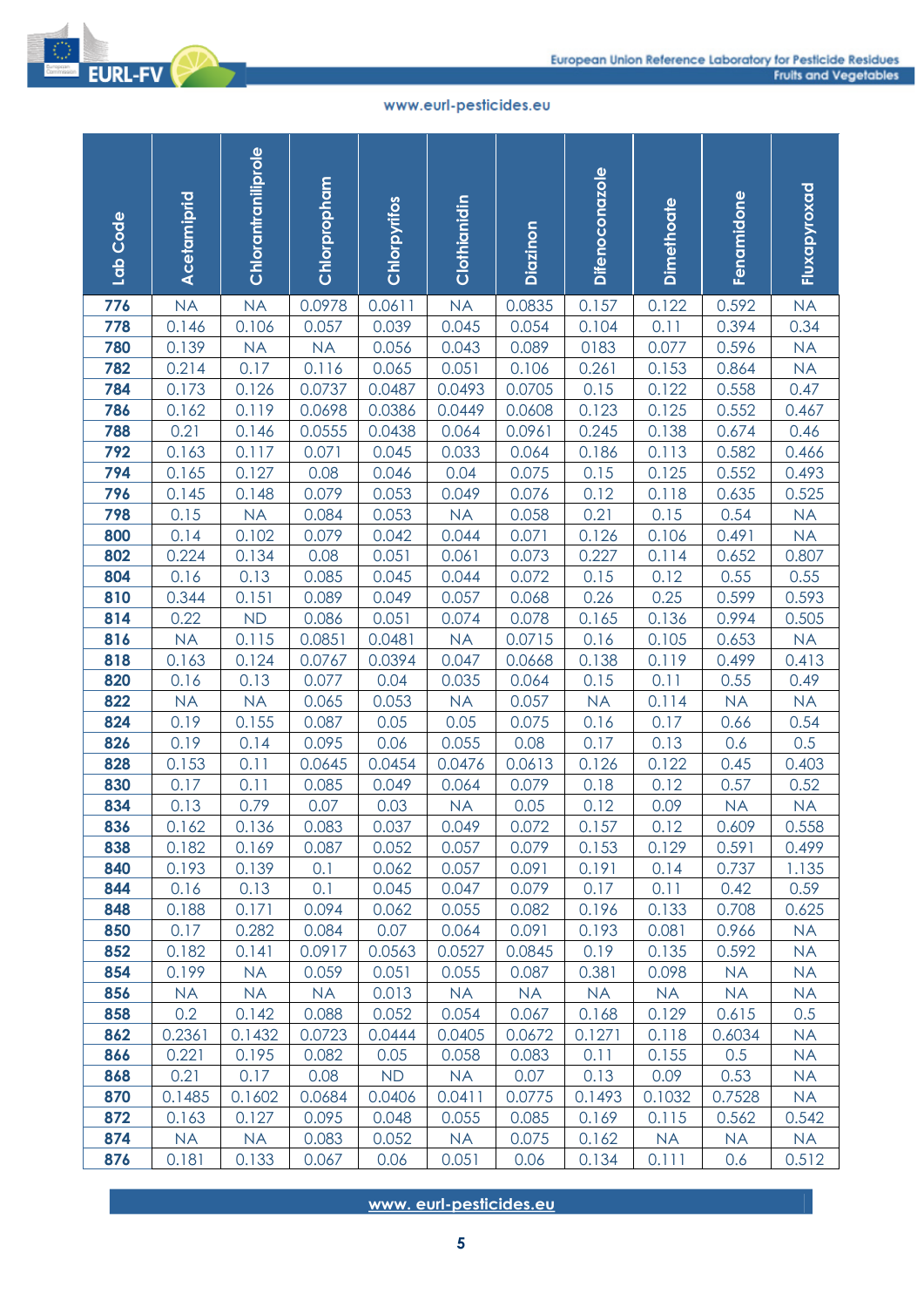

| Lab Code   | Acetamiprid        | Chlorantraniliprole | Chlorpropham     | Chlorpyrifos     | Clothianidin                | Diazinon         | Difenoconazole | Dimethoate     | Fenamidone     | Fluxapyroxad       |
|------------|--------------------|---------------------|------------------|------------------|-----------------------------|------------------|----------------|----------------|----------------|--------------------|
| 776        | <b>NA</b>          | <b>NA</b>           | 0.0978           | 0.0611           | <b>NA</b>                   | 0.0835           | 0.157          | 0.122          | 0.592          | <b>NA</b>          |
| 778        | 0.146              | 0.106               | 0.057            | 0.039            | 0.045                       | 0.054            | 0.104          | 0.11           | 0.394          | 0.34               |
| 780        | 0.139              | <b>NA</b>           | <b>NA</b>        | 0.056            | 0.043                       | 0.089            | 0183           | 0.077          | 0.596          | <b>NA</b>          |
| 782        | 0.214              | 0.17                | 0.116            | 0.065            | 0.051                       | 0.106            | 0.261          | 0.153          | 0.864          | <b>NA</b>          |
| 784        | 0.173              | 0.126               | 0.0737           | 0.0487           | 0.0493                      | 0.0705           | 0.15           | 0.122          | 0.558          | 0.47               |
| 786        | 0.162              | 0.119               | 0.0698           | 0.0386           | 0.0449                      | 0.0608           | 0.123          | 0.125          | 0.552          | 0.467              |
| 788        | 0.21               | 0.146               | 0.0555           | 0.0438           | 0.064                       | 0.0961           | 0.245          | 0.138          | 0.674          | 0.46               |
| 792        | 0.163              | 0.117               | 0.071            | 0.045            | 0.033                       | 0.064            | 0.186          | 0.113          | 0.582          | 0.466              |
| 794        | 0.165              | 0.127               | 0.08             | 0.046            | 0.04                        | 0.075            | 0.15           | 0.125          | 0.552          | 0.493              |
| 796        | 0.145              | 0.148               | 0.079            | 0.053            | 0.049                       | 0.076            | 0.12           | 0.118          | 0.635          | 0.525              |
| 798        | 0.15               | <b>NA</b>           | 0.084            | 0.053            | <b>NA</b>                   | 0.058            | 0.21           | 0.15           | 0.54           | <b>NA</b>          |
| 800        | 0.14               | 0.102               | 0.079            | 0.042            | 0.044                       | 0.071            | 0.126          | 0.106          | 0.491          | <b>NA</b>          |
| 802        | 0.224              | 0.134               | 0.08             | 0.051            | 0.061                       | 0.073            | 0.227          | 0.114          | 0.652          | 0.807              |
| 804        | 0.16               | 0.13                | 0.085            | 0.045            | 0.044                       | 0.072            | 0.15           | 0.12           | 0.55           | 0.55               |
| 810        | 0.344              | 0.151               | 0.089            | 0.049            | 0.057                       | 0.068            | 0.26<br>0.165  | 0.25           | 0.599          | 0.593              |
| 814        | 0.22               | <b>ND</b><br>0.115  | 0.086            | 0.051            | 0.074                       | 0.078            |                | 0.136          | 0.994          | 0.505              |
| 816<br>818 | <b>NA</b><br>0.163 | 0.124               | 0.0851<br>0.0767 | 0.0481<br>0.0394 | <b>NA</b><br>0.047          | 0.0715<br>0.0668 | 0.16<br>0.138  | 0.105<br>0.119 | 0.653<br>0.499 | <b>NA</b><br>0.413 |
| 820        | 0.16               | 0.13                | 0.077            | 0.04             | 0.035                       | 0.064            | 0.15           | 0.11           | 0.55           | 0.49               |
| 822        | <b>NA</b>          | <b>NA</b>           | 0.065            | 0.053            | <b>NA</b>                   | 0.057            | <b>NA</b>      | 0.114          | <b>NA</b>      | <b>NA</b>          |
| 824        | 0.19               | 0.155               | 0.087            | 0.05             | 0.05                        | 0.075            | 0.16           | 0.17           | 0.66           | 0.54               |
| 826        | 0.19               | 0.14                | 0.095            | 0.06             | 0.055                       | 0.08             | 0.17           | 0.13           | 0.6            | 0.5                |
| 828        | 0.153              | 0.11                | 0.0645           | 0.0454           | 0.0476                      | 0.0613           | 0.126          | 0.122          | 0.45           | 0.403              |
| 830        | 0.17               | 0.11                | 0.085            | 0.049            | 0.064                       | 0.079            | 0.18           | 0.12           | 0.57           | 0.52               |
| 834        | 0.13               | 0.79                | 0.07             | 0.03             | <b>NA</b>                   | 0.05             | 0.12           | 0.09           | <b>NA</b>      | <b>NA</b>          |
| 836        | 0.162              | 0.136               | 0.083            | 0.037            | 0.049                       | 0.072            | 0.157          | 0.12           | 0.609          | 0.558              |
| 838        | 0.182              | 0.169               | 0.087            | 0.052            | 0.057                       | 0.079            | 0.153          | 0.129          | 0.591          | 0.499              |
| 840        | 0.193              | 0.139               | 0.1              | 0.062            | 0.057                       | 0.091            | 0.191          | 0.14           | 0.737          | 1.135              |
| 844        | 0.16               | 0.13                | 0.1              | 0.045            | 0.047                       | 0.079            | 0.17           | 0.11           | 0.42           | 0.59               |
| 848        | 0.188              | 0.171               | 0.094            | 0.062            | 0.055                       | 0.082            | 0.196          | 0.133          | 0.708          | 0.625              |
| 850        | 0.17               | 0.282               | 0.084            | 0.07             | 0.064                       | 0.091            | 0.193          | 0.081          | 0.966          | <b>NA</b>          |
| 852        | 0.182              | 0.141               | 0.0917           | 0.0563           | 0.0527                      | 0.0845           | 0.19           | 0.135          | 0.592          | <b>NA</b>          |
| 854        | 0.199              | <b>NA</b>           | 0.059            | 0.051            | 0.055                       | 0.087            | 0.381          | 0.098          | <b>NA</b>      | <b>NA</b>          |
| 856        | <b>NA</b>          | <b>NA</b>           | <b>NA</b>        | 0.013            | <b>NA</b>                   | <b>NA</b>        | <b>NA</b>      | <b>NA</b>      | <b>NA</b>      | <b>NA</b>          |
| 858        | 0.2                | 0.142               | 0.088            | 0.052            | 0.054                       | 0.067            | 0.168          | 0.129          | 0.615          | 0.5                |
| 862        | 0.2361             | 0.1432              | 0.0723           | 0.0444           | 0.0405                      | 0.0672           | 0.1271         | 0.118          | 0.6034         | <b>NA</b>          |
| 866        | 0.221              | 0.195               | 0.082            | 0.05             | 0.058                       | 0.083            | 0.11           | 0.155          | 0.5            | <b>NA</b>          |
| 868        | 0.21               | 0.17                | 0.08             | <b>ND</b>        | <b>NA</b>                   | 0.07             | 0.13           | 0.09           | 0.53           | <b>NA</b>          |
| 870        | 0.1485             | 0.1602              | 0.0684           | 0.0406           | 0.0411                      | 0.0775           | 0.1493         | 0.1032         | 0.7528         | <b>NA</b>          |
| 872        | 0.163              | 0.127               | 0.095            | 0.048            | 0.055                       | 0.085            | 0.169          | 0.115          | 0.562          | 0.542              |
| 874        | <b>NA</b>          | NA                  | 0.083            | 0.052            | <b>NA</b>                   | 0.075            | 0.162          | <b>NA</b>      | <b>NA</b>      | <b>NA</b>          |
| 876        | 0.181              | 0.133               | 0.067            | 0.06             | 0.051                       | 0.06             | 0.134          | 0.111          | 0.6            | 0.512              |
|            |                    |                     |                  |                  | www.eurl-pesticides.eu<br>5 |                  |                |                |                |                    |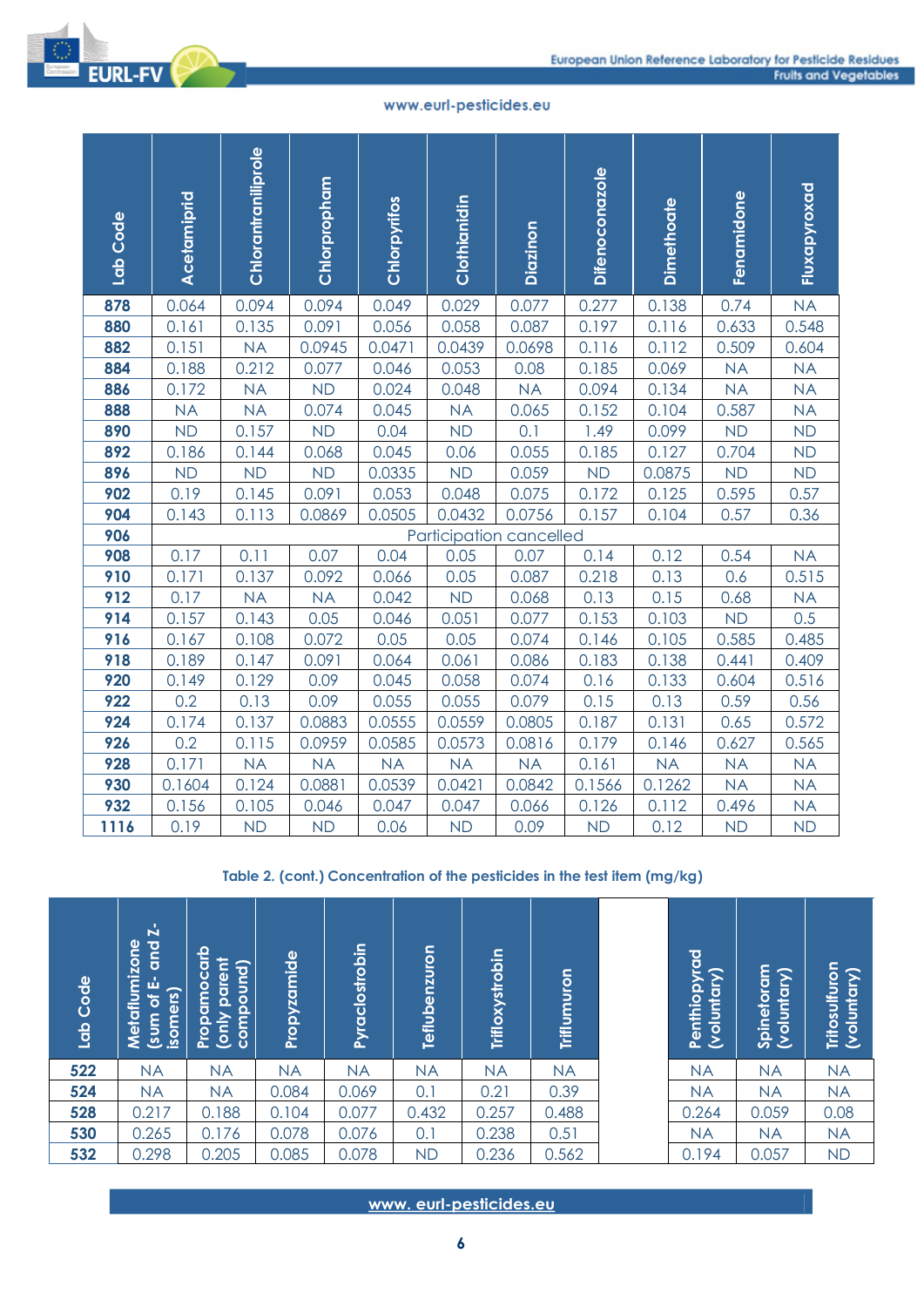



| Lab Code                        | Acetamiprid                         |             | Chlorantraniliprole       |           | Chlorpropham                                                              |                | Chlorpyrifos    |               |                   | Clothianidin |                                 | Diazinon                | <b>Difenoconazole</b> |                 | <b>Dimethoate</b> |                             | Fenamidone |                        | Fluxapyroxad   |
|---------------------------------|-------------------------------------|-------------|---------------------------|-----------|---------------------------------------------------------------------------|----------------|-----------------|---------------|-------------------|--------------|---------------------------------|-------------------------|-----------------------|-----------------|-------------------|-----------------------------|------------|------------------------|----------------|
| 878                             | 0.064                               |             | 0.094                     |           | 0.094                                                                     |                | 0.049           |               | 0.029             |              | 0.077                           |                         | 0.277                 | 0.138           |                   | 0.74                        |            | <b>NA</b>              |                |
| 880                             | 0.161                               |             | 0.135                     |           | 0.091                                                                     |                | 0.056           |               | 0.058             |              | 0.087                           |                         | 0.197                 | 0.116           |                   | 0.633                       |            | 0.548                  |                |
| 882                             | 0.151                               |             | <b>NA</b>                 |           | 0.0945                                                                    |                | 0.0471          |               | 0.0439            |              |                                 | 0.0698                  | 0.116                 | 0.112           |                   | 0.509                       |            | 0.604                  |                |
| 884                             | 0.188                               |             | 0.212                     |           | 0.077                                                                     |                | 0.046           |               | 0.053             |              |                                 | 0.08                    | 0.185                 | 0.069           |                   | <b>NA</b>                   |            | <b>NA</b>              |                |
| 886                             | 0.172                               |             | <b>NA</b>                 |           | <b>ND</b>                                                                 |                | 0.024           |               | 0.048             |              |                                 | <b>NA</b>               | 0.094                 | 0.134           |                   | <b>NA</b>                   |            | <b>NA</b>              |                |
| 888                             | <b>NA</b>                           |             | <b>NA</b>                 |           | 0.074                                                                     |                | 0.045           |               | <b>NA</b>         |              |                                 | 0.065                   | 0.152                 | 0.104           |                   | 0.587                       |            | <b>NA</b>              |                |
| 890<br>892                      | <b>ND</b><br>0.186                  |             | 0.157<br>0.144            |           | <b>ND</b>                                                                 |                | 0.04<br>0.045   |               | <b>ND</b><br>0.06 |              | 0.1                             | 0.055                   | 1.49<br>0.185         | 0.099<br>0.127  |                   | <b>ND</b><br>0.704          |            | <b>ND</b><br><b>ND</b> |                |
| 896                             | <b>ND</b>                           |             | <b>ND</b>                 |           | 0.068<br><b>ND</b>                                                        |                | 0.0335          |               | <b>ND</b>         |              |                                 | 0.059                   | <b>ND</b>             | 0.0875          |                   | <b>ND</b>                   |            | <b>ND</b>              |                |
| 902                             | 0.19                                |             | 0.145                     |           | 0.091                                                                     |                | 0.053           |               | 0.048             |              |                                 | 0.075                   | 0.172                 | 0.125           |                   | 0.595                       |            | 0.57                   |                |
| 904                             | 0.143                               |             | 0.113                     |           | 0.0869                                                                    |                | 0.0505          |               | 0.0432            |              |                                 | 0.0756                  | 0.157                 | 0.104           |                   | 0.57                        |            | 0.36                   |                |
| 906                             |                                     |             |                           |           |                                                                           |                |                 |               |                   |              |                                 | Participation cancelled |                       |                 |                   |                             |            |                        |                |
| 908                             | 0.17                                |             | 0.11                      |           | 0.07                                                                      |                | 0.04            |               | 0.05              |              |                                 | 0.07                    | 0.14                  | 0.12            |                   | 0.54                        |            | <b>NA</b>              |                |
| 910                             | 0.171                               |             | 0.137                     |           | 0.092                                                                     |                | 0.066           |               | 0.05              |              |                                 | 0.087                   | 0.218                 | 0.13            |                   | 0.6                         |            | 0.515                  |                |
| 912                             | 0.17                                |             | <b>NA</b>                 |           | <b>NA</b>                                                                 |                | 0.042           |               | <b>ND</b>         |              |                                 | 0.068                   | 0.13                  | 0.15            |                   | 0.68                        |            | <b>NA</b>              |                |
| 914                             | 0.157                               |             | 0.143                     |           | 0.05                                                                      |                | 0.046           |               | 0.051             |              | 0.077                           |                         | 0.153                 | 0.103           |                   | <b>ND</b>                   |            | 0.5                    |                |
| 916                             | 0.167                               |             | 0.108                     |           | 0.072                                                                     |                | 0.05            |               | 0.05              |              |                                 | 0.074                   | 0.146                 | 0.105           |                   | 0.585                       |            | 0.485                  |                |
| 918                             | 0.189                               |             | 0.147                     |           | 0.091                                                                     |                | 0.064           |               | 0.061             |              |                                 | 0.086                   | 0.183                 | 0.138           |                   | 0.441                       |            | 0.409                  |                |
| 920                             | 0.149                               |             | 0.129                     |           | 0.09                                                                      |                | 0.045           |               | 0.058             |              |                                 | 0.074                   | 0.16                  | 0.133           |                   | 0.604                       |            | 0.516                  |                |
| 922                             | 0.2                                 |             | 0.13                      |           | 0.09                                                                      |                | 0.055           |               | 0.055             |              |                                 | 0.079                   | 0.15                  | 0.13            |                   | 0.59                        |            | 0.56                   |                |
| 924                             | 0.174                               |             | 0.137                     |           | 0.0883                                                                    |                | 0.0555          |               | 0.0559            |              |                                 | 0.0805                  | 0.187                 | 0.131           |                   | 0.65                        |            | 0.572                  |                |
| 926                             | 0.2                                 |             | 0.115                     |           | 0.0959                                                                    |                | 0.0585          |               | 0.0573            |              |                                 | 0.0816                  | 0.179                 | 0.146           |                   | 0.627                       |            | 0.565                  |                |
| 928<br>930                      | 0.171                               |             | <b>NA</b>                 |           | <b>NA</b>                                                                 |                | <b>NA</b>       |               | <b>NA</b>         |              |                                 | <b>NA</b>               | 0.161                 | <b>NA</b>       |                   | <b>NA</b>                   |            | <b>NA</b><br><b>NA</b> |                |
| 932                             | 0.1604<br>0.156                     |             | 0.124<br>0.105            |           | 0.0881<br>0.046                                                           |                | 0.0539<br>0.047 |               | 0.0421<br>0.047   |              |                                 | 0.0842<br>0.066         | 0.1566<br>0.126       | 0.1262<br>0.112 |                   | <b>NA</b><br>0.496          |            | <b>NA</b>              |                |
| 1116                            | 0.19                                |             | <b>ND</b>                 |           | <b>ND</b>                                                                 |                | 0.06            |               | <b>ND</b>         |              |                                 | 0.09                    | <b>ND</b>             | 0.12            |                   | <b>ND</b>                   |            | <b>ND</b>              |                |
|                                 |                                     |             |                           |           | Table 2. (cont.) Concentration of the pesticides in the test item (mg/kg) |                |                 |               |                   |              |                                 |                         |                       |                 |                   |                             |            |                        |                |
| Metaflumizone<br><b>PDOCODI</b> | and $2$ -<br>(sum of E-<br>isomers) | Propamocarb | (only parent<br>compound) |           | Propyzamide                                                               | Pyraclostrobin |                 | Teflubenzuron |                   |              | Trifloxystrobin                 |                         | Triflumuron           |                 |                   | Penthiopyrad<br>(voluntary) | Spinetoram | (voluntary)            | Tritosulfuron  |
| $\overline{22}$                 | <b>NA</b>                           | <b>NA</b>   |                           | <b>NA</b> |                                                                           | <b>NA</b>      |                 | <b>NA</b>     |                   |              | <b>NA</b>                       | <b>NA</b>               |                       |                 | <b>NA</b>         |                             | <b>NA</b>  |                        | $\mathsf{N}$   |
| 24                              | <b>NA</b>                           | <b>NA</b>   |                           | 0.084     |                                                                           | 0.069          |                 | 0.1           |                   | 0.21         |                                 | 0.39                    |                       |                 | <b>NA</b>         |                             | <b>NA</b>  |                        | $\mathsf{N}$   |
| 28                              | 0.217                               | 0.188       |                           | 0.104     |                                                                           | 0.077          |                 | 0.432         |                   |              | 0.257                           | 0.488                   |                       |                 | 0.264             |                             | 0.059      |                        | 0.0            |
| 30<br>$\overline{\textbf{32}}$  | 0.265                               | 0.176       |                           | 0.078     |                                                                           | 0.076          |                 | 0.1           |                   |              | 0.238                           | 0.51                    |                       |                 | <b>NA</b>         |                             | <b>NA</b>  |                        | N              |
|                                 | 0.298                               | 0.205       |                           | 0.085     |                                                                           | 0.078          |                 | <b>ND</b>     | $\boldsymbol{6}$  |              | 0.236<br>www.eurl-pesticides.eu | 0.562                   |                       |                 | 0.194             |                             | 0.057      |                        | $\overline{N}$ |

| Code<br>lab | $\mathbf{z}$<br>mizone<br><b>Dup</b><br>菡<br>isomers)<br>ರ<br>Metaflu<br>(sum | Propamocarb<br>parent<br>compound)<br>(only | Propyzamide | Pyraclostrobin | <b>Teflubenzuron</b> | Trifloxystrobin | Triflumuron | Penthiopyrad<br>(voluntary) | Spinetoram<br>(voluntary) | Tritosulfuron<br>(voluntary) |
|-------------|-------------------------------------------------------------------------------|---------------------------------------------|-------------|----------------|----------------------|-----------------|-------------|-----------------------------|---------------------------|------------------------------|
| 522         | <b>NA</b>                                                                     | <b>NA</b>                                   | <b>NA</b>   | <b>NA</b>      | <b>NA</b>            | <b>NA</b>       | <b>NA</b>   | <b>NA</b>                   | <b>NA</b>                 | <b>NA</b>                    |
| 524         | <b>NA</b>                                                                     | <b>NA</b>                                   | 0.084       | 0.069          | 0.1                  | 0.21            | 0.39        | <b>NA</b>                   | <b>NA</b>                 | <b>NA</b>                    |
| 528         | 0.217                                                                         | 0.188                                       | 0.104       | 0.077          | 0.432                | 0.257           | 0.488       | 0.264                       | 0.059                     | 0.08                         |
| 530         | 0.265                                                                         | 0.176                                       | 0.078       | 0.076          | 0.1                  | 0.238           | 0.51        | <b>NA</b>                   | <b>NA</b>                 | <b>NA</b>                    |
| 532         | 0.298                                                                         | 0.205                                       | 0.085       | 0.078          | <b>ND</b>            | 0.236           | 0.562       | 0.194                       | 0.057                     | <b>ND</b>                    |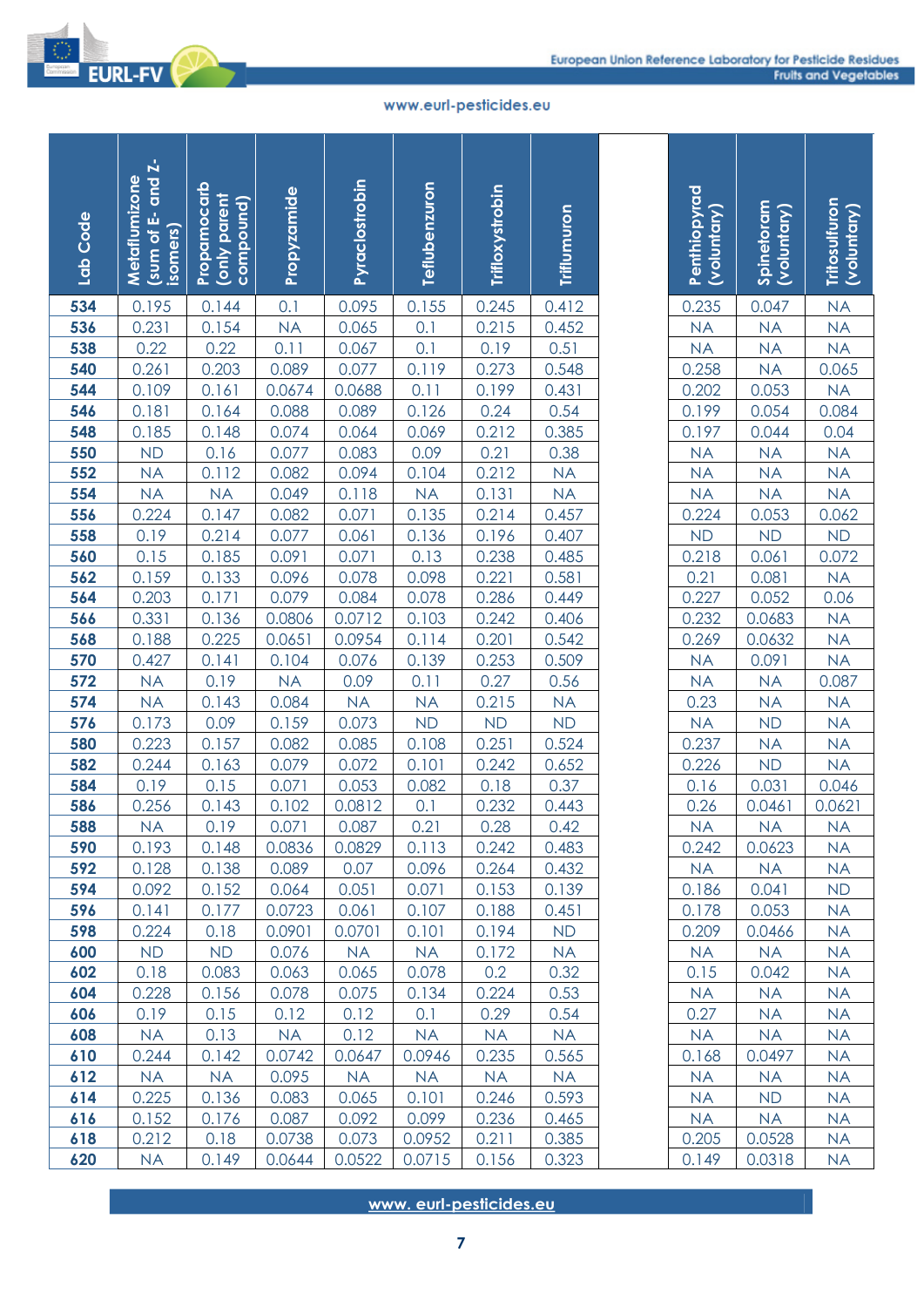

| Lab Code   | and Z-<br>Metaflumizone<br>ŵ<br>isomers)<br>sum of | Propamocarb<br>(only parent<br>compound) | Propyzamide      | Pyraclostrobin  | Teflubenzuron          | Trifloxystrobin | Triflumuron        | Penthiopyrad<br>(voluntary) | Spinetoram<br>(voluntary) | Tritosulfuron<br>(voluntary) |
|------------|----------------------------------------------------|------------------------------------------|------------------|-----------------|------------------------|-----------------|--------------------|-----------------------------|---------------------------|------------------------------|
| 534        | 0.195                                              | 0.144                                    | 0.1              | 0.095           | 0.155                  | 0.245           | 0.412              | 0.235                       | 0.047                     | <b>NA</b>                    |
| 536        | 0.231                                              | 0.154                                    | <b>NA</b>        | 0.065           | 0.1                    | 0.215           | 0.452              | <b>NA</b>                   | <b>NA</b>                 | <b>NA</b>                    |
| 538        | 0.22                                               | 0.22                                     | 0.11             | 0.067           | 0.1                    | 0.19            | 0.51               | <b>NA</b>                   | <b>NA</b>                 | <b>NA</b>                    |
| 540        | 0.261                                              | 0.203                                    | 0.089            | 0.077           | 0.119                  | 0.273           | 0.548              | 0.258                       | <b>NA</b>                 | 0.065                        |
| 544        | 0.109                                              | 0.161                                    | 0.0674           | 0.0688          | 0.11                   | 0.199           | 0.431              | 0.202                       | 0.053                     | <b>NA</b>                    |
| 546        | 0.181                                              | 0.164                                    | 0.088            | 0.089           | 0.126                  | 0.24            | 0.54               | 0.199                       | 0.054                     | 0.084                        |
| 548        | 0.185                                              | 0.148                                    | 0.074            | 0.064           | 0.069                  | 0.212           | 0.385              | 0.197                       | 0.044                     | 0.04                         |
| 550        | <b>ND</b>                                          | 0.16                                     | 0.077            | 0.083           | 0.09                   | 0.21            | 0.38               | <b>NA</b>                   | <b>NA</b>                 | <b>NA</b>                    |
| 552<br>554 | <b>NA</b><br><b>NA</b>                             | 0.112                                    | 0.082            | 0.094           | 0.104                  | 0.212<br>0.131  | <b>NA</b>          | <b>NA</b>                   | <b>NA</b>                 | <b>NA</b>                    |
| 556        | 0.224                                              | <b>NA</b><br>0.147                       | 0.049            | 0.118           | <b>NA</b><br>0.135     | 0.214           | <b>NA</b><br>0.457 | <b>NA</b><br>0.224          | <b>NA</b><br>0.053        | <b>NA</b>                    |
| 558        | 0.19                                               | 0.214                                    | 0.082<br>0.077   | 0.071<br>0.061  | 0.136                  | 0.196           | 0.407              | ND                          | <b>ND</b>                 | 0.062<br><b>ND</b>           |
| 560        | 0.15                                               | 0.185                                    | 0.091            | 0.071           | 0.13                   | 0.238           | 0.485              | 0.218                       | 0.061                     | 0.072                        |
| 562        | 0.159                                              | 0.133                                    | 0.096            | 0.078           | 0.098                  | 0.221           | 0.581              | 0.21                        | 0.081                     | NA                           |
| 564        | 0.203                                              | 0.171                                    | 0.079            | 0.084           | 0.078                  | 0.286           | 0.449              | 0.227                       | 0.052                     | 0.06                         |
| 566        | 0.331                                              | 0.136                                    | 0.0806           | 0.0712          | 0.103                  | 0.242           | 0.406              | 0.232                       | 0.0683                    | <b>NA</b>                    |
| 568        | 0.188                                              | 0.225                                    | 0.0651           | 0.0954          | 0.114                  | 0.201           | 0.542              | 0.269                       | 0.0632                    | <b>NA</b>                    |
| 570        | 0.427                                              | 0.141                                    | 0.104            | 0.076           | 0.139                  | 0.253           | 0.509              | <b>NA</b>                   | 0.091                     | <b>NA</b>                    |
| 572        | <b>NA</b>                                          | 0.19                                     | <b>NA</b>        | 0.09            | 0.11                   | 0.27            | 0.56               | <b>NA</b>                   | <b>NA</b>                 | 0.087                        |
| 574        | <b>NA</b>                                          | 0.143                                    | 0.084            | <b>NA</b>       | <b>NA</b>              | 0.215           | NA                 | 0.23                        | <b>NA</b>                 | <b>NA</b>                    |
| 576        | 0.173                                              | 0.09                                     | 0.159            | 0.073           | <b>ND</b>              | <b>ND</b>       | <b>ND</b>          | <b>NA</b>                   | <b>ND</b>                 | <b>NA</b>                    |
| 580        | 0.223                                              | 0.157                                    | 0.082            | 0.085           | 0.108                  | 0.251           | 0.524              | 0.237                       | <b>NA</b>                 | <b>NA</b>                    |
| 582        | 0.244                                              | 0.163                                    | 0.079            | 0.072           | 0.101                  | 0.242           | 0.652              | 0.226                       | <b>ND</b>                 | <b>NA</b>                    |
| 584        | 0.19                                               | 0.15                                     | 0.071            | 0.053           | 0.082                  | 0.18            | 0.37               | 0.16                        | 0.031                     | 0.046                        |
| 586        | 0.256                                              | 0.143                                    | 0.102            | 0.0812          | 0.1                    | 0.232           | 0.443              | 0.26                        | 0.0461                    | 0.0621                       |
| 588        | <b>NA</b>                                          | 0.19                                     | 0.071            | 0.087           | 0.21                   | 0.28            | 0.42               | <b>NA</b>                   | <b>NA</b>                 | <b>NA</b>                    |
| 590        | 0.193                                              | 0.148                                    | 0.0836           | 0.0829          | 0.113                  | 0.242           | 0.483              | 0.242                       | 0.0623                    | <b>NA</b>                    |
| 592        | 0.128                                              | 0.138                                    | 0.089            | 0.07            | 0.096                  | 0.264           | 0.432              | <b>NA</b>                   | <b>NA</b>                 | <b>NA</b>                    |
| 594        | 0.092                                              | 0.152                                    | 0.064            | 0.051           | 0.071                  | 0.153           | 0.139              | 0.186                       | 0.041                     | <b>ND</b>                    |
| 596<br>598 | 0.141<br>0.224                                     | 0.177<br>0.18                            | 0.0723<br>0.0901 | 0.061<br>0.0701 | 0.107<br>0.101         | 0.188<br>0.194  | 0.451<br><b>ND</b> | 0.178<br>0.209              | 0.053<br>0.0466           | <b>NA</b><br><b>NA</b>       |
| 600        | <b>ND</b>                                          | <b>ND</b>                                | 0.076            | <b>NA</b>       | <b>NA</b>              | 0.172           | <b>NA</b>          | <b>NA</b>                   | <b>NA</b>                 | <b>NA</b>                    |
| 602        | 0.18                                               | 0.083                                    | 0.063            | 0.065           | 0.078                  | 0.2             | 0.32               | 0.15                        | 0.042                     | <b>NA</b>                    |
| 604        | 0.228                                              | 0.156                                    | 0.078            | 0.075           | 0.134                  | 0.224           | 0.53               | <b>NA</b>                   | <b>NA</b>                 | <b>NA</b>                    |
| 606        | 0.19                                               | 0.15                                     | 0.12             | 0.12            | 0.1                    | 0.29            | 0.54               | 0.27                        | <b>NA</b>                 | <b>NA</b>                    |
| 608        | <b>NA</b>                                          | 0.13                                     | <b>NA</b>        | 0.12            | <b>NA</b>              | <b>NA</b>       | <b>NA</b>          | <b>NA</b>                   | <b>NA</b>                 | <b>NA</b>                    |
| 610        | 0.244                                              | 0.142                                    | 0.0742           | 0.0647          | 0.0946                 | 0.235           | 0.565              | 0.168                       | 0.0497                    | <b>NA</b>                    |
| 612        | <b>NA</b>                                          | <b>NA</b>                                | 0.095            | <b>NA</b>       | <b>NA</b>              | <b>NA</b>       | <b>NA</b>          | <b>NA</b>                   | <b>NA</b>                 | <b>NA</b>                    |
| 614        | 0.225                                              | 0.136                                    | 0.083            | 0.065           | 0.101                  | 0.246           | 0.593              | <b>NA</b>                   | <b>ND</b>                 | <b>NA</b>                    |
| 616        | 0.152                                              | 0.176                                    | 0.087            | 0.092           | 0.099                  | 0.236           | 0.465              | <b>NA</b>                   | <b>NA</b>                 | <b>NA</b>                    |
| 618        | 0.212                                              | 0.18                                     | 0.0738           | 0.073           | 0.0952                 | 0.211           | 0.385              | 0.205                       | 0.0528                    | <b>NA</b>                    |
| 620        | <b>NA</b>                                          | 0.149                                    | 0.0644           | 0.0522          | 0.0715                 | 0.156           | 0.323              | 0.149                       | 0.0318                    | <b>NA</b>                    |
|            |                                                    |                                          |                  |                 | www.eurl-pesticides.eu | 7               |                    |                             |                           |                              |

| Penthiopyrad<br>(voluntary)                                           |                                                                                        |                                                                                      |
|-----------------------------------------------------------------------|----------------------------------------------------------------------------------------|--------------------------------------------------------------------------------------|
|                                                                       | Spinetoram<br>(voluntary)                                                              | <b>Tritosulfuron</b><br>(voluntary)                                                  |
|                                                                       |                                                                                        |                                                                                      |
|                                                                       |                                                                                        |                                                                                      |
| 0.235<br>NA<br>NA<br>0.258<br>0.202<br>0.199<br>0.197                 |                                                                                        |                                                                                      |
|                                                                       |                                                                                        |                                                                                      |
|                                                                       |                                                                                        |                                                                                      |
|                                                                       |                                                                                        |                                                                                      |
|                                                                       |                                                                                        |                                                                                      |
|                                                                       |                                                                                        |                                                                                      |
|                                                                       |                                                                                        |                                                                                      |
|                                                                       |                                                                                        |                                                                                      |
| $\frac{NA}{NA}$ $\frac{NA}{NA}$ $\frac{NA}{0.224}$ $\frac{ND}{0.212}$ | 0.047<br>NA<br>NA<br>NA<br>0.053<br>NA<br>NA<br>NA<br>NA<br>NA<br>NA<br>NA<br>ND<br>ND | NA NA 0.065<br>0.065<br>0.084<br>0.04<br>NA NA 0.062<br>ND<br>0.072<br>NA 0.06<br>NA |
|                                                                       |                                                                                        |                                                                                      |
|                                                                       |                                                                                        |                                                                                      |
|                                                                       |                                                                                        |                                                                                      |
|                                                                       |                                                                                        |                                                                                      |
| $\frac{0.218}{0.21}$ $\frac{0.227}{0.232}$                            | $\frac{0.061}{0.081}$ $\frac{0.052}{0.0683}$ $\frac{0.0632}{0.091}$ NA<br>NA           |                                                                                      |
|                                                                       |                                                                                        |                                                                                      |
|                                                                       |                                                                                        |                                                                                      |
|                                                                       |                                                                                        |                                                                                      |
| $\frac{0.262}{NA}$ $\frac{NA}{NA}$ $\frac{NA}{0.23}$                  |                                                                                        | NA<br>NA<br>0.087<br>NA<br>NA<br>NA<br>NA<br>0.046                                   |
|                                                                       |                                                                                        |                                                                                      |
|                                                                       |                                                                                        |                                                                                      |
| $\frac{0.25}{NA}$ $\frac{0.237}{0.226}$ $\frac{0.16}{0.16}$           | $\frac{ND}{ND}$<br>$\frac{N}{ND}$<br>$\frac{0.031}{N}$                                 |                                                                                      |
|                                                                       |                                                                                        |                                                                                      |
|                                                                       |                                                                                        |                                                                                      |
|                                                                       | 0.0461                                                                                 |                                                                                      |
| 0.26                                                                  |                                                                                        | 0.0621                                                                               |
| NA                                                                    | <b>NA</b>                                                                              | ΝA                                                                                   |
| 0.242<br><b>NA</b>                                                    | 0.0623<br><b>NA</b>                                                                    | <b>NA</b><br>NA                                                                      |
| 0.186                                                                 | 0.041                                                                                  | ND                                                                                   |
| 0.178                                                                 | 0.053                                                                                  | <b>NA</b>                                                                            |
| 0.209                                                                 | 0.0466                                                                                 | <b>NA</b>                                                                            |
| <b>NA</b>                                                             | <b>NA</b>                                                                              | <b>NA</b>                                                                            |
| 0.15                                                                  | 0.042                                                                                  | <b>NA</b>                                                                            |
| NA                                                                    | <b>NA</b>                                                                              | <b>NA</b>                                                                            |
| 0.27                                                                  | <b>NA</b>                                                                              | <b>NA</b>                                                                            |
| <b>NA</b>                                                             | <b>NA</b>                                                                              | ΝA                                                                                   |
| 0.168                                                                 | 0.0497                                                                                 | NA                                                                                   |
| <b>NA</b>                                                             | <b>NA</b>                                                                              | <b>NA</b>                                                                            |
| NA                                                                    | ND                                                                                     | <b>NA</b>                                                                            |
| <b>NA</b>                                                             | <b>NA</b>                                                                              | <b>NA</b>                                                                            |
| 0.205                                                                 | 0.0528                                                                                 | <b>NA</b>                                                                            |
| 0149                                                                  | 0.0318                                                                                 | <b>NA</b>                                                                            |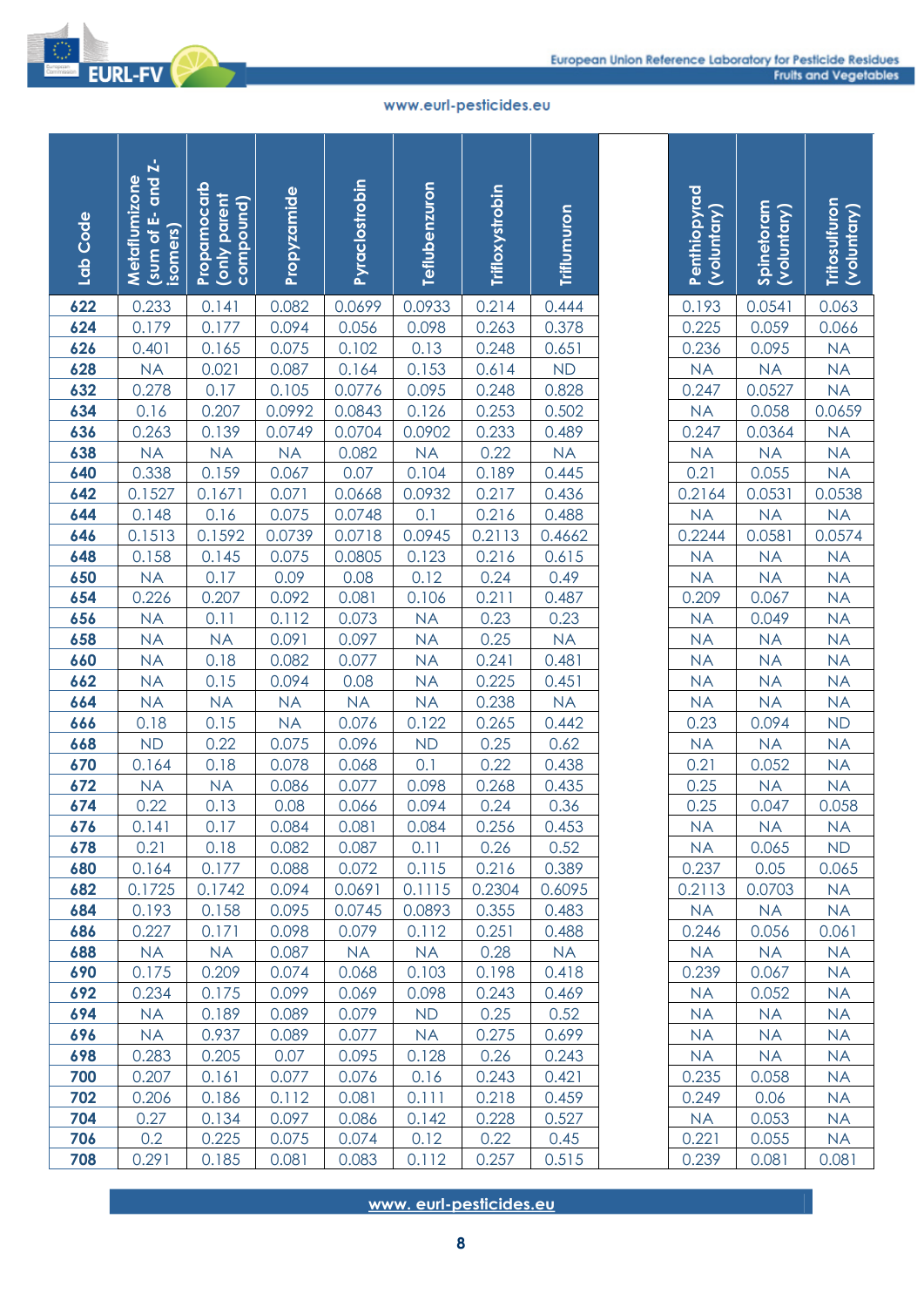

| Lab Code   | and Z-<br>Metaflumizone<br>菡<br>isomers)<br>sum of | Propamocarb<br>(only parent<br>compound) | Propyzamide    | Pyraclostrobin   | Teflubenzuron               | Trifloxystrobin | Triflumuron     | Penthiopyrad<br>(voluntary) | Spinetoram<br>(voluntary) | Tritosulfuron<br>(voluntary) |
|------------|----------------------------------------------------|------------------------------------------|----------------|------------------|-----------------------------|-----------------|-----------------|-----------------------------|---------------------------|------------------------------|
| 622        | 0.233                                              | 0.141                                    | 0.082          | 0.0699           | 0.0933                      | 0.214           | 0.444           | 0.193                       | 0.0541                    | 0.063                        |
| 624        | 0.179                                              | 0.177                                    | 0.094          | 0.056            | 0.098                       | 0.263           | 0.378           | 0.225                       | 0.059                     | 0.066                        |
| 626        | 0.401                                              | 0.165                                    | 0.075          | 0.102            | 0.13                        | 0.248           | 0.651           | 0.236                       | 0.095                     | <b>NA</b>                    |
| 628        | <b>NA</b>                                          | 0.021                                    | 0.087          | 0.164            | 0.153                       | 0.614           | <b>ND</b>       | <b>NA</b>                   | <b>NA</b>                 | <b>NA</b>                    |
| 632        | 0.278                                              | 0.17                                     | 0.105          | 0.0776           | 0.095                       | 0.248           | 0.828           | 0.247                       | 0.0527                    | <b>NA</b>                    |
| 634        | 0.16                                               | 0.207                                    | 0.0992         | 0.0843           | 0.126                       | 0.253           | 0.502           | <b>NA</b>                   | 0.058                     | 0.0659                       |
| 636        | 0.263                                              | 0.139                                    | 0.0749         | 0.0704           | 0.0902                      | 0.233           | 0.489           | 0.247                       | 0.0364                    | <b>NA</b>                    |
| 638        | <b>NA</b>                                          | <b>NA</b>                                | <b>NA</b>      | 0.082            | <b>NA</b>                   | 0.22            | <b>NA</b>       | <b>NA</b>                   | <b>NA</b>                 | NA                           |
| 640<br>642 | 0.338                                              | 0.159                                    | 0.067          | 0.07             | 0.104                       | 0.189<br>0.217  | 0.445           | 0.21                        | 0.055                     | <b>NA</b>                    |
| 644        | 0.1527<br>0.148                                    | 0.1671<br>0.16                           | 0.071<br>0.075 | 0.0668<br>0.0748 | 0.0932<br>0.1               | 0.216           | 0.436<br>0.488  | 0.2164<br><b>NA</b>         | 0.0531<br><b>NA</b>       | 0.0538<br><b>NA</b>          |
| 646        | 0.1513                                             | 0.1592                                   | 0.0739         | 0.0718           | 0.0945                      | 0.2113          | 0.4662          | 0.2244                      | 0.0581                    | 0.0574                       |
| 648        | 0.158                                              | 0.145                                    | 0.075          | 0.0805           | 0.123                       | 0.216           | 0.615           | <b>NA</b>                   | <b>NA</b>                 | <b>NA</b>                    |
| 650        | <b>NA</b>                                          | 0.17                                     | 0.09           | 0.08             | 0.12                        | 0.24            | 0.49            | <b>NA</b>                   | <b>NA</b>                 | <b>NA</b>                    |
| 654        | 0.226                                              | 0.207                                    | 0.092          | 0.081            | 0.106                       | 0.211           | 0.487           | 0.209                       | 0.067                     | <b>NA</b>                    |
| 656        | <b>NA</b>                                          | 0.11                                     | 0.112          | 0.073            | <b>NA</b>                   | 0.23            | 0.23            | <b>NA</b>                   | 0.049                     | <b>NA</b>                    |
| 658        | <b>NA</b>                                          | <b>NA</b>                                | 0.091          | 0.097            | <b>NA</b>                   | 0.25            | <b>NA</b>       | <b>NA</b>                   | <b>NA</b>                 | <b>NA</b>                    |
| 660        | <b>NA</b>                                          | 0.18                                     | 0.082          | 0.077            | <b>NA</b>                   | 0.241           | 0.481           | <b>NA</b>                   | <b>NA</b>                 | <b>NA</b>                    |
| 662        | <b>NA</b>                                          | 0.15                                     | 0.094          | 0.08             | <b>NA</b>                   | 0.225           | 0.451           | <b>NA</b>                   | <b>NA</b>                 | <b>NA</b>                    |
| 664        | <b>NA</b>                                          | <b>NA</b>                                | <b>NA</b>      | <b>NA</b>        | <b>NA</b>                   | 0.238           | <b>NA</b>       | <b>NA</b>                   | <b>NA</b>                 | <b>NA</b>                    |
| 666        | 0.18                                               | 0.15                                     | <b>NA</b>      | 0.076            | 0.122                       | 0.265           | 0.442           | 0.23                        | 0.094                     | <b>ND</b>                    |
| 668        | <b>ND</b>                                          | 0.22                                     | 0.075          | 0.096            | <b>ND</b>                   | 0.25            | 0.62            | <b>NA</b>                   | <b>NA</b>                 | <b>NA</b>                    |
| 670        | 0.164                                              | 0.18                                     | 0.078          | 0.068            | 0.1                         | 0.22            | 0.438           | 0.21                        | 0.052                     | <b>NA</b>                    |
| 672        | <b>NA</b>                                          | <b>NA</b>                                | 0.086          | 0.077            | 0.098                       | 0.268           | 0.435           | 0.25                        | <b>NA</b>                 | <b>NA</b>                    |
| 674        | 0.22                                               | 0.13                                     | 0.08           | 0.066            | 0.094                       | 0.24            | 0.36            | 0.25                        | 0.047                     | 0.058                        |
| 676        | 0.141                                              | 0.17                                     | 0.084          | 0.081            | 0.084                       | 0.256           | 0.453           | <b>NA</b>                   | <b>NA</b>                 | <b>NA</b>                    |
| 678        | 0.21                                               | 0.18                                     | 0.082          | 0.087            | 0.11                        | 0.26            | 0.52            | <b>NA</b>                   | 0.065                     | <b>ND</b>                    |
| 680        | 0.164                                              | 0.177                                    | 0.088          | 0.072            | 0.115                       | 0.216           | 0.389           | 0.237                       | 0.05                      | 0.065                        |
| 682<br>684 | 0.1725<br>0.193                                    | 0.1742<br>0.158                          | 0.094<br>0.095 | 0.0691<br>0.0745 | 0.1115<br>0.0893            | 0.2304<br>0.355 | 0.6095<br>0.483 | 0.2113<br><b>NA</b>         | 0.0703<br><b>NA</b>       | <b>NA</b><br><b>NA</b>       |
| 686        | 0.227                                              | 0.171                                    | 0.098          | 0.079            | 0.112                       | 0.251           | 0.488           | 0.246                       | 0.056                     | 0.061                        |
| 688        | <b>NA</b>                                          | <b>NA</b>                                | 0.087          | <b>NA</b>        | <b>NA</b>                   | 0.28            | <b>NA</b>       | <b>NA</b>                   | <b>NA</b>                 | <b>NA</b>                    |
| 690        | 0.175                                              | 0.209                                    | 0.074          | 0.068            | 0.103                       | 0.198           | 0.418           | 0.239                       | 0.067                     | <b>NA</b>                    |
| 692        | 0.234                                              | 0.175                                    | 0.099          | 0.069            | 0.098                       | 0.243           | 0.469           | <b>NA</b>                   | 0.052                     | <b>NA</b>                    |
| 694        | <b>NA</b>                                          | 0.189                                    | 0.089          | 0.079            | <b>ND</b>                   | 0.25            | 0.52            | <b>NA</b>                   | <b>NA</b>                 | <b>NA</b>                    |
| 696        | <b>NA</b>                                          | 0.937                                    | 0.089          | 0.077            | <b>NA</b>                   | 0.275           | 0.699           | <b>NA</b>                   | <b>NA</b>                 | <b>NA</b>                    |
| 698        | 0.283                                              | 0.205                                    | 0.07           | 0.095            | 0.128                       | 0.26            | 0.243           | <b>NA</b>                   | <b>NA</b>                 | <b>NA</b>                    |
| 700        | 0.207                                              | 0.161                                    | 0.077          | 0.076            | 0.16                        | 0.243           | 0.421           | 0.235                       | 0.058                     | <b>NA</b>                    |
| 702        | 0.206                                              | 0.186                                    | 0.112          | 0.081            | 0.111                       | 0.218           | 0.459           | 0.249                       | 0.06                      | <b>NA</b>                    |
| 704        | 0.27                                               | 0.134                                    | 0.097          | 0.086            | 0.142                       | 0.228           | 0.527           | <b>NA</b>                   | 0.053                     | <b>NA</b>                    |
| 706        | 0.2                                                | 0.225                                    | 0.075          | 0.074            | 0.12                        | 0.22            | 0.45            | 0.221                       | 0.055                     | <b>NA</b>                    |
| 708        | 0.291                                              | 0.185                                    | 0.081          | 0.083            | 0.112                       | 0.257           | 0.515           | 0.239                       | 0.081                     | 0.081                        |
|            |                                                    |                                          |                |                  | www.eurl-pesticides.eu<br>8 |                 |                 |                             |                           |                              |

| Penthiopyrad<br>itosulfuron<br>Spinetoram<br>(voluntary)<br>(voluntary)<br>(voluntary)<br>$\frac{0.063}{0.066}$ $\frac{NA}{NA}$ $\frac{NA}{0.0659}$ $\frac{NA}{NA}$<br>$\frac{0.193}{0.225}$<br>0.225<br>0.0541<br>$\frac{0.059}{0.095}$<br>$\frac{NA}{0.247}$ $\frac{0.247}{NA}$ $0.247$<br>$\frac{NA}{0.0527}$ $0.058$ $0.0364$<br>$\frac{NA}{NA}$ $\frac{NA}{0.0538}$ $NA$<br>$\frac{NA}{0.21}$ 0.21<br>0.21<br>NA<br>$\frac{NA}{0.055}$<br>0.055<br>NA<br>0.2244<br>$\frac{0.0581}{NA}$<br>0.0574<br>$\frac{N}{N}$ $\frac{N}{N}$ $\frac{N}{N}$ $\frac{N}{N}$ $\frac{N}{N}$ $\frac{N}{N}$ $\frac{N}{N}$ $\frac{N}{N}$ $\frac{N}{N}$ $\frac{N}{N}$ $\frac{N}{N}$ $\frac{N}{N}$ $\frac{N}{N}$ $\frac{N}{N}$ $\frac{N}{N}$ $\frac{N}{N}$ $\frac{N}{N}$ $\frac{N}{N}$ $\frac{N}{N}$ $\frac{N}{N}$<br>$\frac{N_{A}}{N_{A}} \frac{0.209}{NA}$ $\frac{N_{A}}{N_{A}} \frac{N_{A}}{N_{A}} \frac{N_{A}}{N_{A}}}{0.23}$ $\frac{0.23}{0.25}$ $\frac{0.25}{0.25}$<br>NA<br>NA<br>NA<br>NA<br>NA<br>0.049<br>NA<br>NA<br>NA<br>NA<br>NA<br>$\frac{ND}{NA}$ $\frac{NA}{NA}$<br>0.047<br>0.058<br><b>NA</b><br><b>NA</b><br><b>NA</b><br>0.065<br><b>NA</b><br><b>ND</b><br>0.237<br>0.065<br>0.05 |
|---------------------------------------------------------------------------------------------------------------------------------------------------------------------------------------------------------------------------------------------------------------------------------------------------------------------------------------------------------------------------------------------------------------------------------------------------------------------------------------------------------------------------------------------------------------------------------------------------------------------------------------------------------------------------------------------------------------------------------------------------------------------------------------------------------------------------------------------------------------------------------------------------------------------------------------------------------------------------------------------------------------------------------------------------------------------------------------------------------------------------------------------------------------------------------------|
|                                                                                                                                                                                                                                                                                                                                                                                                                                                                                                                                                                                                                                                                                                                                                                                                                                                                                                                                                                                                                                                                                                                                                                                       |
|                                                                                                                                                                                                                                                                                                                                                                                                                                                                                                                                                                                                                                                                                                                                                                                                                                                                                                                                                                                                                                                                                                                                                                                       |
|                                                                                                                                                                                                                                                                                                                                                                                                                                                                                                                                                                                                                                                                                                                                                                                                                                                                                                                                                                                                                                                                                                                                                                                       |
|                                                                                                                                                                                                                                                                                                                                                                                                                                                                                                                                                                                                                                                                                                                                                                                                                                                                                                                                                                                                                                                                                                                                                                                       |
|                                                                                                                                                                                                                                                                                                                                                                                                                                                                                                                                                                                                                                                                                                                                                                                                                                                                                                                                                                                                                                                                                                                                                                                       |
|                                                                                                                                                                                                                                                                                                                                                                                                                                                                                                                                                                                                                                                                                                                                                                                                                                                                                                                                                                                                                                                                                                                                                                                       |
|                                                                                                                                                                                                                                                                                                                                                                                                                                                                                                                                                                                                                                                                                                                                                                                                                                                                                                                                                                                                                                                                                                                                                                                       |
|                                                                                                                                                                                                                                                                                                                                                                                                                                                                                                                                                                                                                                                                                                                                                                                                                                                                                                                                                                                                                                                                                                                                                                                       |
|                                                                                                                                                                                                                                                                                                                                                                                                                                                                                                                                                                                                                                                                                                                                                                                                                                                                                                                                                                                                                                                                                                                                                                                       |
|                                                                                                                                                                                                                                                                                                                                                                                                                                                                                                                                                                                                                                                                                                                                                                                                                                                                                                                                                                                                                                                                                                                                                                                       |
|                                                                                                                                                                                                                                                                                                                                                                                                                                                                                                                                                                                                                                                                                                                                                                                                                                                                                                                                                                                                                                                                                                                                                                                       |
|                                                                                                                                                                                                                                                                                                                                                                                                                                                                                                                                                                                                                                                                                                                                                                                                                                                                                                                                                                                                                                                                                                                                                                                       |
|                                                                                                                                                                                                                                                                                                                                                                                                                                                                                                                                                                                                                                                                                                                                                                                                                                                                                                                                                                                                                                                                                                                                                                                       |
|                                                                                                                                                                                                                                                                                                                                                                                                                                                                                                                                                                                                                                                                                                                                                                                                                                                                                                                                                                                                                                                                                                                                                                                       |
|                                                                                                                                                                                                                                                                                                                                                                                                                                                                                                                                                                                                                                                                                                                                                                                                                                                                                                                                                                                                                                                                                                                                                                                       |
|                                                                                                                                                                                                                                                                                                                                                                                                                                                                                                                                                                                                                                                                                                                                                                                                                                                                                                                                                                                                                                                                                                                                                                                       |
|                                                                                                                                                                                                                                                                                                                                                                                                                                                                                                                                                                                                                                                                                                                                                                                                                                                                                                                                                                                                                                                                                                                                                                                       |
|                                                                                                                                                                                                                                                                                                                                                                                                                                                                                                                                                                                                                                                                                                                                                                                                                                                                                                                                                                                                                                                                                                                                                                                       |
|                                                                                                                                                                                                                                                                                                                                                                                                                                                                                                                                                                                                                                                                                                                                                                                                                                                                                                                                                                                                                                                                                                                                                                                       |
|                                                                                                                                                                                                                                                                                                                                                                                                                                                                                                                                                                                                                                                                                                                                                                                                                                                                                                                                                                                                                                                                                                                                                                                       |
|                                                                                                                                                                                                                                                                                                                                                                                                                                                                                                                                                                                                                                                                                                                                                                                                                                                                                                                                                                                                                                                                                                                                                                                       |
|                                                                                                                                                                                                                                                                                                                                                                                                                                                                                                                                                                                                                                                                                                                                                                                                                                                                                                                                                                                                                                                                                                                                                                                       |
|                                                                                                                                                                                                                                                                                                                                                                                                                                                                                                                                                                                                                                                                                                                                                                                                                                                                                                                                                                                                                                                                                                                                                                                       |
|                                                                                                                                                                                                                                                                                                                                                                                                                                                                                                                                                                                                                                                                                                                                                                                                                                                                                                                                                                                                                                                                                                                                                                                       |
|                                                                                                                                                                                                                                                                                                                                                                                                                                                                                                                                                                                                                                                                                                                                                                                                                                                                                                                                                                                                                                                                                                                                                                                       |
|                                                                                                                                                                                                                                                                                                                                                                                                                                                                                                                                                                                                                                                                                                                                                                                                                                                                                                                                                                                                                                                                                                                                                                                       |
|                                                                                                                                                                                                                                                                                                                                                                                                                                                                                                                                                                                                                                                                                                                                                                                                                                                                                                                                                                                                                                                                                                                                                                                       |
|                                                                                                                                                                                                                                                                                                                                                                                                                                                                                                                                                                                                                                                                                                                                                                                                                                                                                                                                                                                                                                                                                                                                                                                       |
|                                                                                                                                                                                                                                                                                                                                                                                                                                                                                                                                                                                                                                                                                                                                                                                                                                                                                                                                                                                                                                                                                                                                                                                       |
|                                                                                                                                                                                                                                                                                                                                                                                                                                                                                                                                                                                                                                                                                                                                                                                                                                                                                                                                                                                                                                                                                                                                                                                       |
|                                                                                                                                                                                                                                                                                                                                                                                                                                                                                                                                                                                                                                                                                                                                                                                                                                                                                                                                                                                                                                                                                                                                                                                       |
|                                                                                                                                                                                                                                                                                                                                                                                                                                                                                                                                                                                                                                                                                                                                                                                                                                                                                                                                                                                                                                                                                                                                                                                       |
|                                                                                                                                                                                                                                                                                                                                                                                                                                                                                                                                                                                                                                                                                                                                                                                                                                                                                                                                                                                                                                                                                                                                                                                       |
|                                                                                                                                                                                                                                                                                                                                                                                                                                                                                                                                                                                                                                                                                                                                                                                                                                                                                                                                                                                                                                                                                                                                                                                       |
| 0.2113<br>0.0703<br><b>NA</b>                                                                                                                                                                                                                                                                                                                                                                                                                                                                                                                                                                                                                                                                                                                                                                                                                                                                                                                                                                                                                                                                                                                                                         |
| <b>NA</b><br><b>NA</b><br><b>NA</b>                                                                                                                                                                                                                                                                                                                                                                                                                                                                                                                                                                                                                                                                                                                                                                                                                                                                                                                                                                                                                                                                                                                                                   |
| 0.246<br>0.056<br>0.061                                                                                                                                                                                                                                                                                                                                                                                                                                                                                                                                                                                                                                                                                                                                                                                                                                                                                                                                                                                                                                                                                                                                                               |
| <b>NA</b><br><b>NA</b><br><b>NA</b>                                                                                                                                                                                                                                                                                                                                                                                                                                                                                                                                                                                                                                                                                                                                                                                                                                                                                                                                                                                                                                                                                                                                                   |
| 0.239<br>0.067<br><b>NA</b>                                                                                                                                                                                                                                                                                                                                                                                                                                                                                                                                                                                                                                                                                                                                                                                                                                                                                                                                                                                                                                                                                                                                                           |
| 0.052<br><b>NA</b><br><b>NA</b>                                                                                                                                                                                                                                                                                                                                                                                                                                                                                                                                                                                                                                                                                                                                                                                                                                                                                                                                                                                                                                                                                                                                                       |
| <b>NA</b><br><b>NA</b><br><b>NA</b>                                                                                                                                                                                                                                                                                                                                                                                                                                                                                                                                                                                                                                                                                                                                                                                                                                                                                                                                                                                                                                                                                                                                                   |
| NA<br>NA<br><b>NA</b>                                                                                                                                                                                                                                                                                                                                                                                                                                                                                                                                                                                                                                                                                                                                                                                                                                                                                                                                                                                                                                                                                                                                                                 |
| <b>NA</b><br><b>NA</b><br><b>NA</b>                                                                                                                                                                                                                                                                                                                                                                                                                                                                                                                                                                                                                                                                                                                                                                                                                                                                                                                                                                                                                                                                                                                                                   |
|                                                                                                                                                                                                                                                                                                                                                                                                                                                                                                                                                                                                                                                                                                                                                                                                                                                                                                                                                                                                                                                                                                                                                                                       |
|                                                                                                                                                                                                                                                                                                                                                                                                                                                                                                                                                                                                                                                                                                                                                                                                                                                                                                                                                                                                                                                                                                                                                                                       |
| 0.235<br>0.058<br><b>NA</b>                                                                                                                                                                                                                                                                                                                                                                                                                                                                                                                                                                                                                                                                                                                                                                                                                                                                                                                                                                                                                                                                                                                                                           |
| 0.249<br>0.06<br><b>NA</b>                                                                                                                                                                                                                                                                                                                                                                                                                                                                                                                                                                                                                                                                                                                                                                                                                                                                                                                                                                                                                                                                                                                                                            |
| <b>NA</b><br>0.053<br><b>NA</b><br>0.221<br>0.055<br><b>NA</b>                                                                                                                                                                                                                                                                                                                                                                                                                                                                                                                                                                                                                                                                                                                                                                                                                                                                                                                                                                                                                                                                                                                        |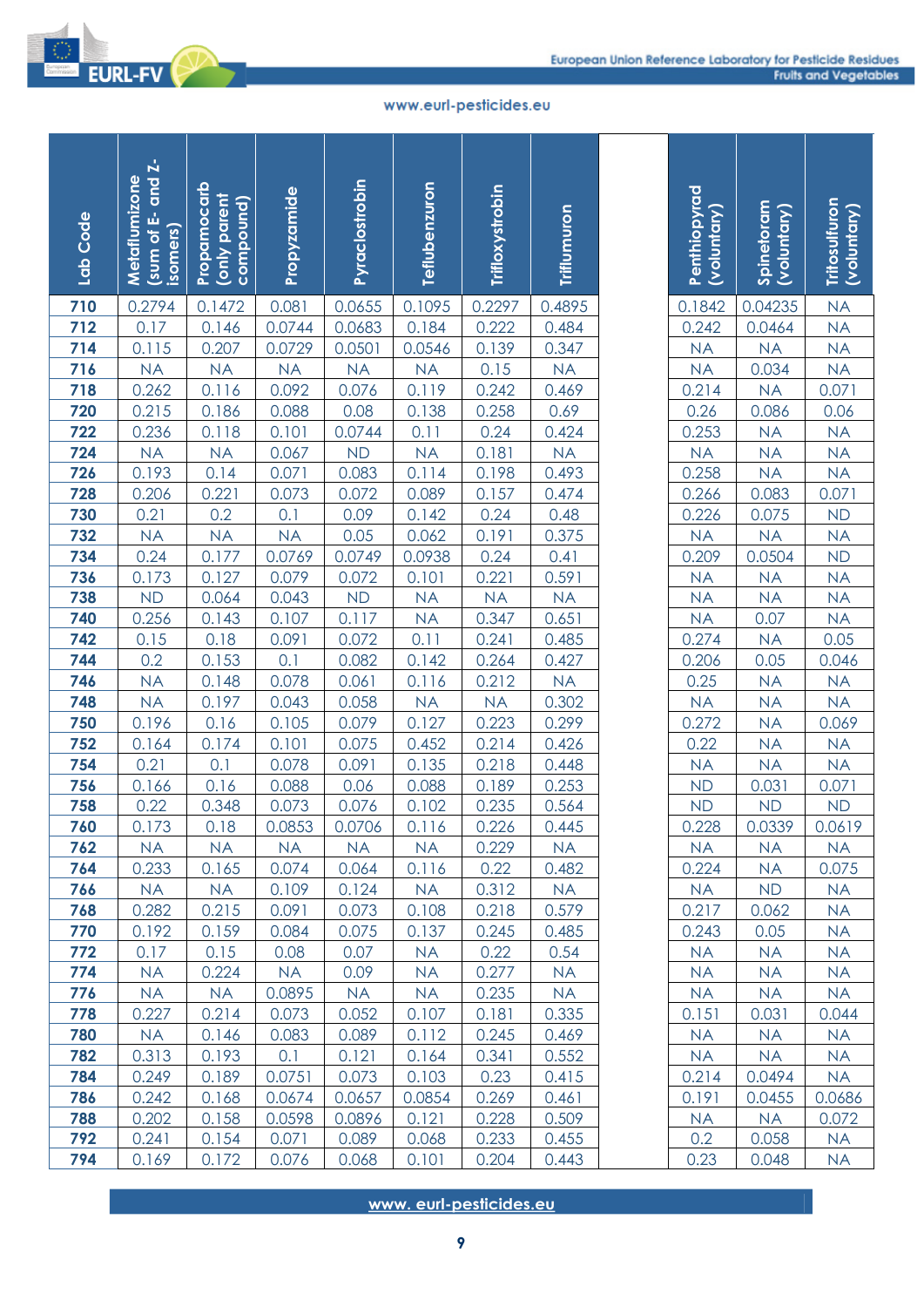

| Lab Code   | and Z-<br>Metaflumizone<br>ŵ<br>isomers)<br>$\frac{1}{2}$ (sum of $\frac{1}{2}$ | Propamocarb<br>(only parent<br>compound) | Propyzamide    | Pyraclostrobin | Teflubenzuron          | Trifloxystrobin | Triflumuron        | <b>Penthiopyrad</b><br>(voluntary) | Spinetoram<br>(voluntary) | Tritosulfuron<br>(voluntary) |
|------------|---------------------------------------------------------------------------------|------------------------------------------|----------------|----------------|------------------------|-----------------|--------------------|------------------------------------|---------------------------|------------------------------|
| 710        | 0.2794                                                                          | 0.1472                                   | 0.081          | 0.0655         | 0.1095                 | 0.2297          | 0.4895             | 0.1842                             | 0.04235                   | NA                           |
| 712        | 0.17                                                                            | 0.146                                    | 0.0744         | 0.0683         | 0.184                  | 0.222           | 0.484              | 0.242                              | 0.0464                    | <b>NA</b>                    |
| 714        | 0.115                                                                           | 0.207                                    | 0.0729         | 0.0501         | 0.0546                 | 0.139           | 0.347              | <b>NA</b>                          | <b>NA</b>                 | NA                           |
| 716        | <b>NA</b>                                                                       | <b>NA</b>                                | <b>NA</b>      | <b>NA</b>      | <b>NA</b>              | 0.15            | <b>NA</b>          | <b>NA</b>                          | 0.034                     | <b>NA</b>                    |
| 718        | 0.262                                                                           | 0.116                                    | 0.092          | 0.076          | 0.119                  | 0.242           | 0.469              | 0.214                              | <b>NA</b>                 | 0.071                        |
| 720        | 0.215                                                                           | 0.186                                    | 0.088          | 0.08           | 0.138                  | 0.258           | 0.69               | 0.26                               | 0.086                     | 0.06                         |
| 722        | 0.236                                                                           | 0.118                                    | 0.101          | 0.0744         | 0.11                   | 0.24            | 0.424              | 0.253                              | <b>NA</b>                 | <b>NA</b>                    |
| 724        | <b>NA</b>                                                                       | <b>NA</b>                                | 0.067          | <b>ND</b>      | <b>NA</b>              | 0.181           | <b>NA</b>          | <b>NA</b>                          | <b>NA</b>                 | <b>NA</b>                    |
| 726        | 0.193                                                                           | 0.14                                     | 0.071          | 0.083          | 0.114                  | 0.198           | 0.493              | 0.258                              | <b>NA</b>                 | <b>NA</b>                    |
| 728        | 0.206<br>0.21                                                                   | 0.221                                    | 0.073<br>0.1   | 0.072          | 0.089<br>0.142         | 0.157<br>0.24   | 0.474              | 0.266                              | 0.083                     | 0.071<br><b>ND</b>           |
| 730<br>732 | <b>NA</b>                                                                       | 0.2<br>NA                                | <b>NA</b>      | 0.09<br>0.05   | 0.062                  | 0.191           | 0.48<br>0.375      | 0.226<br><b>NA</b>                 | 0.075<br><b>NA</b>        | <b>NA</b>                    |
| 734        | 0.24                                                                            | 0.177                                    | 0.0769         | 0.0749         | 0.0938                 | 0.24            | 0.41               | 0.209                              | 0.0504                    | <b>ND</b>                    |
| 736        | 0.173                                                                           | 0.127                                    | 0.079          | 0.072          | 0.101                  | 0.221           | 0.591              | <b>NA</b>                          | <b>NA</b>                 | <b>NA</b>                    |
| 738        | <b>ND</b>                                                                       | 0.064                                    | 0.043          | <b>ND</b>      | <b>NA</b>              | <b>NA</b>       | <b>NA</b>          | <b>NA</b>                          | <b>NA</b>                 | <b>NA</b>                    |
| 740        | 0.256                                                                           | 0.143                                    | 0.107          | 0.117          | <b>NA</b>              | 0.347           | 0.651              | <b>NA</b>                          | 0.07                      | <b>NA</b>                    |
| 742        | 0.15                                                                            | 0.18                                     | 0.091          | 0.072          | 0.11                   | 0.241           | 0.485              | 0.274                              | <b>NA</b>                 | 0.05                         |
| 744        | 0.2                                                                             | 0.153                                    | 0.1            | 0.082          | 0.142                  | 0.264           | 0.427              | 0.206                              | 0.05                      | 0.046                        |
| 746        | <b>NA</b>                                                                       | 0.148                                    | 0.078          | 0.061          | 0.116                  | 0.212           | <b>NA</b>          | 0.25                               | <b>NA</b>                 | <b>NA</b>                    |
| 748        | <b>NA</b>                                                                       | 0.197                                    | 0.043          | 0.058          | <b>NA</b>              | <b>NA</b>       | 0.302              | <b>NA</b>                          | <b>NA</b>                 | NA                           |
| 750        | 0.196                                                                           | 0.16                                     | 0.105          | 0.079          | 0.127                  | 0.223           | 0.299              | 0.272                              | <b>NA</b>                 | 0.069                        |
| 752        | 0.164                                                                           | 0.174                                    | 0.101          | 0.075          | 0.452                  | 0.214           | 0.426              | 0.22                               | <b>NA</b>                 | <b>NA</b>                    |
| 754        | 0.21                                                                            | 0.1                                      | 0.078          | 0.091          | 0.135                  | 0.218           | 0.448              | <b>NA</b>                          | <b>NA</b>                 | <b>NA</b>                    |
| 756        | 0.166                                                                           | 0.16                                     | 0.088          | 0.06           | 0.088                  | 0.189           | 0.253              | <b>ND</b>                          | 0.031                     | 0.071                        |
| 758        | 0.22                                                                            | 0.348                                    | 0.073          | 0.076          | 0.102                  | 0.235           | 0.564              | <b>ND</b>                          | <b>ND</b>                 | <b>ND</b>                    |
| 760        | 0.173                                                                           | 0.18                                     | 0.0853         | 0.0706         | 0.116                  | 0.226           | 0.445              | 0.228                              | 0.0339                    | 0.0619                       |
| 762        | <b>NA</b>                                                                       | <b>NA</b>                                | <b>NA</b>      | <b>NA</b>      | <b>NA</b>              | 0.229           | <b>NA</b>          | <b>NA</b>                          | <b>NA</b>                 | <b>NA</b>                    |
| 764        | 0.233                                                                           | 0.165                                    | 0.074          | 0.064          | 0.116                  | 0.22            | 0.482              | 0.224                              | <b>NA</b>                 | 0.075                        |
| 766<br>768 | <b>NA</b><br>0.282                                                              | <b>NA</b><br>0.215                       | 0.109<br>0.091 | 0.124<br>0.073 | <b>NA</b><br>0.108     | 0.312<br>0.218  | <b>NA</b><br>0.579 | <b>NA</b><br>0.217                 | <b>ND</b>                 | <b>NA</b>                    |
| 770        | 0.192                                                                           | 0.159                                    | 0.084          | 0.075          | 0.137                  | 0.245           | 0.485              | 0.243                              | 0.062<br>0.05             | <b>NA</b><br><b>NA</b>       |
| 772        | 0.17                                                                            | 0.15                                     | 0.08           | 0.07           | <b>NA</b>              | 0.22            | 0.54               | <b>NA</b>                          | <b>NA</b>                 | <b>NA</b>                    |
| 774        | <b>NA</b>                                                                       | 0.224                                    | <b>NA</b>      | 0.09           | <b>NA</b>              | 0.277           | <b>NA</b>          | <b>NA</b>                          | <b>NA</b>                 | <b>NA</b>                    |
| 776        | <b>NA</b>                                                                       | <b>NA</b>                                | 0.0895         | <b>NA</b>      | <b>NA</b>              | 0.235           | <b>NA</b>          | <b>NA</b>                          | <b>NA</b>                 | <b>NA</b>                    |
| 778        | 0.227                                                                           | 0.214                                    | 0.073          | 0.052          | 0.107                  | 0.181           | 0.335              | 0.151                              | 0.031                     | 0.044                        |
| 780        | <b>NA</b>                                                                       | 0.146                                    | 0.083          | 0.089          | 0.112                  | 0.245           | 0.469              | <b>NA</b>                          | <b>NA</b>                 | <b>NA</b>                    |
| 782        | 0.313                                                                           | 0.193                                    | 0.1            | 0.121          | 0.164                  | 0.341           | 0.552              | <b>NA</b>                          | <b>NA</b>                 | <b>NA</b>                    |
| 784        | 0.249                                                                           | 0.189                                    | 0.0751         | 0.073          | 0.103                  | 0.23            | 0.415              | 0.214                              | 0.0494                    | <b>NA</b>                    |
| 786        | 0.242                                                                           | 0.168                                    | 0.0674         | 0.0657         | 0.0854                 | 0.269           | 0.461              | 0.191                              | 0.0455                    | 0.0686                       |
| 788        | 0.202                                                                           | 0.158                                    | 0.0598         | 0.0896         | 0.121                  | 0.228           | 0.509              | <b>NA</b>                          | <b>NA</b>                 | 0.072                        |
| 792        | 0.241                                                                           | 0.154                                    | 0.071          | 0.089          | 0.068                  | 0.233           | 0.455              | 0.2                                | 0.058                     | <b>NA</b>                    |
| 794        | 0.169                                                                           | 0.172                                    | 0.076          | 0.068          | 0.101                  | 0.204           | 0.443              | 0.23                               | 0.048                     | <b>NA</b>                    |
|            |                                                                                 |                                          |                |                | www.eurl-pesticides.eu | 9               |                    |                                    |                           |                              |

| Penthiopyrad<br>(voluntary)                                                                                                                                                                                             | Spinetoram<br>(voluntary)                                   | Tritosulfuron<br>(voluntary)  |
|-------------------------------------------------------------------------------------------------------------------------------------------------------------------------------------------------------------------------|-------------------------------------------------------------|-------------------------------|
|                                                                                                                                                                                                                         |                                                             |                               |
| $\begin{array}{r l} 0.1842 \\ \hline 0.242 \\ \hline \text{NA} \\ 0.214 \\ \hline 0.26 \\ \hline 0.253 \\ \hline \text{NA} \\ 0.258 \\ \hline 0.266 \\ \hline 0.226 \\ \hline \text{NA} \\ 0.209 \\ \hline \end{array}$ | 0.04235<br>0.0464<br>MA<br>0.034<br>MA<br>0.086<br>MA<br>NA |                               |
|                                                                                                                                                                                                                         |                                                             |                               |
|                                                                                                                                                                                                                         |                                                             |                               |
|                                                                                                                                                                                                                         |                                                             |                               |
|                                                                                                                                                                                                                         |                                                             |                               |
|                                                                                                                                                                                                                         |                                                             |                               |
|                                                                                                                                                                                                                         |                                                             |                               |
|                                                                                                                                                                                                                         |                                                             |                               |
|                                                                                                                                                                                                                         | $\frac{NA}{0.083}$                                          |                               |
|                                                                                                                                                                                                                         |                                                             |                               |
|                                                                                                                                                                                                                         | $\frac{0.075}{NA}$                                          |                               |
|                                                                                                                                                                                                                         |                                                             |                               |
|                                                                                                                                                                                                                         |                                                             |                               |
|                                                                                                                                                                                                                         |                                                             |                               |
|                                                                                                                                                                                                                         |                                                             |                               |
| <u>0.207</u><br>NA<br>NA<br>NA<br>0.274                                                                                                                                                                                 | $\frac{0.0504}{NA}$ $\frac{NA}{0.07}$ $\frac{0.07}{NA}$     |                               |
|                                                                                                                                                                                                                         |                                                             |                               |
| $\frac{0.206}{0.206}$<br>$\frac{0.25}{NA}$                                                                                                                                                                              | $\frac{0.05}{NA}$ $\frac{NA}{NA}$                           | 0.046<br>0.046<br>NA<br>0.069 |
|                                                                                                                                                                                                                         |                                                             |                               |
|                                                                                                                                                                                                                         |                                                             |                               |
|                                                                                                                                                                                                                         | $\overline{\mathsf{NA}}$                                    | NA                            |
|                                                                                                                                                                                                                         | $\frac{NA}{0.031}$                                          |                               |
|                                                                                                                                                                                                                         |                                                             | $\frac{NA}{0.071}$            |
| $\frac{0.22}{N}$ $\frac{NA}{ND}$ $\frac{ND}{ND}$                                                                                                                                                                        | $\overline{ND}$                                             | $\overline{ND}$               |
| 0.228                                                                                                                                                                                                                   | 0.0339                                                      | 0.0619                        |
| <b>NA</b>                                                                                                                                                                                                               | <b>NA</b>                                                   | <b>NA</b>                     |
| 0.224                                                                                                                                                                                                                   | $N\underline{A}$                                            | 0.075                         |
| <b>NA</b>                                                                                                                                                                                                               | ND                                                          | <b>NA</b>                     |
| 0.217                                                                                                                                                                                                                   | 0.062                                                       | <b>NA</b>                     |
| 0.243                                                                                                                                                                                                                   | 0.05                                                        | <b>NA</b>                     |
| <b>NA</b>                                                                                                                                                                                                               | <b>NA</b>                                                   | <b>NA</b>                     |
| <b>NA</b>                                                                                                                                                                                                               | <b>NA</b>                                                   | <b>NA</b>                     |
| <b>NA</b>                                                                                                                                                                                                               | <b>NA</b>                                                   | <b>NA</b>                     |
| 0.151                                                                                                                                                                                                                   | 0.031                                                       | 0.044                         |
| <b>NA</b>                                                                                                                                                                                                               | <b>NA</b>                                                   | <b>NA</b>                     |
| <b>NA</b>                                                                                                                                                                                                               | <b>NA</b>                                                   | <b>NA</b>                     |
| 0.214                                                                                                                                                                                                                   | 0.0494                                                      | <b>NA</b>                     |
| 0.191                                                                                                                                                                                                                   | 0.0455                                                      | 0.0686                        |
| <b>NA</b>                                                                                                                                                                                                               | <b>NA</b>                                                   | 0.072                         |
| 0.2                                                                                                                                                                                                                     | 0.058                                                       | <b>NA</b>                     |
| 0.23                                                                                                                                                                                                                    | 0.048                                                       | <b>NA</b>                     |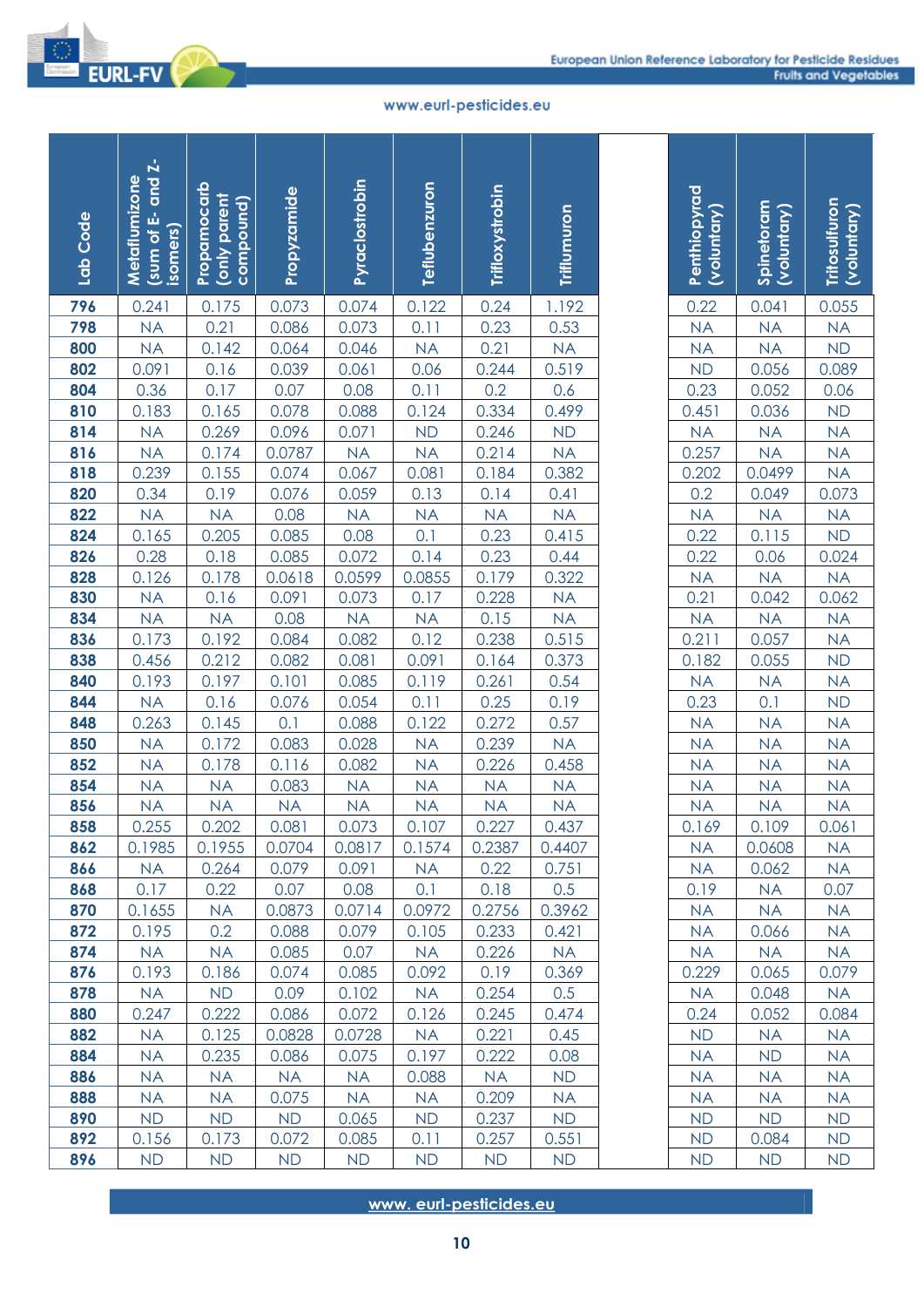

| Lab Code   | and Z-<br>Metaflumizone<br>菡<br>isomers)<br>io unos) | Propamocarb<br>(only parent<br>compound) | Propyzamide    | Pyraclostrobin     | Teflubenzuron          | Trifloxystrobin   | Triflumuron        | Penthiopyrad<br>(voluntary) | Spinetoram<br>(Voluntary) | Tritosulfuron<br>(voluntary) |
|------------|------------------------------------------------------|------------------------------------------|----------------|--------------------|------------------------|-------------------|--------------------|-----------------------------|---------------------------|------------------------------|
| 796        | 0.241                                                | 0.175                                    | 0.073          | 0.074              | 0.122                  | 0.24              | 1.192              | 0.22                        | 0.041                     | 0.055                        |
| 798        | <b>NA</b>                                            | 0.21                                     | 0.086          | 0.073              | 0.11                   | 0.23              | 0.53               | <b>NA</b>                   | <b>NA</b>                 | NA                           |
| 800        | <b>NA</b>                                            | 0.142                                    | 0.064          | 0.046              | <b>NA</b>              | 0.21              | <b>NA</b>          | <b>NA</b>                   | <b>NA</b>                 | <b>ND</b>                    |
| 802        | 0.091                                                | 0.16                                     | 0.039          | 0.061              | 0.06                   | 0.244             | 0.519              | <b>ND</b>                   | 0.056                     | 0.089                        |
| 804        | 0.36                                                 | 0.17                                     | 0.07           | 0.08               | 0.11                   | 0.2               | 0.6                | 0.23                        | 0.052                     | 0.06                         |
| 810        | 0.183                                                | 0.165                                    | 0.078          | 0.088              | 0.124                  | 0.334             | 0.499              | 0.451                       | 0.036                     | <b>ND</b>                    |
| 814        | <b>NA</b>                                            | 0.269                                    | 0.096          | 0.071              | <b>ND</b>              | 0.246             | <b>ND</b>          | <b>NA</b>                   | <b>NA</b>                 | <b>NA</b>                    |
| 816        | <b>NA</b>                                            | 0.174                                    | 0.0787         | <b>NA</b>          | <b>NA</b>              | 0.214             | <b>NA</b>          | 0.257                       | <b>NA</b>                 | NA                           |
| 818<br>820 | 0.239                                                | 0.155                                    | 0.074          | 0.067              | 0.081                  | 0.184             | 0.382              | 0.202                       | 0.0499                    | NA                           |
| 822        | 0.34<br><b>NA</b>                                    | 0.19                                     | 0.076<br>0.08  | 0.059<br><b>NA</b> | 0.13<br><b>NA</b>      | 0.14<br><b>NA</b> | 0.41               | 0.2<br><b>NA</b>            | 0.049<br><b>NA</b>        | 0.073                        |
| 824        | 0.165                                                | <b>NA</b><br>0.205                       | 0.085          | 0.08               | 0.1                    | 0.23              | <b>NA</b><br>0.415 | 0.22                        | 0.115                     | <b>NA</b><br>ND              |
| 826        | 0.28                                                 | 0.18                                     | 0.085          | 0.072              | 0.14                   | 0.23              | 0.44               | 0.22                        | 0.06                      | 0.024                        |
| 828        | 0.126                                                | 0.178                                    | 0.0618         | 0.0599             | 0.0855                 | 0.179             | 0.322              | <b>NA</b>                   | <b>NA</b>                 | NA                           |
| 830        | <b>NA</b>                                            | 0.16                                     | 0.091          | 0.073              | 0.17                   | 0.228             | <b>NA</b>          | 0.21                        | 0.042                     | 0.062                        |
| 834        | <b>NA</b>                                            | <b>NA</b>                                | 0.08           | <b>NA</b>          | <b>NA</b>              | 0.15              | <b>NA</b>          | <b>NA</b>                   | <b>NA</b>                 | <b>NA</b>                    |
| 836        | 0.173                                                | 0.192                                    | 0.084          | 0.082              | 0.12                   | 0.238             | 0.515              | 0.211                       | 0.057                     | <b>NA</b>                    |
| 838        | 0.456                                                | 0.212                                    | 0.082          | 0.081              | 0.091                  | 0.164             | 0.373              | 0.182                       | 0.055                     | <b>ND</b>                    |
| 840        | 0.193                                                | 0.197                                    | 0.101          | 0.085              | 0.119                  | 0.261             | 0.54               | <b>NA</b>                   | <b>NA</b>                 | NA                           |
| 844        | <b>NA</b>                                            | 0.16                                     | 0.076          | 0.054              | 0.11                   | 0.25              | 0.19               | 0.23                        | 0.1                       | <b>ND</b>                    |
| 848        | 0.263                                                | 0.145                                    | 0.1            | 0.088              | 0.122                  | 0.272             | 0.57               | <b>NA</b>                   | <b>NA</b>                 | NA                           |
| 850        | <b>NA</b>                                            | 0.172                                    | 0.083          | 0.028              | <b>NA</b>              | 0.239             | <b>NA</b>          | <b>NA</b>                   | <b>NA</b>                 | <b>NA</b>                    |
| 852        | <b>NA</b>                                            | 0.178                                    | 0.116          | 0.082              | <b>NA</b>              | 0.226             | 0.458              | <b>NA</b>                   | <b>NA</b>                 | <b>NA</b>                    |
| 854        | <b>NA</b>                                            | <b>NA</b>                                | 0.083          | <b>NA</b>          | <b>NA</b>              | <b>NA</b>         | <b>NA</b>          | <b>NA</b>                   | <b>NA</b>                 | <b>NA</b>                    |
| 856        | <b>NA</b>                                            | <b>NA</b>                                | <b>NA</b>      | <b>NA</b>          | NA                     | <b>NA</b>         | <b>NA</b>          | <b>NA</b>                   | <b>NA</b>                 | NA                           |
| 858        | 0.255                                                | 0.202                                    | 0.081          | 0.073              | 0.107                  | 0.227             | 0.437              | 0.169                       | 0.109                     | 0.061                        |
| 862        | 0.1985                                               | 0.1955                                   | 0.0704         | 0.0817             | 0.1574                 | 0.2387            | 0.4407             | <b>NA</b>                   | 0.0608                    | <b>NA</b>                    |
| 866        | <b>NA</b>                                            | 0.264                                    | 0.079          | 0.091              | <b>NA</b>              | 0.22              | 0.751              | <b>NA</b>                   | 0.062                     | NA.                          |
| 868        | 0.17                                                 | 0.22                                     | 0.07           | 0.08               | 0.1                    | 0.18              | 0.5                | 0.19                        | <b>NA</b>                 | 0.07                         |
| 870        | 0.1655                                               | <b>NA</b>                                | 0.0873         | 0.0714             | 0.0972                 | 0.2756            | 0.3962             | <b>NA</b>                   | <b>NA</b>                 | <b>NA</b>                    |
| 872<br>874 | 0.195<br><b>NA</b>                                   | 0.2<br><b>NA</b>                         | 0.088<br>0.085 | 0.079<br>0.07      | 0.105<br><b>NA</b>     | 0.233<br>0.226    | 0.421<br><b>NA</b> | <b>NA</b><br><b>NA</b>      | 0.066<br><b>NA</b>        | <b>NA</b><br><b>NA</b>       |
| 876        | 0.193                                                | 0.186                                    | 0.074          | 0.085              | 0.092                  | 0.19              | 0.369              | 0.229                       | 0.065                     | 0.079                        |
| 878        | <b>NA</b>                                            | <b>ND</b>                                | 0.09           | 0.102              | <b>NA</b>              | 0.254             | 0.5                | <b>NA</b>                   | 0.048                     | <b>NA</b>                    |
| 880        | 0.247                                                | 0.222                                    | 0.086          | 0.072              | 0.126                  | 0.245             | 0.474              | 0.24                        | 0.052                     | 0.084                        |
| 882        | <b>NA</b>                                            | 0.125                                    | 0.0828         | 0.0728             | <b>NA</b>              | 0.221             | 0.45               | <b>ND</b>                   | <b>NA</b>                 | <b>NA</b>                    |
| 884        | <b>NA</b>                                            | 0.235                                    | 0.086          | 0.075              | 0.197                  | 0.222             | 0.08               | <b>NA</b>                   | <b>ND</b>                 | <b>NA</b>                    |
| 886        | <b>NA</b>                                            | <b>NA</b>                                | <b>NA</b>      | <b>NA</b>          | 0.088                  | <b>NA</b>         | <b>ND</b>          | <b>NA</b>                   | <b>NA</b>                 | <b>NA</b>                    |
| 888        | <b>NA</b>                                            | <b>NA</b>                                | 0.075          | <b>NA</b>          | <b>NA</b>              | 0.209             | <b>NA</b>          | <b>NA</b>                   | <b>NA</b>                 | <b>NA</b>                    |
| 890        | <b>ND</b>                                            | <b>ND</b>                                | <b>ND</b>      | 0.065              | <b>ND</b>              | 0.237             | <b>ND</b>          | <b>ND</b>                   | <b>ND</b>                 | <b>ND</b>                    |
| 892        | 0.156                                                | 0.173                                    | 0.072          | 0.085              | 0.11                   | 0.257             | 0.551              | <b>ND</b>                   | 0.084                     | <b>ND</b>                    |
| 896        | <b>ND</b>                                            | <b>ND</b>                                | <b>ND</b>      | <b>ND</b>          | <b>ND</b>              | <b>ND</b>         | <b>ND</b>          | <b>ND</b>                   | <b>ND</b>                 | <b>ND</b>                    |
|            |                                                      |                                          |                |                    | www.eurl-pesticides.eu | 10                |                    |                             |                           |                              |

|                             | Spinetoram<br>(Voluntary)                                                                                                                                                                                                                                                                                      | <b>Tritosulfuron</b><br>(voluntary) |
|-----------------------------|----------------------------------------------------------------------------------------------------------------------------------------------------------------------------------------------------------------------------------------------------------------------------------------------------------------|-------------------------------------|
| Penthiopyrad<br>(voluntary) |                                                                                                                                                                                                                                                                                                                |                                     |
|                             |                                                                                                                                                                                                                                                                                                                |                                     |
|                             |                                                                                                                                                                                                                                                                                                                |                                     |
|                             |                                                                                                                                                                                                                                                                                                                |                                     |
|                             |                                                                                                                                                                                                                                                                                                                |                                     |
|                             |                                                                                                                                                                                                                                                                                                                |                                     |
|                             |                                                                                                                                                                                                                                                                                                                |                                     |
|                             |                                                                                                                                                                                                                                                                                                                |                                     |
|                             |                                                                                                                                                                                                                                                                                                                |                                     |
|                             |                                                                                                                                                                                                                                                                                                                |                                     |
|                             |                                                                                                                                                                                                                                                                                                                |                                     |
|                             |                                                                                                                                                                                                                                                                                                                |                                     |
|                             |                                                                                                                                                                                                                                                                                                                |                                     |
|                             |                                                                                                                                                                                                                                                                                                                |                                     |
|                             |                                                                                                                                                                                                                                                                                                                |                                     |
|                             |                                                                                                                                                                                                                                                                                                                |                                     |
|                             |                                                                                                                                                                                                                                                                                                                |                                     |
|                             | 0.041<br>NA<br>NA<br>0.056<br>0.052<br>0.052<br>0.052<br>NA<br>NA<br>0.115<br>0.06<br>NA<br>0.042<br>NA<br>0.057<br>NA<br>0.055<br>NA<br>0.052<br>NA<br>0.049<br>NA<br>0.064<br>NA<br>0.065<br>NA<br>0.065<br>NA<br>0.052<br>NA<br>0.055<br>NA<br>0.055<br>NA<br>0.055<br>NA<br>0.055<br>NA<br>0.055<br>NA<br> |                                     |
|                             |                                                                                                                                                                                                                                                                                                                |                                     |
|                             |                                                                                                                                                                                                                                                                                                                |                                     |
|                             |                                                                                                                                                                                                                                                                                                                |                                     |
|                             |                                                                                                                                                                                                                                                                                                                |                                     |
|                             |                                                                                                                                                                                                                                                                                                                |                                     |
|                             |                                                                                                                                                                                                                                                                                                                |                                     |
| <b>NA</b>                   | <b>NA</b>                                                                                                                                                                                                                                                                                                      | <b>NA</b>                           |
| 0.169                       | 0.109                                                                                                                                                                                                                                                                                                          | 0.061                               |
| <b>NA</b>                   | 0.0608                                                                                                                                                                                                                                                                                                         | NA                                  |
| <b>NA</b>                   | 0.062                                                                                                                                                                                                                                                                                                          | <b>NA</b>                           |
| 0.19                        | <b>NA</b>                                                                                                                                                                                                                                                                                                      | 0.07                                |
| <b>NA</b>                   | <b>NA</b>                                                                                                                                                                                                                                                                                                      | <b>NA</b>                           |
| <b>NA</b>                   | 0.066                                                                                                                                                                                                                                                                                                          | <b>NA</b>                           |
| <b>NA</b>                   | <b>NA</b>                                                                                                                                                                                                                                                                                                      | <b>NA</b>                           |
| 0.229                       | 0.065                                                                                                                                                                                                                                                                                                          | 0.079                               |
| <b>NA</b>                   | 0.048                                                                                                                                                                                                                                                                                                          | <b>NA</b>                           |
| 0.24                        | 0.052                                                                                                                                                                                                                                                                                                          | 0.084                               |
| ND                          | <b>NA</b>                                                                                                                                                                                                                                                                                                      | NΑ                                  |
| <b>NA</b>                   | <b>ND</b>                                                                                                                                                                                                                                                                                                      | <b>NA</b>                           |
| NA                          | <b>NA</b>                                                                                                                                                                                                                                                                                                      | <b>NA</b>                           |
| <b>NA</b>                   | <b>NA</b>                                                                                                                                                                                                                                                                                                      | <b>NA</b>                           |
| <b>ND</b>                   | <b>ND</b>                                                                                                                                                                                                                                                                                                      | <b>ND</b>                           |
| <b>ND</b><br><b>ND</b>      | 0.084<br><b>ND</b>                                                                                                                                                                                                                                                                                             | ND <sub></sub><br><b>ND</b>         |
|                             |                                                                                                                                                                                                                                                                                                                |                                     |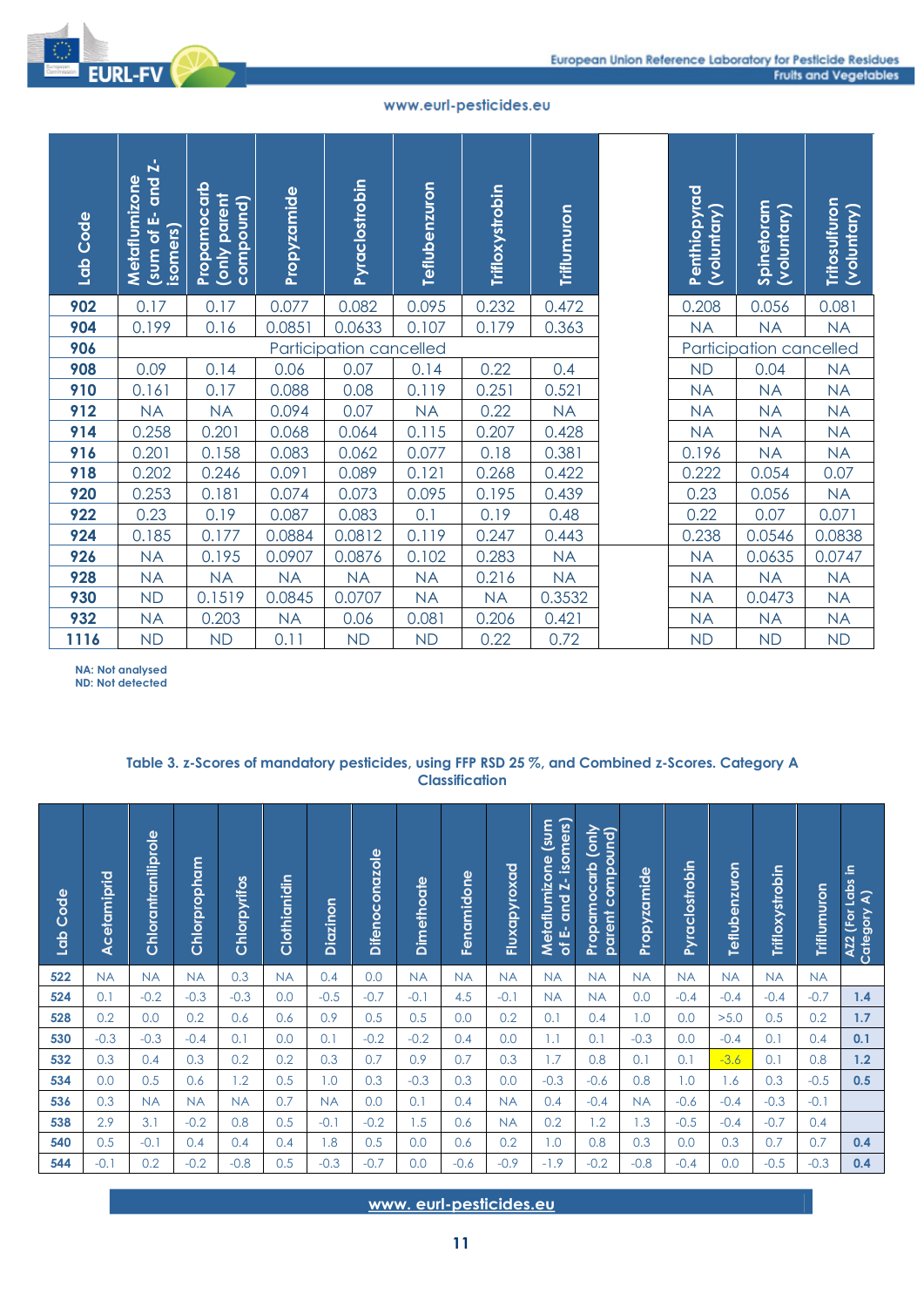



|            | Lab Code      | and Z-<br>Metaflumizone<br>$\overline{\left(\text{sum of } E\right)}$<br>isomers) | Propamocarb<br>(only parent | compound)    | Propyzamide    |            | <b>Pyraclostrobin</b> | Teflubenzuron           |                       | <b>Trifloxystrobin</b> | Triflumuron                                 |                                       |               | Penthiopyrad   | (voluntary)          | Spinetoram<br>(voluntary)                                                                        | Tritosulfuron     | (voluntary)                     |
|------------|---------------|-----------------------------------------------------------------------------------|-----------------------------|--------------|----------------|------------|-----------------------|-------------------------|-----------------------|------------------------|---------------------------------------------|---------------------------------------|---------------|----------------|----------------------|--------------------------------------------------------------------------------------------------|-------------------|---------------------------------|
| 902        |               | 0.17                                                                              | 0.17                        |              | 0.077          |            | 0.082                 | 0.095                   |                       | 0.232                  | 0.472                                       |                                       |               | 0.208          |                      | 0.056                                                                                            | 0.081             |                                 |
| 904        |               | 0.199                                                                             | 0.16                        |              | 0.0851         |            | 0.0633                | 0.107                   |                       | 0.179                  | 0.363                                       |                                       |               | <b>NA</b>      |                      | <b>NA</b>                                                                                        | <b>NA</b>         |                                 |
| 906        |               |                                                                                   |                             |              |                |            |                       | Participation cancelled |                       |                        |                                             |                                       |               |                |                      | Participation cancelled                                                                          |                   |                                 |
| 908        |               | 0.09                                                                              | 0.14                        |              | 0.06           |            | 0.07                  | 0.14                    |                       | 0.22                   | 0.4                                         |                                       |               | <b>ND</b>      |                      | 0.04                                                                                             | <b>NA</b>         |                                 |
| 910        |               | 0.161                                                                             | 0.17                        |              | 0.088          |            | 0.08                  | 0.119                   |                       | 0.251                  | 0.521                                       |                                       |               | <b>NA</b>      |                      | <b>NA</b>                                                                                        | <b>NA</b>         |                                 |
| 912        |               | <b>NA</b>                                                                         | <b>NA</b>                   |              | 0.094          |            | 0.07                  | <b>NA</b>               |                       | 0.22                   | <b>NA</b>                                   |                                       |               | <b>NA</b>      |                      | <b>NA</b>                                                                                        | <b>NA</b>         |                                 |
| 914        |               | 0.258                                                                             | 0.201                       |              | 0.068          |            | 0.064                 | 0.115                   |                       | 0.207                  | 0.428                                       |                                       |               | <b>NA</b>      |                      | <b>NA</b>                                                                                        | <b>NA</b>         |                                 |
| 916<br>918 |               | 0.201<br>0.202                                                                    | 0.158<br>0.246              |              | 0.083<br>0.091 |            | 0.062<br>0.089        | 0.077<br>0.121          |                       | 0.18<br>0.268          | 0.381<br>0.422                              |                                       |               | 0.196<br>0.222 |                      | <b>NA</b><br>0.054                                                                               | <b>NA</b><br>0.07 |                                 |
| 920        |               | 0.253                                                                             | 0.181                       |              | 0.074          |            | 0.073                 | 0.095                   |                       | 0.195                  | 0.439                                       |                                       |               | 0.23           |                      | 0.056                                                                                            | <b>NA</b>         |                                 |
| 922        |               | 0.23                                                                              | 0.19                        |              | 0.087          |            | 0.083                 | 0.1                     |                       | 0.19                   | 0.48                                        |                                       |               | 0.22           |                      | 0.07                                                                                             | 0.071             |                                 |
| 924        |               | 0.185                                                                             | 0.177                       |              | 0.0884         |            | 0.0812                | 0.119                   |                       | 0.247                  | 0.443                                       |                                       |               | 0.238          |                      | 0.0546                                                                                           | 0.0838            |                                 |
| 926        |               | <b>NA</b>                                                                         | 0.195                       |              | 0.0907         |            | 0.0876                | 0.102                   |                       | 0.283                  | <b>NA</b>                                   |                                       |               | <b>NA</b>      |                      | 0.0635                                                                                           | 0.0747            |                                 |
| 928        |               | <b>NA</b>                                                                         | <b>NA</b>                   |              | <b>NA</b>      |            | <b>NA</b>             | <b>NA</b>               |                       | 0.216                  | <b>NA</b>                                   |                                       |               | <b>NA</b>      |                      | <b>NA</b>                                                                                        | <b>NA</b>         |                                 |
| 930        |               | <b>ND</b>                                                                         | 0.1519                      |              | 0.0845         |            | 0.0707                | <b>NA</b>               |                       | <b>NA</b>              | 0.3532                                      |                                       |               | <b>NA</b>      |                      | 0.0473                                                                                           | <b>NA</b>         |                                 |
| 932        |               | <b>NA</b>                                                                         | 0.203                       |              | <b>NA</b>      |            | 0.06                  | 0.081                   |                       | 0.206                  | 0.421                                       |                                       |               | <b>NA</b>      |                      | <b>NA</b>                                                                                        | <b>NA</b>         |                                 |
| 1116       |               | <b>ND</b>                                                                         | <b>ND</b>                   |              | 0.11           |            | <b>ND</b>             | <b>ND</b>               |                       | 0.22                   | 0.72                                        |                                       |               | <b>ND</b>      |                      | <b>ND</b>                                                                                        | <b>ND</b>         |                                 |
|            |               |                                                                                   |                             |              |                |            |                       |                         | <b>Classification</b> |                        |                                             |                                       |               |                |                      | Table 3. z-Scores of mandatory pesticides, using FFP RSD 25 %, and Combined z-Scores. Category A |                   |                                 |
| Lab Code   | Acetamiprid   | Chlorantraniliprole                                                               | Chlorpropham                | Chlorpyrifos | Clothianidin   | Diazinon   | <b>Difenoconazole</b> | <b>Dimethoate</b>       | Fenamidone            | Fluxapyroxad           | Metaflumizone (sum<br>of E- and Z- isomers) | Propamocarb (only<br>parent compound) | Propyzamide   | Pyraclostrobin | <b>Teflubenzuron</b> | Trifloxystrobin                                                                                  | Triflumuron       | AZ2 (For Labs in<br>Category A) |
| 522        | <b>NA</b>     | <b>NA</b>                                                                         | <b>NA</b>                   | 0.3          | <b>NA</b>      | 0.4        | 0.0                   | <b>NA</b>               | <b>NA</b>             | <b>NA</b>              | <b>NA</b>                                   | <b>NA</b>                             | <b>NA</b>     | <b>NA</b>      | <b>NA</b>            | <b>NA</b>                                                                                        | <b>NA</b>         |                                 |
| 524        | 0.1           | $-0.2$                                                                            | $-0.3$                      | $-0.3$       | 0.0            | $-0.5$     | $-0.7$                | $-0.1$                  | 4.5                   | $-0.1$                 | <b>NA</b>                                   | <b>NA</b>                             | 0.0           | $-0.4$         | $-0.4$               | $-0.4$                                                                                           | $-0.7$            | 1.4                             |
| 528<br>530 | 0.2<br>$-0.3$ | 0.0<br>$-0.3$                                                                     | 0.2<br>$-0.4$               | 0.6<br>0.1   | 0.6<br>0.0     | 0.9<br>0.1 | 0.5<br>$-0.2$         | 0.5<br>$-0.2$           | 0.0<br>0.4            | 0.2<br>0.0             | 0.1<br>1.1                                  | 0.4<br>0.1                            | 1.0<br>$-0.3$ | 0.0<br>0.0     | >5.0<br>$-0.4$       | 0.5<br>0.1                                                                                       | 0.2<br>0.4        | 1.7<br>0.1                      |
| 532        | 0.3           | 0.4                                                                               | 0.3                         | 0.2          | 0.2            | 0.3        | 0.7                   | 0.9                     | 0.7                   | 0.3                    | 1.7                                         | 0.8                                   | 0.1           | 0.1            | $-3.6$               | 0.1                                                                                              | 0.8               | 1.2                             |
| 534        | 0.0           | 0.5                                                                               | 0.6                         | 1.2          | 0.5            | 1.0        | 0.3                   | $-0.3$                  | 0.3                   | 0.0                    | $-0.3$                                      | $-0.6$                                | 0.8           | 1.0            | 1.6                  | 0.3                                                                                              | $-0.5$            |                                 |
| 536        | 0.3           | <b>NA</b>                                                                         | <b>NA</b>                   |              |                |            |                       | 0.1                     | 0.4                   |                        |                                             |                                       | <b>NA</b>     | $-0.6$         | $-0.4$               |                                                                                                  |                   | 0.5                             |
| 538        | 2.9           | 3.1                                                                               |                             | <b>NA</b>    | 0.7            | <b>NA</b>  | 0.0                   |                         |                       | <b>NA</b>              | 0.4                                         | $-0.4$                                |               |                |                      | $-0.3$                                                                                           | $-0.1$            |                                 |
| 540        |               |                                                                                   | $-0.2$                      | 0.8          | 0.5            | $-0.1$     | $-0.2$                | 1.5                     | 0.6                   | <b>NA</b>              | 0.2                                         | 1.2                                   | 1.3           | $-0.5$         | $-0.4$               | $-0.7$                                                                                           | 0.4               |                                 |
|            | 0.5           | $-0.1$                                                                            | 0.4                         | 0.4          | 0.4            | 1.8        | 0.5                   | 0.0                     | 0.6                   | 0.2                    | 1.0                                         | 0.8                                   | 0.3           | 0.0            | 0.3                  | 0.7                                                                                              | 0.7               | 0.4                             |
| 544        | $-0.1$        | 0.2                                                                               | $-0.2$                      | $-0.8$       | 0.5            | $-0.3$     | $-0.7$                | 0.0                     | $-0.6$                | $-0.9$                 | $-1.9$                                      | $-0.2$                                | $-0.8$        | $-0.4$         | 0.0                  | $-0.5$                                                                                           | $-0.3$            | 0.4                             |

**RL-FV** 

## **Table 3. z-Scores of mandatory pesticides, using FFP RSD 25 %, and Combined z-Scores. Category A Classification**

| Lab Code | Acetamiprid | Chlorantraniliprole | Chlorpropham | Chlorpyrifos | Clothianidin | Diazinon  | <b>Difenoconazole</b> | Dimethoate | Fenamidone | Fluxapyroxad | <b>Mns</b><br>of E- and Z- isomers)<br>Metaflumizone | (only<br>parent compound)<br>Propamocarb | Propyzamide | Pyraclostrobin | Teflubenzuron | Trifloxystrobin | <b>Triflumuron</b> | AZ2 (For Labs in<br>ৰ<br>Category |
|----------|-------------|---------------------|--------------|--------------|--------------|-----------|-----------------------|------------|------------|--------------|------------------------------------------------------|------------------------------------------|-------------|----------------|---------------|-----------------|--------------------|-----------------------------------|
| 522      | <b>NA</b>   | <b>NA</b>           | <b>NA</b>    | 0.3          | <b>NA</b>    | 0.4       | 0.0                   | <b>NA</b>  | <b>NA</b>  | <b>NA</b>    | <b>NA</b>                                            | <b>NA</b>                                | <b>NA</b>   | <b>NA</b>      | <b>NA</b>     | <b>NA</b>       | <b>NA</b>          |                                   |
| 524      | 0.1         | $-0.2$              | $-0.3$       | $-0.3$       | 0.0          | $-0.5$    | $-0.7$                | $-0.1$     | 4.5        | $-0.1$       | <b>NA</b>                                            | <b>NA</b>                                | 0.0         | $-0.4$         | $-0.4$        | $-0.4$          | $-0.7$             | 1.4                               |
| 528      | 0.2         | 0.0                 | 0.2          | 0.6          | 0.6          | 0.9       | 0.5                   | 0.5        | 0.0        | 0.2          | 0.1                                                  | 0.4                                      | 1.0         | 0.0            | >5.0          | 0.5             | 0.2                | 1.7                               |
| 530      | $-0.3$      | $-0.3$              | $-0.4$       | 0.1          | 0.0          | 0.1       | $-0.2$                | $-0.2$     | 0.4        | 0.0          | 1.1                                                  | 0.1                                      | $-0.3$      | 0.0            | $-0.4$        | 0.1             | 0.4                | 0.1                               |
| 532      | 0.3         | 0.4                 | 0.3          | 0.2          | 0.2          | 0.3       | 0.7                   | 0.9        | 0.7        | 0.3          | 1.7                                                  | 0.8                                      | 0.1         | 0.1            | $-3.6$        | 0.1             | 0.8                | 1.2                               |
| 534      | 0.0         | 0.5                 | 0.6          | 1.2          | 0.5          | 1.0       | 0.3                   | $-0.3$     | 0.3        | 0.0          | $-0.3$                                               | $-0.6$                                   | 0.8         | 1.0            | 1.6           | 0.3             | $-0.5$             | 0.5                               |
| 536      | 0.3         | <b>NA</b>           | <b>NA</b>    | <b>NA</b>    | 0.7          | <b>NA</b> | 0.0                   | 0.1        | 0.4        | <b>NA</b>    | 0.4                                                  | $-0.4$                                   | <b>NA</b>   | $-0.6$         | $-0.4$        | $-0.3$          | $-0.1$             |                                   |
| 538      | 2.9         | 3.1                 | $-0.2$       | 0.8          | 0.5          | $-0.1$    | $-0.2$                | 1.5        | 0.6        | <b>NA</b>    | 0.2                                                  | 1.2                                      | 1.3         | $-0.5$         | $-0.4$        | $-0.7$          | 0.4                |                                   |
| 540      | 0.5         | $-0.1$              | 0.4          | 0.4          | 0.4          | 1.8       | 0.5                   | 0.0        | 0.6        | 0.2          | 1.0                                                  | 0.8                                      | 0.3         | 0.0            | 0.3           | 0.7             | 0.7                | 0.4                               |
| 544      | $-0.1$      | 0.2                 | $-0.2$       | $-0.8$       | 0.5          | $-0.3$    | $-0.7$                | 0.0        | $-0.6$     | $-0.9$       | $-1.9$                                               | $-0.2$                                   | $-0.8$      | $-0.4$         | 0.0           | $-0.5$          | $-0.3$             | 0.4                               |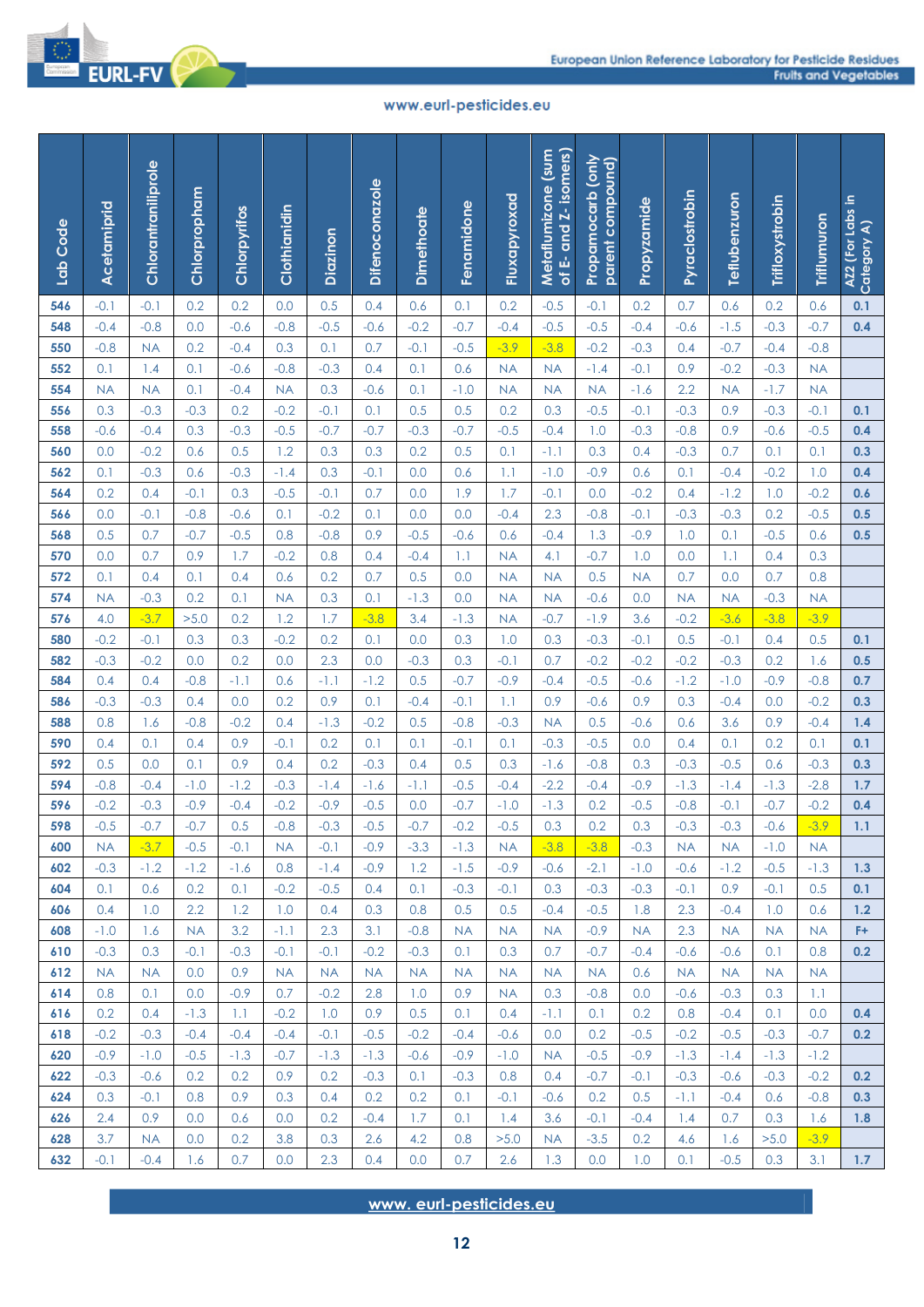

| Lab Code   | Acetamiprid         | Chlorantraniliprole | Chlorpropham     | Chlorpyrifos  | Clothianidin     | Diazinon         | <b>Difenoconazole</b> | <b>Dimethoate</b> | Fenamidone                   | Fluxapyroxad        | of E- and Z- isomers)<br>Metaflumizone (sum | Propamocarb (only<br>parent compound) | Propyzamide      | Pyraclostrobin      | Teflubenzuron       | Trifloxystrobin  | Triflumuron      | AZ2 (For Labs in<br>Category A) |
|------------|---------------------|---------------------|------------------|---------------|------------------|------------------|-----------------------|-------------------|------------------------------|---------------------|---------------------------------------------|---------------------------------------|------------------|---------------------|---------------------|------------------|------------------|---------------------------------|
| 546        | $-0.1$              | $-0.1$              | 0.2              | 0.2           | 0.0              | 0.5              | 0.4                   | 0.6               | 0.1                          | 0.2                 | $-0.5$                                      | $-0.1$                                | 0.2              | 0.7                 | 0.6                 | 0.2              | 0.6              | 0.1                             |
| 548        | $-0.4$              | $-0.8$              | 0.0              | $-0.6$        | $-0.8$           | $-0.5$           | $-0.6$                | $-0.2$            | $-0.7$                       | $-0.4$              | $-0.5$                                      | $-0.5$                                | $-0.4$           | $-0.6$              | $-1.5$              | $-0.3$           | $-0.7$           | 0.4                             |
| 550        | $-0.8$              | <b>NA</b>           | 0.2              | $-0.4$        | 0.3              | 0.1              | 0.7                   | $-0.1$            | $-0.5$                       | $-3.9$              | $-3.8$                                      | $-0.2$                                | $-0.3$           | 0.4                 | $-0.7$              | $-0.4$           | $-0.8$           |                                 |
| 552        | 0.1                 | 1.4                 | 0.1              | $-0.6$        | $-0.8$           | $-0.3$           | 0.4                   | 0.1               | 0.6                          | <b>NA</b>           | <b>NA</b>                                   | $-1.4$                                | $-0.1$           | 0.9                 | $-0.2$              | $-0.3$           | <b>NA</b>        |                                 |
| 554        | <b>NA</b>           | <b>NA</b>           | 0.1              | $-0.4$        | <b>NA</b>        | 0.3              | $-0.6$                | 0.1               | $-1.0$                       | <b>NA</b>           | <b>NA</b>                                   | <b>NA</b>                             | $-1.6$           | 2.2                 | <b>NA</b>           | $-1.7$           | <b>NA</b>        |                                 |
| 556        | 0.3                 | $-0.3$              | $-0.3$           | 0.2           | $-0.2$           | $-0.1$           | 0.1                   | 0.5               | 0.5                          | 0.2                 | 0.3                                         | $-0.5$                                | $-0.1$           | $-0.3$              | 0.9                 | $-0.3$           | $-0.1$           | 0.1                             |
| 558        | $-0.6$              | $-0.4$              | 0.3              | $-0.3$        | $-0.5$           | $-0.7$           | $-0.7$                | $-0.3$            | $-0.7$                       | $-0.5$              | $-0.4$                                      | 1.0                                   | $-0.3$           | $-0.8$              | 0.9                 | $-0.6$           | $-0.5$           | 0.4                             |
| 560        | 0.0                 | $-0.2$              | 0.6              | 0.5           | 1.2              | 0.3              | 0.3                   | 0.2               | 0.5                          | 0.1                 | $-1.1$                                      | 0.3                                   | 0.4              | $-0.3$              | 0.7                 | 0.1              | 0.1              | 0.3                             |
| 562        | 0.1                 | $-0.3$              | 0.6              | $-0.3$        | $-1.4$           | 0.3              | $-0.1$                | 0.0               | 0.6                          | 1.1                 | $-1.0$                                      | $-0.9$                                | 0.6              | 0.1                 | $-0.4$              | $-0.2$           | 1.0              | 0.4                             |
| 564<br>566 | 0.2<br>0.0          | 0.4<br>$-0.1$       | $-0.1$<br>$-0.8$ | 0.3<br>$-0.6$ | $-0.5$<br>0.1    | $-0.1$<br>$-0.2$ | 0.7<br>0.1            | 0.0<br>0.0        | 1.9<br>0.0                   | 1.7<br>$-0.4$       | $-0.1$<br>2.3                               | 0.0<br>$-0.8$                         | $-0.2$<br>$-0.1$ | 0.4<br>$-0.3$       | $-1.2$<br>$-0.3$    | 1.0<br>0.2       | $-0.2$<br>$-0.5$ | 0.6<br>0.5                      |
| 568        | 0.5                 | 0.7                 | $-0.7$           | $-0.5$        | 0.8              | $-0.8$           | 0.9                   | $-0.5$            | $-0.6$                       | 0.6                 | $-0.4$                                      | 1.3                                   | $-0.9$           | 1.0                 | 0.1                 | $-0.5$           | 0.6              | 0.5                             |
| 570        | 0.0                 | 0.7                 | 0.9              | 1.7           | $-0.2$           | 0.8              | 0.4                   | $-0.4$            | 1.1                          | <b>NA</b>           | 4.1                                         | $-0.7$                                | 1.0              | 0.0                 | 1.1                 | 0.4              | 0.3              |                                 |
| 572        | 0.1                 | 0.4                 | 0.1              | 0.4           | 0.6              | 0.2              | 0.7                   | 0.5               | 0.0                          | <b>NA</b>           | <b>NA</b>                                   | 0.5                                   | <b>NA</b>        | 0.7                 | 0.0                 | 0.7              | 0.8              |                                 |
| 574        | <b>NA</b>           | $-0.3$              | 0.2              | 0.1           | <b>NA</b>        | 0.3              | 0.1                   | $-1.3$            | 0.0                          | <b>NA</b>           | <b>NA</b>                                   | $-0.6$                                | 0.0              | <b>NA</b>           | <b>NA</b>           | $-0.3$           | <b>NA</b>        |                                 |
| 576        | 4.0                 | $-3.7$              | >5.0             | 0.2           | 1.2              | 1.7              | $-3.8$                | 3.4               | $-1.3$                       | <b>NA</b>           | $-0.7$                                      | $-1.9$                                | 3.6              | $-0.2$              | $-3.6$              | $-3.8$           | $-3.9$           |                                 |
| 580        | $-0.2$              | $-0.1$              | 0.3              | 0.3           | $-0.2$           | 0.2              | 0.1                   | 0.0               | 0.3                          | 1.0                 | 0.3                                         | $-0.3$                                | $-0.1$           | 0.5                 | $-0.1$              | 0.4              | 0.5              | 0.1                             |
| 582        | $-0.3$              | $-0.2$              | 0.0              | 0.2           | 0.0              | 2.3              | 0.0                   | $-0.3$            | 0.3                          | $-0.1$              | 0.7                                         | $-0.2$                                | $-0.2$           | $-0.2$              | $-0.3$              | 0.2              | 1.6              | 0.5                             |
| 584        | 0.4                 | 0.4                 | $-0.8$           | -1.1          | 0.6              | $-1.1$           | $-1.2$                | 0.5               | $-0.7$                       | $-0.9$              | $-0.4$                                      | $-0.5$                                | $-0.6$           | $-1.2$              | $-1.0$              | $-0.9$           | $-0.8$           | 0.7                             |
| 586        | $-0.3$              | $-0.3$              | 0.4              | 0.0           | 0.2              | 0.9              | 0.1                   | $-0.4$            | $-0.1$                       | 1.1                 | 0.9                                         | $-0.6$                                | 0.9              | 0.3                 | $-0.4$              | 0.0              | $-0.2$           | 0.3                             |
| 588        | 0.8                 | 1.6                 | $-0.8$           | $-0.2$        | 0.4              | $-1.3$           | $-0.2$                | 0.5               | $-0.8$                       | $-0.3$              | <b>NA</b>                                   | 0.5                                   | $-0.6$           | 0.6                 | 3.6                 | 0.9              | $-0.4$           | 1.4                             |
| 590        | 0.4                 | 0.1                 | 0.4              | 0.9           | $-0.1$           | 0.2              | 0.1                   | 0.1               | $-0.1$                       | 0.1                 | $-0.3$                                      | $-0.5$                                | 0.0              | 0.4                 | 0.1                 | 0.2              | 0.1              | 0.1                             |
| 592        | 0.5                 | 0.0                 | 0.1              | 0.9           | 0.4              | 0.2              | $-0.3$                | 0.4               | 0.5                          | 0.3                 | $-1.6$                                      | $-0.8$                                | 0.3              | $-0.3$              | $-0.5$              | 0.6              | $-0.3$           | 0.3                             |
| 594        | $-0.8$              | $-0.4$              | $-1.0$           | $-1.2$        | $-0.3$           | $-1.4$           | $-1.6$                | $-1.1$            | $-0.5$                       | $-0.4$              | $-2.2$                                      | $-0.4$                                | $-0.9$           | $-1.3$              | $-1.4$              | $-1.3$           | $-2.8$           | 1.7                             |
| 596        | $-0.2$              | $-0.3$              | $-0.9$           | $-0.4$        | $-0.2$           | $-0.9$           | $-0.5$                | 0.0               | $-0.7$                       | $-1.0$              | $-1.3$                                      | 0.2                                   | $-0.5$           | $-0.8$              | $-0.1$              | $-0.7$           | $-0.2$           | 0.4                             |
| 598        | $-0.5$              | $-0.7$              | $-0.7$           | 0.5           | $-0.8$           | $-0.3$           | $-0.5$                | $-0.7$            | $-0.2$                       | $-0.5$              | 0.3                                         | 0.2                                   | 0.3              | $-0.3$              | $-0.3$              | $-0.6$           | $-3.9$           | 1.1                             |
| 600<br>602 | <b>NA</b><br>$-0.3$ | $-3.7$<br>$-1.2$    | $-0.5$<br>$-1.2$ | $-0.1$        | <b>NA</b><br>0.8 | $-0.1$           | $-0.9$<br>$-0.9$      | $-3.3$<br>1.2     | $-1.3$<br>$-1.5$             | <b>NA</b><br>$-0.9$ | $-3.8$<br>$-0.6$                            | $-3.8$<br>$-2.1$                      | $-0.3$<br>$-1.0$ | <b>NA</b><br>$-0.6$ | <b>NA</b><br>$-1.2$ | $-1.0$<br>$-0.5$ | <b>NA</b>        |                                 |
| 604        | 0.1                 | 0.6                 | 0.2              | $-1.6$<br>0.1 | $-0.2$           | $-1.4$<br>$-0.5$ | 0.4                   | 0.1               | $-0.3$                       | $-0.1$              | 0.3                                         | $-0.3$                                | $-0.3$           | $-0.1$              | 0.9                 | $-0.1$           | $-1.3$<br>0.5    | 1.3<br>0.1                      |
| 606        | 0.4                 | 1.0                 | 2.2              | 1.2           | 1.0              | 0.4              | 0.3                   | 0.8               | 0.5                          | 0.5                 | $-0.4$                                      | $-0.5$                                | 1.8              | 2.3                 | $-0.4$              | 1.0              | 0.6              | 1.2                             |
| 608        | $-1.0$              | 1.6                 | <b>NA</b>        | 3.2           | $-1.1$           | 2.3              | 3.1                   | $-0.8$            | <b>NA</b>                    | <b>NA</b>           | <b>NA</b>                                   | $-0.9$                                | <b>NA</b>        | 2.3                 | <b>NA</b>           | <b>NA</b>        | <b>NA</b>        | F+                              |
| 610        | $-0.3$              | 0.3                 | $-0.1$           | $-0.3$        | $-0.1$           | $-0.1$           | $-0.2$                | $-0.3$            | 0.1                          | 0.3                 | 0.7                                         | $-0.7$                                | $-0.4$           | $-0.6$              | $-0.6$              | 0.1              | 0.8              | 0.2                             |
| 612        | <b>NA</b>           | <b>NA</b>           | 0.0              | 0.9           | <b>NA</b>        | <b>NA</b>        | <b>NA</b>             | <b>NA</b>         | <b>NA</b>                    | <b>NA</b>           | <b>NA</b>                                   | <b>NA</b>                             | 0.6              | <b>NA</b>           | <b>NA</b>           | <b>NA</b>        | <b>NA</b>        |                                 |
| 614        | 0.8                 | 0.1                 | 0.0              | $-0.9$        | 0.7              | $-0.2$           | 2.8                   | 1.0               | 0.9                          | <b>NA</b>           | 0.3                                         | $-0.8$                                | 0.0              | $-0.6$              | $-0.3$              | 0.3              | 1.1              |                                 |
| 616        | 0.2                 | 0.4                 | $-1.3$           | 1.1           | $-0.2$           | 1.0              | 0.9                   | 0.5               | 0.1                          | 0.4                 | $-1.1$                                      | 0.1                                   | 0.2              | 0.8                 | $-0.4$              | 0.1              | 0.0              | 0.4                             |
| 618        | $-0.2$              | $-0.3$              | $-0.4$           | $-0.4$        | $-0.4$           | $-0.1$           | $-0.5$                | $-0.2$            | $-0.4$                       | $-0.6$              | 0.0                                         | 0.2                                   | $-0.5$           | $-0.2$              | $-0.5$              | $-0.3$           | $-0.7$           | 0.2 <sub>2</sub>                |
| 620        | $-0.9$              | $-1.0$              | $-0.5$           | $-1.3$        | $-0.7$           | $-1.3$           | $-1.3$                | $-0.6$            | $-0.9$                       | $-1.0$              | <b>NA</b>                                   | $-0.5$                                | $-0.9$           | $-1.3$              | $-1.4$              | $-1.3$           | $-1.2$           |                                 |
| 622        | $-0.3$              | $-0.6$              | 0.2              | 0.2           | 0.9              | 0.2              | $-0.3$                | 0.1               | $-0.3$                       | 0.8                 | 0.4                                         | $-0.7$                                | $-0.1$           | $-0.3$              | $-0.6$              | $-0.3$           | $-0.2$           | 0.2                             |
| 624        | 0.3                 | $-0.1$              | 0.8              | 0.9           | 0.3              | 0.4              | 0.2                   | 0.2               | 0.1                          | $-0.1$              | $-0.6$                                      | 0.2                                   | 0.5              | -1.1                | $-0.4$              | 0.6              | $-0.8$           | 0.3                             |
| 626        | 2.4                 | 0.9                 | 0.0              | 0.6           | 0.0              | 0.2              | $-0.4$                | 1.7               | 0.1                          | 1.4                 | 3.6                                         | $-0.1$                                | $-0.4$           | 1.4                 | 0.7                 | 0.3              | 1.6              | 1.8                             |
| 628        | 3.7                 | <b>NA</b>           | 0.0              | 0.2           | 3.8              | 0.3              | 2.6                   | 4.2               | 0.8                          | >5.0                | <b>NA</b>                                   | $-3.5$                                | 0.2              | 4.6                 | 1.6                 | >5.0             | $-3.9$           |                                 |
| 632        | $-0.1$              | $-0.4$              | 1.6              | 0.7           | 0.0              | 2.3              | 0.4                   | 0.0               | 0.7                          | 2.6                 | 1.3                                         | 0.0                                   | 1.0              | 0.1                 | $-0.5$              | 0.3              | 3.1              | 1.7                             |
|            |                     |                     |                  |               |                  |                  |                       |                   | www.eurl-pesticides.eu<br>12 |                     |                                             |                                       |                  |                     |                     |                  |                  |                                 |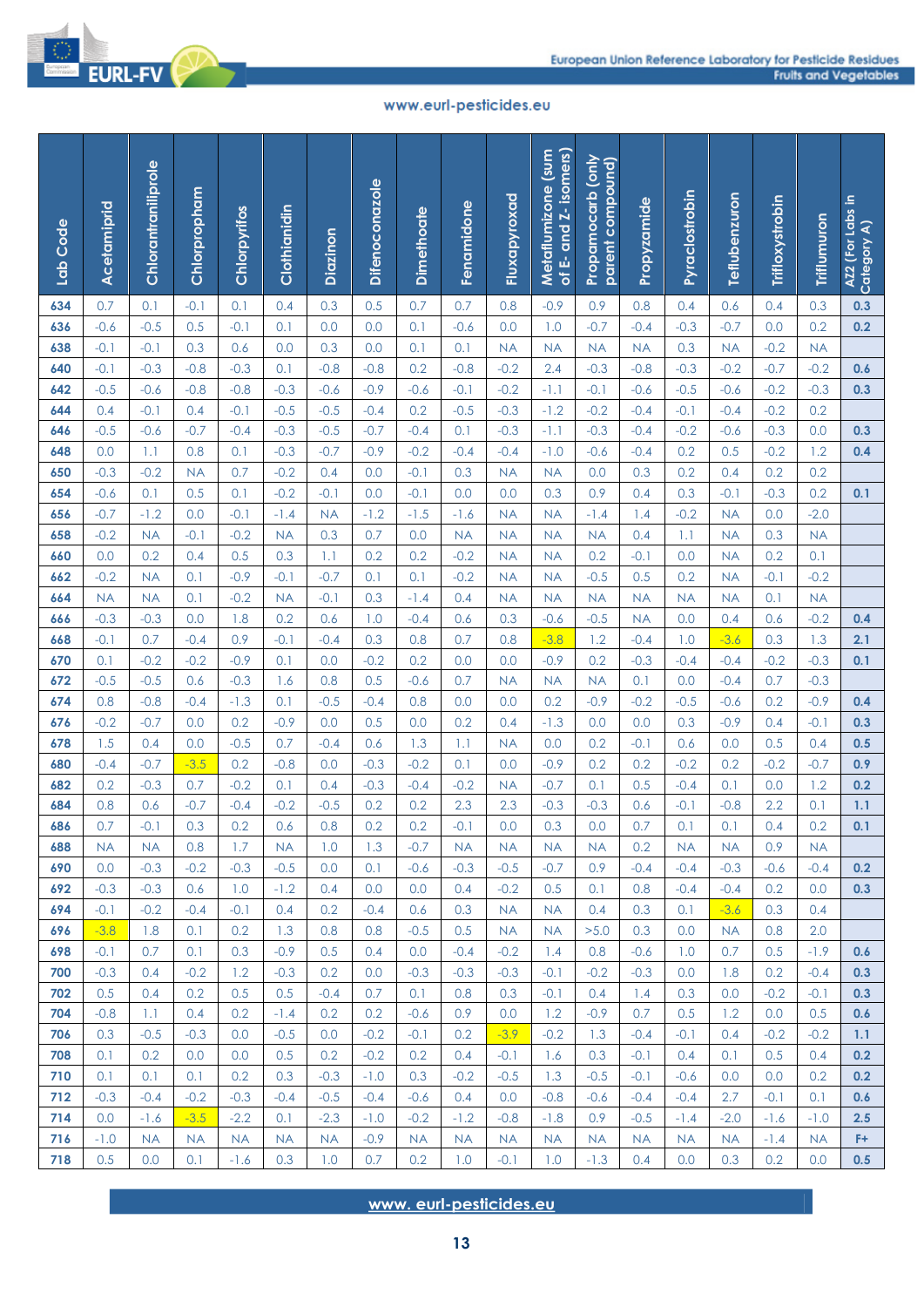

| Lab Code   | Acetamiprid   | Chlorantraniliprole | Chlorpropham     | Chlorpyrifos        | Clothianidin     | Diazinon            | <b>Difenoconazole</b> | <b>Dimethoate</b>   | Fenamidone             | Fluxapyroxad        | of E- and Z- isomers)<br>Metaflumizone (sum | Propamocarb (only<br>parent compound) | Propyzamide      | Pyraclostrobin   | Teflubenzuron    | Trifloxystrobin | <b>Triflumuron</b> | AZ2 (For Labs in<br>Category A) |
|------------|---------------|---------------------|------------------|---------------------|------------------|---------------------|-----------------------|---------------------|------------------------|---------------------|---------------------------------------------|---------------------------------------|------------------|------------------|------------------|-----------------|--------------------|---------------------------------|
| 634        | 0.7           | 0.1                 | $-0.1$           | 0.1                 | 0.4              | 0.3                 | 0.5                   | 0.7                 | 0.7                    | 0.8                 | $-0.9$                                      | 0.9                                   | 0.8              | 0.4              | 0.6              | 0.4             | 0.3                | 0.3                             |
| 636        | $-0.6$        | $-0.5$              | 0.5              | $-0.1$              | 0.1              | 0.0                 | 0.0                   | 0.1                 | $-0.6$                 | 0.0                 | 1.0                                         | $-0.7$                                | $-0.4$           | $-0.3$           | $-0.7$           | 0.0             | 0.2                | 0.2                             |
| 638        | $-0.1$        | $-0.1$              | 0.3              | 0.6                 | 0.0              | 0.3                 | 0.0                   | 0.1                 | 0.1                    | <b>NA</b>           | <b>NA</b>                                   | <b>NA</b>                             | <b>NA</b>        | 0.3              | <b>NA</b>        | $-0.2$          | <b>NA</b>          |                                 |
| 640        | $-0.1$        | $-0.3$              | $-0.8$           | $-0.3$              | 0.1              | $-0.8$              | $-0.8$                | 0.2                 | $-0.8$                 | $-0.2$              | 2.4                                         | $-0.3$                                | $-0.8$           | $-0.3$           | $-0.2$           | $-0.7$          | $-0.2$             | 0.6                             |
| 642        | $-0.5$        | $-0.6$              | $-0.8$           | $-0.8$              | $-0.3$           | $-0.6$              | $-0.9$                | $-0.6$              | $-0.1$                 | $-0.2$              | $-1.1$                                      | $-0.1$                                | $-0.6$           | $-0.5$           | $-0.6$           | $-0.2$          | $-0.3$             | 0.3                             |
| 644        | 0.4           | $-0.1$              | 0.4              | $-0.1$              | $-0.5$           | $-0.5$              | $-0.4$                | 0.2                 | $-0.5$                 | $-0.3$              | $-1.2$                                      | $-0.2$                                | $-0.4$           | $-0.1$           | $-0.4$           | $-0.2$          | 0.2                |                                 |
| 646        | $-0.5$        | $-0.6$              | $-0.7$           | $-0.4$              | $-0.3$           | $-0.5$              | $-0.7$                | $-0.4$              | 0.1                    | $-0.3$              | $-1.1$                                      | $-0.3$                                | $-0.4$           | $-0.2$           | $-0.6$           | $-0.3$          | 0.0                | 0.3                             |
| 648        | 0.0           | 1.1                 | 0.8              | 0.1                 | $-0.3$           | $-0.7$              | $-0.9$                | $-0.2$              | $-0.4$                 | $-0.4$              | $-1.0$                                      | $-0.6$                                | $-0.4$           | 0.2              | 0.5              | $-0.2$          | 1.2                | 0.4                             |
| 650        | $-0.3$        | $-0.2$              | <b>NA</b>        | 0.7                 | $-0.2$           | 0.4                 | 0.0                   | $-0.1$              | 0.3                    | <b>NA</b>           | <b>NA</b>                                   | 0.0                                   | 0.3              | 0.2              | 0.4              | 0.2             | 0.2                |                                 |
| 654        | $-0.6$        | 0.1                 | 0.5              | 0.1                 | $-0.2$           | $-0.1$              | 0.0                   | $-0.1$              | 0.0                    | 0.0                 | 0.3                                         | 0.9                                   | 0.4              | 0.3              | $-0.1$           | $-0.3$          | 0.2                | 0.1                             |
| 656        | $-0.7$        | $-1.2$              | 0.0              | $-0.1$              | $-1.4$           | <b>NA</b>           | $-1.2$                | $-1.5$              | $-1.6$                 | <b>NA</b>           | <b>NA</b>                                   | $-1.4$                                | 1.4              | $-0.2$           | <b>NA</b>        | 0.0             | $-2.0$             |                                 |
| 658        | $-0.2$        | <b>NA</b>           | $-0.1$           | $-0.2$              | <b>NA</b>        | 0.3                 | 0.7                   | 0.0                 | <b>NA</b>              | <b>NA</b>           | <b>NA</b>                                   | <b>NA</b>                             | 0.4              | 1.1              | <b>NA</b>        | 0.3             | <b>NA</b>          |                                 |
| 660        | 0.0           | 0.2                 | 0.4              | 0.5                 | 0.3              | 1.1                 | 0.2                   | 0.2                 | $-0.2$                 | <b>NA</b>           | <b>NA</b>                                   | 0.2                                   | $-0.1$           | 0.0              | <b>NA</b>        | 0.2             | 0.1                |                                 |
| 662        | $-0.2$        | <b>NA</b>           | 0.1              | $-0.9$              | $-0.1$           | $-0.7$              | 0.1                   | 0.1                 | $-0.2$                 | <b>NA</b>           | <b>NA</b>                                   | $-0.5$                                | 0.5              | 0.2              | <b>NA</b>        | $-0.1$          | $-0.2$             |                                 |
| 664        | <b>NA</b>     | <b>NA</b>           | 0.1              | $-0.2$              | <b>NA</b>        | $-0.1$              | 0.3                   | $-1.4$              | 0.4                    | <b>NA</b>           | <b>NA</b>                                   | <b>NA</b>                             | <b>NA</b>        | <b>NA</b>        | <b>NA</b>        | 0.1             | <b>NA</b>          |                                 |
| 666        | $-0.3$        | $-0.3$              | 0.0              | 1.8                 | 0.2              | 0.6                 | 1.0                   | $-0.4$              | 0.6                    | 0.3                 | $-0.6$                                      | $-0.5$                                | <b>NA</b>        | 0.0              | 0.4              | 0.6             | $-0.2$             | 0.4                             |
| 668        | $-0.1$        | 0.7                 | $-0.4$           | 0.9                 | $-0.1$           | $-0.4$              | 0.3                   | 0.8                 | 0.7                    | 0.8                 | $-3.8$                                      | 1.2                                   | $-0.4$           | 1.0              | $-3.6$           | 0.3             | 1.3                | 2.1                             |
| 670        | 0.1           | $-0.2$              | $-0.2$           | $-0.9$              | 0.1<br>1.6       | 0.0<br>0.8          | $-0.2$<br>0.5         | 0.2                 | 0.0<br>0.7             | 0.0                 | $-0.9$                                      | 0.2                                   | $-0.3$<br>0.1    | $-0.4$<br>0.0    | $-0.4$           | $-0.2$<br>0.7   | $-0.3$<br>$-0.3$   | 0.1                             |
| 672<br>674 | $-0.5$<br>0.8 | $-0.5$<br>$-0.8$    | 0.6<br>$-0.4$    | $-0.3$<br>$-1.3$    | 0.1              | $-0.5$              | $-0.4$                | $-0.6$<br>0.8       | 0.0                    | <b>NA</b><br>0.0    | <b>NA</b><br>0.2                            | <b>NA</b><br>$-0.9$                   | $-0.2$           | $-0.5$           | $-0.4$<br>$-0.6$ | 0.2             | $-0.9$             | 0.4                             |
| 676        | $-0.2$        | $-0.7$              | 0.0              | 0.2                 | $-0.9$           | 0.0                 | 0.5                   | 0.0                 | 0.2                    | 0.4                 | $-1.3$                                      | 0.0                                   | 0.0              | 0.3              | $-0.9$           | 0.4             | $-0.1$             | 0.3                             |
| 678        | 1.5           | 0.4                 | 0.0              | $-0.5$              | 0.7              | $-0.4$              | 0.6                   | 1.3                 | 1.1                    | <b>NA</b>           | 0.0                                         | 0.2                                   | $-0.1$           | 0.6              | 0.0              | 0.5             | 0.4                | 0.5                             |
| 680        | $-0.4$        | $-0.7$              | $-3.5$           | 0.2                 | $-0.8$           | 0.0                 | $-0.3$                | $-0.2$              | 0.1                    | 0.0                 | $-0.9$                                      | 0.2                                   | 0.2              | $-0.2$           | 0.2              | $-0.2$          | $-0.7$             | 0.9                             |
| 682        | 0.2           | $-0.3$              | 0.7              | $-0.2$              | 0.1              | 0.4                 | $-0.3$                | $-0.4$              | $-0.2$                 | <b>NA</b>           | $-0.7$                                      | 0.1                                   | 0.5              | $-0.4$           | 0.1              | 0.0             | 1.2                | 0.2                             |
| 684        | 0.8           | 0.6                 | $-0.7$           | $-0.4$              | $-0.2$           | $-0.5$              | 0.2                   | 0.2                 | 2.3                    | 2.3                 | $-0.3$                                      | $-0.3$                                | 0.6              | $-0.1$           | $-0.8$           | 2.2             | 0.1                | 1.1                             |
| 686        | 0.7           | $-0.1$              | 0.3              | 0.2                 | 0.6              | 0.8                 | 0.2                   | 0.2                 | $-0.1$                 | 0.0                 | 0.3                                         | 0.0                                   | 0.7              | 0.1              | 0.1              | 0.4             | 0.2                | 0.1                             |
| 688        | <b>NA</b>     | <b>NA</b>           | 0.8              | 1.7                 | <b>NA</b>        | 1.0                 | 1.3                   | $-0.7$              | <b>NA</b>              | <b>NA</b>           | <b>NA</b>                                   | <b>NA</b>                             | 0.2              | <b>NA</b>        | <b>NA</b>        | 0.9             | <b>NA</b>          |                                 |
| 690        | 0.0           | $-0.3$              | $-0.2$           | $-0.3$              | $-0.5$           | 0.0                 | 0.1                   | $-0.6$              | $-0.3$                 | $-0.5$              | $-0.7$                                      | 0.9                                   | $-0.4$           | $-0.4$           | $-0.3$           | $-0.6$          | $-0.4$             | 0.2                             |
| 692        | $-0.3$        | $-0.3$              | 0.6              | 1.0                 | $-1.2$           | 0.4                 | 0.0                   | 0.0                 | 0.4                    | $-0.2$              | 0.5                                         | 0.1                                   | 0.8              | $-0.4$           | $-0.4$           | 0.2             | 0.0                | 0.3                             |
| 694        | $-0.1$        | $-0.2$              | $-0.4$           | $-0.1$              | 0.4              | 0.2                 | $-0.4$                | 0.6                 | 0.3                    | <b>NA</b>           | <b>NA</b>                                   | 0.4                                   | 0.3              | 0.1              | $-3.6$           | 0.3             | 0.4                |                                 |
| 696        | $-3.8$        | 1.8                 | 0.1              | 0.2                 | 1.3              | 0.8                 | 0.8                   | $-0.5$              | 0.5                    | <b>NA</b>           | <b>NA</b>                                   | >5.0                                  | 0.3              | 0.0              | <b>NA</b>        | 0.8             | 2.0                |                                 |
| 698        | $-0.1$        | 0.7                 | 0.1              | 0.3                 | $-0.9$           | 0.5                 | 0.4                   | 0.0                 | $-0.4$                 | $-0.2$              | 1.4                                         | 0.8                                   | $-0.6$           | 1.0              | 0.7              | 0.5             | $-1.9$             | 0.6                             |
| 700        | $-0.3$        | 0.4                 | $-0.2$           | 1.2                 | $-0.3$           | 0.2                 | 0.0                   | $-0.3$              | $-0.3$                 | $-0.3$              | $-0.1$                                      | $-0.2$                                | $-0.3$           | 0.0              | 1.8              | 0.2             | $-0.4$             | 0.3                             |
| 702        | 0.5           | 0.4                 | 0.2              | 0.5                 | 0.5              | $-0.4$              | 0.7                   | 0.1                 | 0.8                    | 0.3                 | $-0.1$                                      | 0.4                                   | 1.4              | 0.3              | 0.0              | $-0.2$          | $-0.1$             | 0.3                             |
| 704        | $-0.8$        | 1.1                 | 0.4              | 0.2                 | $-1.4$           | 0.2                 | 0.2                   | $-0.6$              | 0.9                    | 0.0                 | 1.2                                         | $-0.9$                                | 0.7              | 0.5              | 1.2              | 0.0             | 0.5                | 0.6                             |
| 706        | 0.3           | $-0.5$              | $-0.3$           | 0.0                 | $-0.5$           | 0.0                 | $-0.2$                | $-0.1$              | 0.2                    | $-3.9$              | $-0.2$                                      | 1.3                                   | $-0.4$           | $-0.1$           | 0.4              | $-0.2$          | $-0.2$             | 1.1                             |
| 708        | 0.1           | 0.2                 | 0.0              | 0.0                 | 0.5              | 0.2                 | $-0.2$                | 0.2                 | 0.4                    | $-0.1$              | 1.6                                         | 0.3                                   | $-0.1$           | 0.4              | 0.1              | 0.5             | 0.4                | 0.2                             |
| 710        | 0.1           | 0.1                 | 0.1              | 0.2                 | 0.3              | $-0.3$              | $-1.0$                | 0.3                 | $-0.2$                 | $-0.5$              | 1.3                                         | $-0.5$                                | $-0.1$           | $-0.6$           | 0.0              | 0.0             | 0.2                | 0.2                             |
| 712        | $-0.3$        | $-0.4$              | $-0.2$           | $-0.3$              | $-0.4$           | $-0.5$              | $-0.4$                | $-0.6$              | 0.4                    | 0.0                 | $-0.8$                                      | $-0.6$                                | $-0.4$           | $-0.4$           | 2.7              | $-0.1$          | 0.1                | 0.6                             |
| 714        | 0.0           | $-1.6$              | $-3.5$           | $-2.2$<br><b>NA</b> | 0.1<br><b>NA</b> | $-2.3$<br><b>NA</b> | $-1.0$<br>$-0.9$      | $-0.2$<br><b>NA</b> | $-1.2$<br><b>NA</b>    | $-0.8$<br><b>NA</b> | $-1.8$<br><b>NA</b>                         | 0.9<br><b>NA</b>                      | $-0.5$           | $-1.4$           | $-2.0$           | $-1.6$          | $-1.0$             | 2.5<br>F+                       |
| 716<br>718 | $-1.0$<br>0.5 | <b>NA</b><br>0.0    | <b>NA</b><br>0.1 | $-1.6$              | 0.3              | 1.0                 | 0.7                   | 0.2                 | 1.0                    | $-0.1$              | 1.0                                         | $-1.3$                                | <b>NA</b><br>0.4 | <b>NA</b><br>0.0 | <b>NA</b><br>0.3 | $-1.4$<br>0.2   | <b>NA</b><br>0.0   | 0.5                             |
|            |               |                     |                  |                     |                  |                     |                       |                     | www.eurl-pesticides.eu |                     |                                             |                                       |                  |                  |                  |                 |                    |                                 |
|            |               |                     |                  |                     |                  |                     |                       |                     | 13                     |                     |                                             |                                       |                  |                  |                  |                 |                    |                                 |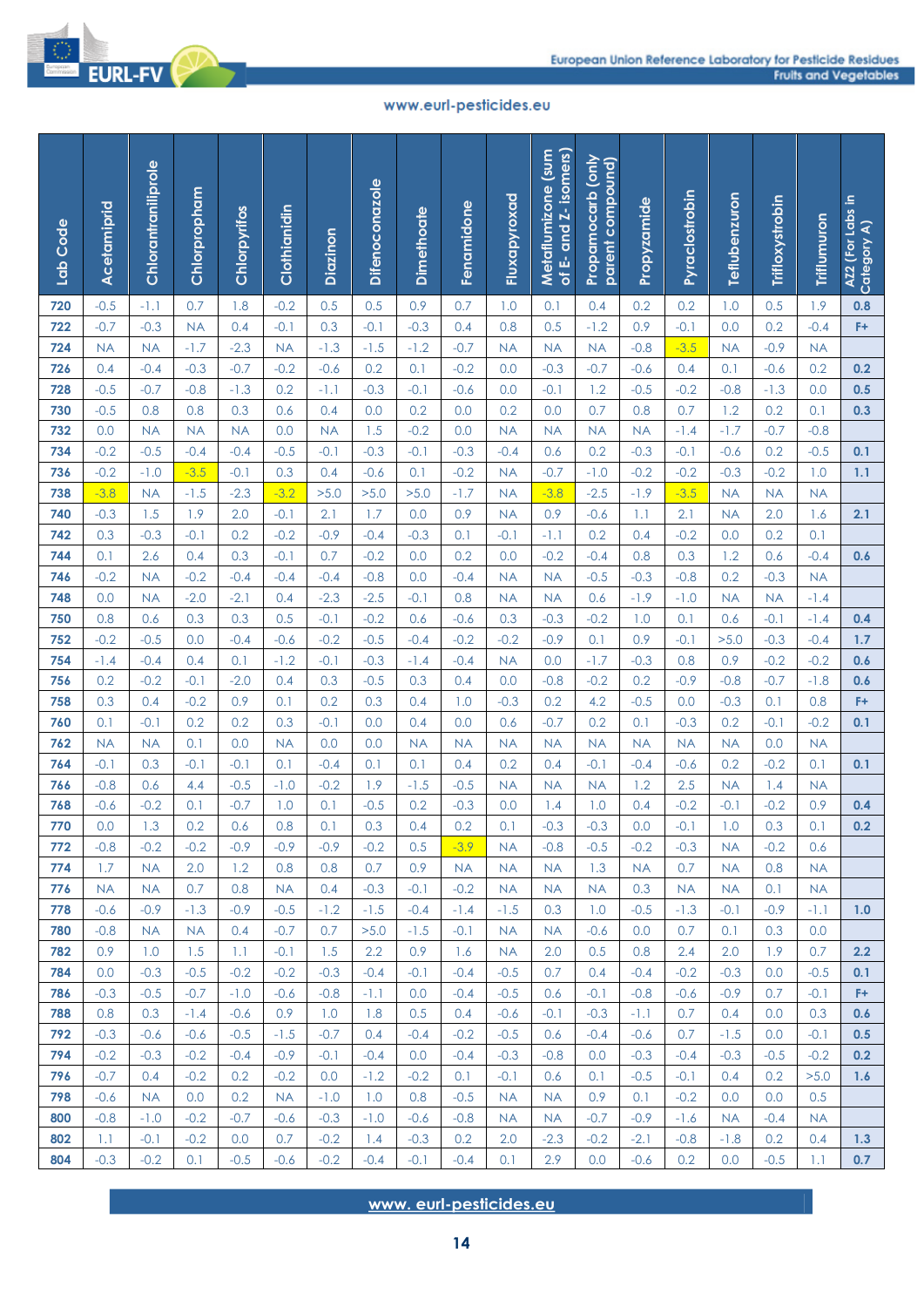

| Lab Code   | Acetamiprid      | Chlorantraniliprole | Chlorpropham        | Chlorpyrifos  | Clothianidin     | Diazinon      | <b>Difenoconazole</b> | <b>Dimethoate</b> | Fenamidone                   | Fluxapyroxad        | of E- and Z- isomers)<br>Metaflumizone (sum | Propamocarb (only<br>parent compound) | Propyzamide   | Pyraclostrobin | Teflubenzuron | Trifloxystrobin | <b>Triflumuron</b> | AZ2 (For Labs in<br>Category A) |
|------------|------------------|---------------------|---------------------|---------------|------------------|---------------|-----------------------|-------------------|------------------------------|---------------------|---------------------------------------------|---------------------------------------|---------------|----------------|---------------|-----------------|--------------------|---------------------------------|
| 720        | $-0.5$           | $-1.1$              | 0.7                 | 1.8           | $-0.2$           | 0.5           | 0.5                   | 0.9               | 0.7                          | 1.0                 | 0.1                                         | 0.4                                   | 0.2           | 0.2            | 1.0           | 0.5             | 1.9                | 0.8                             |
| 722        | $-0.7$           | $-0.3$              | <b>NA</b>           | 0.4           | $-0.1$           | 0.3           | $-0.1$                | $-0.3$            | 0.4                          | 0.8                 | 0.5                                         | $-1.2$                                | 0.9           | $-0.1$         | 0.0           | 0.2             | $-0.4$             | F+                              |
| 724        | <b>NA</b>        | <b>NA</b>           | $-1.7$              | $-2.3$        | <b>NA</b>        | $-1.3$        | $-1.5$                | $-1.2$            | $-0.7$                       | <b>NA</b>           | <b>NA</b>                                   | <b>NA</b>                             | $-0.8$        | $-3.5$         | <b>NA</b>     | $-0.9$          | <b>NA</b>          |                                 |
| 726        | 0.4              | $-0.4$              | $-0.3$              | $-0.7$        | $-0.2$           | $-0.6$        | 0.2                   | 0.1               | $-0.2$                       | 0.0                 | $-0.3$                                      | $-0.7$                                | $-0.6$        | 0.4            | 0.1           | $-0.6$          | 0.2                | 0.2                             |
| 728        | $-0.5$           | $-0.7$              | $-0.8$              | $-1.3$        | 0.2              | $-1.1$        | $-0.3$                | $-0.1$            | $-0.6$                       | 0.0                 | $-0.1$                                      | 1.2                                   | $-0.5$        | $-0.2$         | $-0.8$        | $-1.3$          | 0.0                | 0.5                             |
| 730        | $-0.5$           | 0.8                 | 0.8                 | 0.3           | 0.6              | 0.4           | 0.0                   | 0.2               | 0.0                          | 0.2                 | 0.0                                         | 0.7                                   | 0.8           | 0.7            | 1.2           | 0.2             | 0.1                | 0.3                             |
| 732        | 0.0              | NA                  | <b>NA</b>           | <b>NA</b>     | 0.0              | <b>NA</b>     | 1.5                   | $-0.2$            | 0.0                          | <b>NA</b>           | <b>NA</b>                                   | <b>NA</b>                             | <b>NA</b>     | $-1.4$         | $-1.7$        | $-0.7$          | $-0.8$             |                                 |
| 734        | $-0.2$           | $-0.5$              | $-0.4$              | $-0.4$        | $-0.5$           | $-0.1$        | $-0.3$                | $-0.1$            | $-0.3$                       | $-0.4$              | 0.6                                         | 0.2                                   | $-0.3$        | $-0.1$         | $-0.6$        | 0.2             | $-0.5$             | 0.1                             |
| 736        | $-0.2$           | $-1.0$              | $-3.5$              | $-0.1$        | 0.3              | 0.4           | $-0.6$                | 0.1               | $-0.2$                       | <b>NA</b>           | $-0.7$                                      | $-1.0$                                | $-0.2$        | $-0.2$         | $-0.3$        | $-0.2$          | 1.0                | 1.1                             |
| 738        | $-3.8$           | <b>NA</b>           | $-1.5$              | $-2.3$        | $-3.2$           | >5.0          | >5.0                  | >5.0              | $-1.7$                       | <b>NA</b>           | $-3.8$                                      | $-2.5$                                | $-1.9$        | $-3.5$         | <b>NA</b>     | <b>NA</b>       | <b>NA</b>          |                                 |
| 740        | $-0.3$           | 1.5                 | 1.9                 | 2.0           | $-0.1$           | 2.1           | 1.7                   | 0.0               | 0.9                          | <b>NA</b>           | 0.9                                         | $-0.6$                                | 1.1           | 2.1            | <b>NA</b>     | 2.0             | 1.6                | 2.1                             |
| 742<br>744 | 0.3<br>0.1       | $-0.3$<br>2.6       | $-0.1$<br>0.4       | 0.2<br>0.3    | $-0.2$<br>$-0.1$ | $-0.9$<br>0.7 | $-0.4$<br>$-0.2$      | $-0.3$<br>0.0     | 0.1<br>0.2                   | $-0.1$<br>0.0       | $-1.1$<br>$-0.2$                            | 0.2<br>$-0.4$                         | 0.4<br>0.8    | $-0.2$<br>0.3  | 0.0<br>1.2    | 0.2<br>0.6      | 0.1<br>$-0.4$      | 0.6                             |
| 746        | $-0.2$           | <b>NA</b>           | $-0.2$              | $-0.4$        | $-0.4$           | $-0.4$        | $-0.8$                | 0.0               | $-0.4$                       | <b>NA</b>           | <b>NA</b>                                   | $-0.5$                                | $-0.3$        | $-0.8$         | 0.2           | $-0.3$          | <b>NA</b>          |                                 |
| 748        | 0.0              | <b>NA</b>           | $-2.0$              | $-2.1$        | 0.4              | $-2.3$        | $-2.5$                | $-0.1$            | 0.8                          | <b>NA</b>           | <b>NA</b>                                   | 0.6                                   | $-1.9$        | $-1.0$         | <b>NA</b>     | <b>NA</b>       | $-1.4$             |                                 |
| 750        | 0.8              | 0.6                 | 0.3                 | 0.3           | 0.5              | $-0.1$        | $-0.2$                | 0.6               | $-0.6$                       | 0.3                 | $-0.3$                                      | $-0.2$                                | 1.0           | 0.1            | 0.6           | $-0.1$          | $-1.4$             | 0.4                             |
| 752        | $-0.2$           | $-0.5$              | 0.0                 | $-0.4$        | $-0.6$           | $-0.2$        | $-0.5$                | $-0.4$            | $-0.2$                       | $-0.2$              | $-0.9$                                      | 0.1                                   | 0.9           | $-0.1$         | >5.0          | $-0.3$          | $-0.4$             | 1.7                             |
| 754        | $-1.4$           | $-0.4$              | 0.4                 | 0.1           | $-1.2$           | $-0.1$        | $-0.3$                | $-1.4$            | $-0.4$                       | <b>NA</b>           | 0.0                                         | $-1.7$                                | $-0.3$        | 0.8            | 0.9           | $-0.2$          | $-0.2$             | 0.6                             |
| 756        | 0.2              | $-0.2$              | $-0.1$              | $-2.0$        | 0.4              | 0.3           | $-0.5$                | 0.3               | 0.4                          | 0.0                 | $-0.8$                                      | $-0.2$                                | 0.2           | $-0.9$         | $-0.8$        | $-0.7$          | $-1.8$             | 0.6                             |
| 758        | 0.3              | 0.4                 | $-0.2$              | 0.9           | 0.1              | 0.2           | 0.3                   | 0.4               | 1.0                          | $-0.3$              | 0.2                                         | 4.2                                   | $-0.5$        | 0.0            | $-0.3$        | 0.1             | 0.8                | F+                              |
| 760        | 0.1              | $-0.1$              | 0.2                 | 0.2           | 0.3              | $-0.1$        | 0.0                   | 0.4               | 0.0                          | 0.6                 | $-0.7$                                      | 0.2                                   | 0.1           | $-0.3$         | 0.2           | $-0.1$          | $-0.2$             | 0.1                             |
| 762        | <b>NA</b>        | NA                  | 0.1                 | 0.0           | <b>NA</b>        | 0.0           | 0.0                   | <b>NA</b>         | <b>NA</b>                    | <b>NA</b>           | <b>NA</b>                                   | <b>NA</b>                             | <b>NA</b>     | <b>NA</b>      | <b>NA</b>     | 0.0             | <b>NA</b>          |                                 |
| 764        | $-0.1$           | 0.3                 | $-0.1$              | $-0.1$        | 0.1              | $-0.4$        | 0.1                   | 0.1               | 0.4                          | 0.2                 | 0.4                                         | $-0.1$                                | $-0.4$        | $-0.6$         | 0.2           | $-0.2$          | 0.1                | 0.1                             |
| 766        | $-0.8$           | 0.6                 | 4.4                 | $-0.5$        | $-1.0$           | $-0.2$        | 1.9                   | $-1.5$            | $-0.5$                       | <b>NA</b>           | <b>NA</b>                                   | <b>NA</b>                             | 1.2           | 2.5            | <b>NA</b>     | 1.4             | <b>NA</b>          |                                 |
| 768        | $-0.6$           | $-0.2$              | 0.1                 | $-0.7$        | 1.0              | 0.1           | $-0.5$                | 0.2               | $-0.3$                       | 0.0                 | 1.4                                         | 1.0                                   | 0.4           | $-0.2$         | $-0.1$        | $-0.2$          | 0.9                | 0.4                             |
| 770        | 0.0              | 1.3                 | 0.2                 | 0.6           | 0.8              | 0.1           | 0.3                   | 0.4               | 0.2                          | 0.1                 | $-0.3$                                      | $-0.3$                                | 0.0           | $-0.1$         | 1.0           | 0.3             | 0.1                | 0.2                             |
| 772        | $-0.8$           | $-0.2$              | $-0.2$              | $-0.9$        | $-0.9$           | $-0.9$        | $-0.2$                | 0.5               | $-3.9$                       | <b>NA</b>           | $-0.8$                                      | $-0.5$                                | $-0.2$        | $-0.3$         | <b>NA</b>     | $-0.2$          | 0.6                |                                 |
| 774        | 1.7              | <b>NA</b>           | 2.0                 | 1.2           | 0.8              | 0.8           | 0.7                   | 0.9               | <b>NA</b>                    | <b>NA</b>           | <b>NA</b>                                   | 1.3                                   | <b>NA</b>     | 0.7            | <b>NA</b>     | 0.8             | <b>NA</b>          |                                 |
| 776        | <b>NA</b>        | <b>NA</b>           | 0.7                 | 0.8           | <b>NA</b>        | 0.4           | $-0.3$                | $-0.1$            | $-0.2$                       | <b>NA</b>           | <b>NA</b>                                   | <b>NA</b>                             | 0.3           | <b>NA</b>      | <b>NA</b>     | 0.1             | <b>NA</b>          |                                 |
| 778<br>780 | $-0.6$<br>$-0.8$ | $-0.9$<br><b>NA</b> | $-1.3$<br><b>NA</b> | $-0.9$<br>0.4 | $-0.5$<br>$-0.7$ | $-1.2$<br>0.7 | $-1.5$<br>>5.0        | $-0.4$<br>$-1.5$  | $-1.4$<br>$-0.1$             | $-1.5$<br><b>NA</b> | 0.3<br><b>NA</b>                            | 1.0<br>$-0.6$                         | $-0.5$<br>0.0 | $-1.3$<br>0.7  | $-0.1$<br>0.1 | $-0.9$<br>0.3   | $-1.1$<br>0.0      | 1.0                             |
| 782        | 0.9              | 1.0                 | 1.5                 | 1.1           | $-0.1$           | 1.5           | 2.2                   | 0.9               | 1.6                          | <b>NA</b>           | 2.0                                         | 0.5                                   | 0.8           | 2.4            | 2.0           | 1.9             | 0.7                | 2.2                             |
| 784        | 0.0              | $-0.3$              | $-0.5$              | $-0.2$        | $-0.2$           | $-0.3$        | $-0.4$                | $-0.1$            | $-0.4$                       | $-0.5$              | 0.7                                         | 0.4                                   | $-0.4$        | $-0.2$         | $-0.3$        | 0.0             | $-0.5$             | 0.1                             |
| 786        | $-0.3$           | $-0.5$              | $-0.7$              | $-1.0$        | $-0.6$           | $-0.8$        | $-1.1$                | 0.0               | $-0.4$                       | $-0.5$              | 0.6                                         | $-0.1$                                | $-0.8$        | $-0.6$         | $-0.9$        | 0.7             | $-0.1$             | F+                              |
| 788        | 0.8              | 0.3                 | $-1.4$              | $-0.6$        | 0.9              | 1.0           | 1.8                   | 0.5               | 0.4                          | $-0.6$              | $-0.1$                                      | $-0.3$                                | $-1.1$        | 0.7            | 0.4           | 0.0             | 0.3                | 0.6                             |
| 792        | $-0.3$           | $-0.6$              | $-0.6$              | $-0.5$        | $-1.5$           | $-0.7$        | 0.4                   | $-0.4$            | $-0.2$                       | $-0.5$              | 0.6                                         | $-0.4$                                | $-0.6$        | 0.7            | $-1.5$        | 0.0             | $-0.1$             | 0.5                             |
| 794        | $-0.2$           | $-0.3$              | $-0.2$              | $-0.4$        | $-0.9$           | $-0.1$        | $-0.4$                | 0.0               | $-0.4$                       | $-0.3$              | $-0.8$                                      | 0.0                                   | $-0.3$        | $-0.4$         | $-0.3$        | $-0.5$          | $-0.2$             | 0.2                             |
| 796        | $-0.7$           | 0.4                 | $-0.2$              | 0.2           | $-0.2$           | 0.0           | $-1.2$                | $-0.2$            | 0.1                          | $-0.1$              | 0.6                                         | 0.1                                   | $-0.5$        | $-0.1$         | 0.4           | 0.2             | >5.0               | 1.6                             |
| 798        | $-0.6$           | <b>NA</b>           | 0.0                 | 0.2           | <b>NA</b>        | $-1.0$        | 1.0                   | 0.8               | $-0.5$                       | <b>NA</b>           | <b>NA</b>                                   | 0.9                                   | 0.1           | $-0.2$         | 0.0           | 0.0             | 0.5                |                                 |
| 800        | $-0.8$           | $-1.0$              | $-0.2$              | $-0.7$        | $-0.6$           | $-0.3$        | $-1.0$                | $-0.6$            | $-0.8$                       | <b>NA</b>           | <b>NA</b>                                   | $-0.7$                                | $-0.9$        | $-1.6$         | <b>NA</b>     | $-0.4$          | <b>NA</b>          |                                 |
| 802        | 1.1              | $-0.1$              | $-0.2$              | 0.0           | 0.7              | $-0.2$        | 1.4                   | $-0.3$            | 0.2                          | 2.0                 | $-2.3$                                      | $-0.2$                                | $-2.1$        | $-0.8$         | $-1.8$        | 0.2             | 0.4                | 1.3                             |
| 804        | $-0.3$           | $-0.2$              | 0.1                 | $-0.5$        | $-0.6$           | $-0.2$        | $-0.4$                | $-0.1$            | $-0.4$                       | 0.1                 | 2.9                                         | 0.0                                   | $-0.6$        | 0.2            | 0.0           | $-0.5$          | 1.1                | 0.7                             |
|            |                  |                     |                     |               |                  |               |                       |                   | www.eurl-pesticides.eu<br>14 |                     |                                             |                                       |               |                |               |                 |                    |                                 |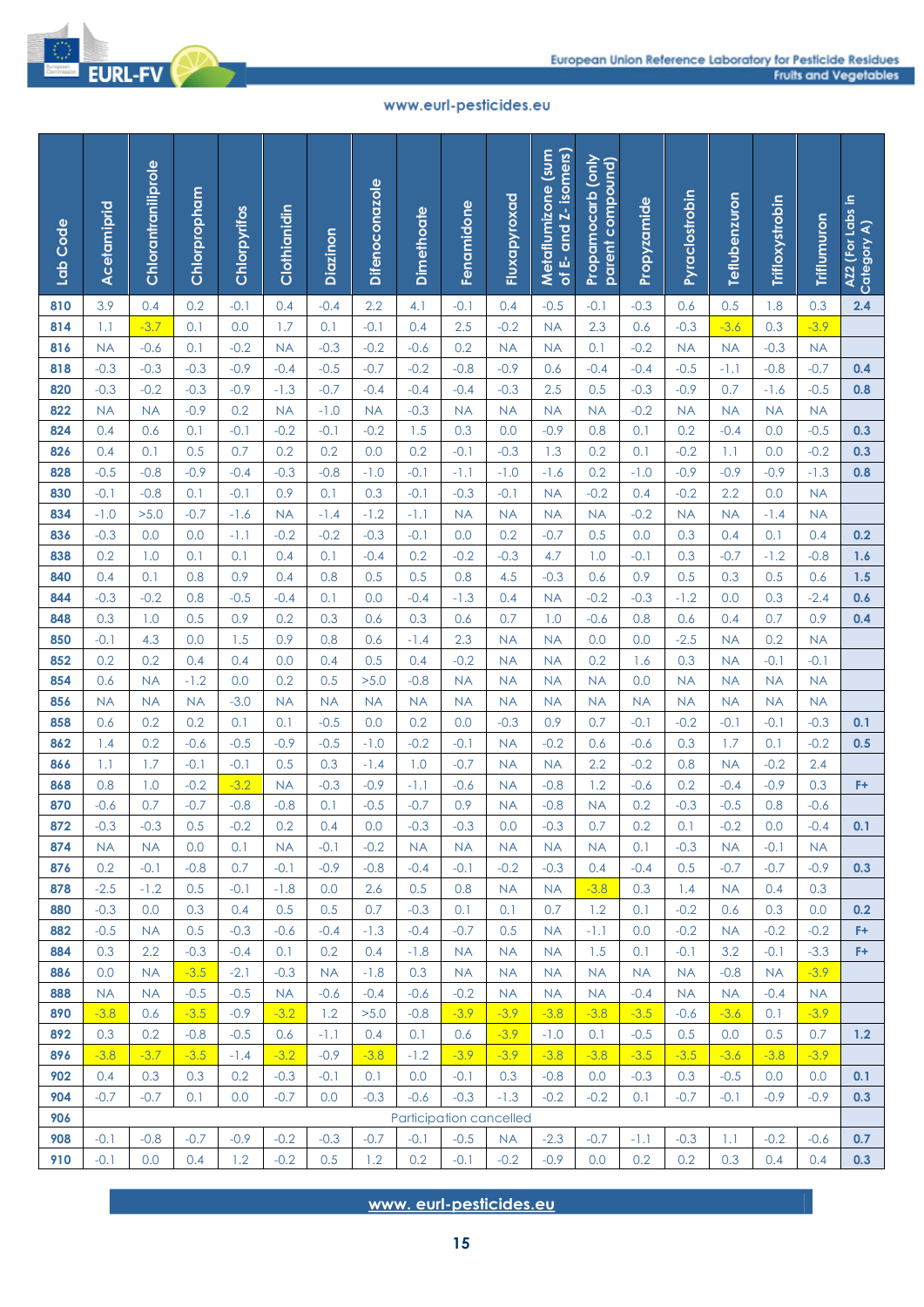

| Lab Code   | Acetamiprid         | Chlorantraniliprole | Chlorpropham     | Chlorpyrifos     | Clothianidin        | Diazinon      | <b>Difenoconazole</b> | <b>Dimethoate</b> | Fenamidone                   | Fluxapyroxad        | of E- and Z- isomers)<br>Metaflumizone (sum | Propamocarb (only<br>parent compound) | Propyzamide         | Pyraclostrobin      | Teflubenzuron       | Trifloxystrobin     | Triflumuron         | AZ2 (For Labs in<br>Category A) |
|------------|---------------------|---------------------|------------------|------------------|---------------------|---------------|-----------------------|-------------------|------------------------------|---------------------|---------------------------------------------|---------------------------------------|---------------------|---------------------|---------------------|---------------------|---------------------|---------------------------------|
| 810        | 3.9                 | 0.4                 | 0.2              | $-0.1$           | 0.4                 | $-0.4$        | 2.2                   | 4.1               | $-0.1$                       | 0.4                 | $-0.5$                                      | $-0.1$                                | $-0.3$              | 0.6                 | 0.5                 | 1.8                 | 0.3                 | 2.4                             |
| 814        | 1.1                 | $-3.7$              | 0.1              | 0.0              | 1.7                 | 0.1           | $-0.1$                | 0.4               | 2.5                          | $-0.2$              | <b>NA</b>                                   | 2.3                                   | 0.6                 | $-0.3$              | $-3.6$              | 0.3                 | $-3.9$              |                                 |
| 816        | <b>NA</b>           | $-0.6$              | 0.1              | $-0.2$           | <b>NA</b>           | $-0.3$        | $-0.2$                | $-0.6$            | 0.2                          | <b>NA</b>           | <b>NA</b>                                   | 0.1                                   | $-0.2$              | <b>NA</b>           | <b>NA</b>           | $-0.3$              | <b>NA</b>           |                                 |
| 818        | $-0.3$              | $-0.3$              | $-0.3$           | $-0.9$           | $-0.4$              | $-0.5$        | $-0.7$                | $-0.2$            | $-0.8$                       | $-0.9$              | 0.6                                         | $-0.4$                                | $-0.4$              | $-0.5$              | $-1.1$              | $-0.8$              | $-0.7$              | 0.4                             |
| 820        | $-0.3$              | $-0.2$              | $-0.3$           | $-0.9$           | $-1.3$              | $-0.7$        | $-0.4$                | $-0.4$            | $-0.4$                       | $-0.3$              | 2.5                                         | 0.5                                   | $-0.3$              | $-0.9$              | 0.7                 | $-1.6$              | $-0.5$              | 0.8                             |
| 822        | <b>NA</b>           | <b>NA</b>           | $-0.9$           | 0.2              | <b>NA</b>           | $-1.0$        | <b>NA</b>             | $-0.3$            | <b>NA</b>                    | <b>NA</b>           | <b>NA</b>                                   | <b>NA</b>                             | $-0.2$              | <b>NA</b>           | <b>NA</b>           | <b>NA</b>           | <b>NA</b>           |                                 |
| 824        | 0.4                 | 0.6                 | 0.1              | $-0.1$           | $-0.2$              | $-0.1$        | $-0.2$                | 1.5               | 0.3                          | 0.0                 | $-0.9$                                      | 0.8                                   | 0.1                 | 0.2                 | $-0.4$              | 0.0                 | $-0.5$              | 0.3                             |
| 826        | 0.4                 | 0.1                 | 0.5              | 0.7              | 0.2                 | 0.2           | 0.0                   | 0.2               | $-0.1$                       | $-0.3$              | 1.3                                         | 0.2                                   | 0.1                 | $-0.2$              | 1.1                 | 0.0                 | $-0.2$              | 0.3                             |
| 828        | $-0.5$              | $-0.8$              | $-0.9$           | $-0.4$           | $-0.3$              | $-0.8$        | $-1.0$                | $-0.1$            | $-1.1$                       | $-1.0$              | $-1.6$                                      | 0.2                                   | $-1.0$              | $-0.9$              | $-0.9$              | $-0.9$              | $-1.3$              | 0.8                             |
| 830        | $-0.1$              | $-0.8$              | 0.1              | $-0.1$           | 0.9                 | 0.1           | 0.3                   | $-0.1$            | $-0.3$                       | $-0.1$              | <b>NA</b>                                   | $-0.2$                                | 0.4                 | $-0.2$              | 2.2                 | 0.0                 | <b>NA</b>           |                                 |
| 834        | $-1.0$              | >5.0                | $-0.7$           | $-1.6$           | <b>NA</b>           | $-1.4$        | $-1.2$                | $-1.1$            | <b>NA</b>                    | <b>NA</b>           | <b>NA</b>                                   | <b>NA</b>                             | $-0.2$              | <b>NA</b>           | <b>NA</b>           | $-1.4$              | <b>NA</b>           |                                 |
| 836        | $-0.3$              | 0.0                 | 0.0              | $-1.1$           | $-0.2$              | $-0.2$        | $-0.3$                | $-0.1$            | 0.0                          | 0.2<br>$-0.3$       | $-0.7$                                      | 0.5                                   | 0.0                 | 0.3                 | 0.4                 | 0.1                 | 0.4                 | 0.2                             |
| 838<br>840 | 0.2<br>0.4          | 1.0<br>0.1          | 0.1<br>0.8       | 0.1<br>0.9       | 0.4<br>0.4          | 0.1<br>0.8    | $-0.4$<br>0.5         | 0.2<br>0.5        | $-0.2$<br>0.8                | 4.5                 | 4.7<br>$-0.3$                               | 1.0<br>0.6                            | $-0.1$<br>0.9       | 0.3<br>0.5          | $-0.7$<br>0.3       | $-1.2$<br>0.5       | $-0.8$<br>0.6       | 1.6<br>1.5                      |
| 844        | $-0.3$              | $-0.2$              | 0.8              | $-0.5$           | $-0.4$              | 0.1           | 0.0                   | $-0.4$            | $-1.3$                       | 0.4                 | <b>NA</b>                                   | $-0.2$                                | $-0.3$              | $-1.2$              | 0.0                 | 0.3                 | $-2.4$              | 0.6                             |
| 848        | 0.3                 | 1.0                 | 0.5              | 0.9              | 0.2                 | 0.3           | 0.6                   | 0.3               | 0.6                          | 0.7                 | 1.0                                         | $-0.6$                                | 0.8                 | 0.6                 | 0.4                 | 0.7                 | 0.9                 | 0.4                             |
| 850        | $-0.1$              | 4.3                 | 0.0              | 1.5              | 0.9                 | 0.8           | 0.6                   | $-1.4$            | 2.3                          | <b>NA</b>           | <b>NA</b>                                   | 0.0                                   | 0.0                 | $-2.5$              | <b>NA</b>           | 0.2                 | <b>NA</b>           |                                 |
| 852        | 0.2                 | 0.2                 | 0.4              | 0.4              | 0.0                 | 0.4           | 0.5                   | 0.4               | $-0.2$                       | <b>NA</b>           | <b>NA</b>                                   | 0.2                                   | 1.6                 | 0.3                 | <b>NA</b>           | $-0.1$              | $-0.1$              |                                 |
| 854        | 0.6                 | <b>NA</b>           | $-1.2$           | 0.0              | 0.2                 | 0.5           | >5.0                  | $-0.8$            | <b>NA</b>                    | <b>NA</b>           | <b>NA</b>                                   | <b>NA</b>                             | 0.0                 | <b>NA</b>           | <b>NA</b>           | <b>NA</b>           | <b>NA</b>           |                                 |
| 856        | <b>NA</b>           | <b>NA</b>           | <b>NA</b>        | $-3.0$           | <b>NA</b>           | <b>NA</b>     | <b>NA</b>             | <b>NA</b>         | <b>NA</b>                    | <b>NA</b>           | <b>NA</b>                                   | <b>NA</b>                             | <b>NA</b>           | <b>NA</b>           | <b>NA</b>           | <b>NA</b>           | <b>NA</b>           |                                 |
| 858        | 0.6                 | 0.2                 | 0.2              | 0.1              | 0.1                 | $-0.5$        | 0.0                   | 0.2               | 0.0                          | $-0.3$              | 0.9                                         | 0.7                                   | $-0.1$              | $-0.2$              | $-0.1$              | $-0.1$              | $-0.3$              | 0.1                             |
| 862        | 1.4                 | 0.2                 | $-0.6$           | $-0.5$           | $-0.9$              | $-0.5$        | $-1.0$                | $-0.2$            | $-0.1$                       | <b>NA</b>           | $-0.2$                                      | 0.6                                   | $-0.6$              | 0.3                 | 1.7                 | 0.1                 | $-0.2$              | 0.5                             |
| 866        | 1.1                 | 1.7                 | $-0.1$           | $-0.1$           | 0.5                 | 0.3           | $-1.4$                | 1.0               | $-0.7$                       | <b>NA</b>           | <b>NA</b>                                   | 2.2                                   | $-0.2$              | 0.8                 | <b>NA</b>           | $-0.2$              | 2.4                 |                                 |
| 868        | 0.8                 | 1.0                 | $-0.2$           | $-3.2$           | <b>NA</b>           | $-0.3$        | $-0.9$                | $-1.1$            | $-0.6$                       | <b>NA</b>           | $-0.8$                                      | 1.2                                   | $-0.6$              | 0.2                 | $-0.4$              | $-0.9$              | 0.3                 | F+                              |
| 870        | $-0.6$              | 0.7                 | $-0.7$           | $-0.8$           | $-0.8$              | 0.1           | $-0.5$                | $-0.7$            | 0.9                          | <b>NA</b>           | $-0.8$                                      | <b>NA</b>                             | 0.2                 | $-0.3$              | $-0.5$              | 0.8                 | $-0.6$              |                                 |
| 872        | $-0.3$              | $-0.3$              | 0.5              | $-0.2$           | 0.2                 | 0.4           | 0.0                   | $-0.3$            | $-0.3$                       | 0.0                 | $-0.3$                                      | 0.7                                   | 0.2                 | 0.1                 | $-0.2$              | 0.0                 | $-0.4$              | 0.1                             |
| 874        | <b>NA</b>           | <b>NA</b>           | 0.0              | 0.1              | <b>NA</b>           | $-0.1$        | $-0.2$                | <b>NA</b>         | <b>NA</b>                    | <b>NA</b>           | <b>NA</b>                                   | <b>NA</b>                             | 0.1                 | $-0.3$              | <b>NA</b>           | $-0.1$              | <b>NA</b>           |                                 |
| 876        | 0.2                 | $-0.1$              | $-0.8$           | 0.7              | $-0.1$              | $-0.9$        | $-0.8$                | $-0.4$            | $-0.1$                       | $-0.2$              | $-0.3$                                      | 0.4                                   | $-0.4$              | 0.5                 | $-0.7$              | $-0.7$              | $-0.9$              | 0.3                             |
| 878        | $-2.5$              | $-1.2$              | 0.5              | $-0.1$           | $-1.8$              | 0.0           | 2.6                   | 0.5               | 0.8                          | <b>NA</b>           | <b>NA</b>                                   | $-3.8$                                | 0.3                 | 1.4                 | <b>NA</b>           | 0.4                 | 0.3                 |                                 |
| 880        | $-0.3$              | 0.0                 | 0.3              | 0.4              | 0.5                 | 0.5           | 0.7                   | $-0.3$            | 0.1                          | 0.1                 | 0.7                                         | 1.2                                   | 0.1                 | $-0.2$              | 0.6                 | 0.3                 | 0.0                 | 0.2                             |
| 882        | $-0.5$              | <b>NA</b>           | 0.5              | $-0.3$           | $-0.6$              | $-0.4$        | $-1.3$                | $-0.4$            | $-0.7$                       | 0.5                 | <b>NA</b>                                   | $-1.1$                                | 0.0                 | $-0.2$              | <b>NA</b>           | $-0.2$              | $-0.2$              | F+                              |
| 884        | 0.3                 | 2.2                 | $-0.3$           | $-0.4$           | 0.1                 | 0.2           | 0.4                   | $-1.8$            | <b>NA</b>                    | <b>NA</b>           | <b>NA</b>                                   | 1.5                                   | 0.1                 | $-0.1$              | 3.2                 | $-0.1$              | $-3.3$              | F+                              |
| 886<br>888 | 0.0                 | <b>NA</b>           | $-3.5$<br>$-0.5$ | $-2.1$<br>$-0.5$ | $-0.3$              | <b>NA</b>     | $-1.8$<br>$-0.4$      | 0.3<br>$-0.6$     | <b>NA</b><br>$-0.2$          | <b>NA</b>           | <b>NA</b>                                   | <b>NA</b>                             | <b>NA</b><br>$-0.4$ | <b>NA</b>           | $-0.8$<br><b>NA</b> | <b>NA</b><br>$-0.4$ | $-3.9$              |                                 |
| 890        | <b>NA</b><br>$-3.8$ | <b>NA</b><br>0.6    | $-3.5$           | $-0.9$           | <b>NA</b><br>$-3.2$ | $-0.6$<br>1.2 | >5.0                  | $-0.8$            | $-3.9$                       | <b>NA</b><br>$-3.9$ | <b>NA</b><br>$-3.8$                         | <b>NA</b><br>$-3.8$                   | $-3.5$              | <b>NA</b><br>$-0.6$ | $-3.6$              | 0.1                 | <b>NA</b><br>$-3.9$ |                                 |
| 892        | 0.3                 | 0.2                 | $-0.8$           | $-0.5$           | 0.6                 | $-1.1$        | 0.4                   | 0.1               | 0.6                          | $-3.9$              | $-1.0$                                      | 0.1                                   | $-0.5$              | 0.5                 | 0.0                 | 0.5                 | 0.7                 | 1.2                             |
| 896        | $-3.8$              | $-3.7$              | $-3.5$           | $-1.4$           | $-3.2$              | $-0.9$        | $-3.8$                | $-1.2$            | $-3.9$                       | $-3.9$              | $-3.8$                                      | $-3.8$                                | $-3.5$              | $-3.5$              | $-3.6$              | $-3.8$              | $-3.9$              |                                 |
| 902        | 0.4                 | 0.3                 | 0.3              | 0.2              | $-0.3$              | $-0.1$        | 0.1                   | 0.0               | $-0.1$                       | 0.3                 | $-0.8$                                      | 0.0                                   | $-0.3$              | 0.3                 | $-0.5$              | 0.0                 | 0.0                 | 0.1                             |
| 904        | $-0.7$              | $-0.7$              | 0.1              | 0.0              | $-0.7$              | 0.0           | $-0.3$                | $-0.6$            | $-0.3$                       | $-1.3$              | $-0.2$                                      | $-0.2$                                | 0.1                 | $-0.7$              | $-0.1$              | $-0.9$              | $-0.9$              | 0.3                             |
| 906        |                     |                     |                  |                  |                     |               |                       |                   | Participation cancelled      |                     |                                             |                                       |                     |                     |                     |                     |                     |                                 |
| 908        | $-0.1$              | $-0.8$              | $-0.7$           | $-0.9$           | $-0.2$              | $-0.3$        | $-0.7$                | $-0.1$            | $-0.5$                       | <b>NA</b>           | $-2.3$                                      | $-0.7$                                | $-1.1$              | $-0.3$              | 1.1                 | $-0.2$              | $-0.6$              | 0.7                             |
| 910        | $-0.1$              | 0.0                 | 0.4              | 1.2              | $-0.2$              | 0.5           | 1.2                   | 0.2               | $-0.1$                       | $-0.2$              | $-0.9$                                      | 0.0                                   | 0.2                 | 0.2                 | 0.3                 | 0.4                 | 0.4                 | 0.3                             |
|            |                     |                     |                  |                  |                     |               |                       |                   | www.eurl-pesticides.eu<br>15 |                     |                                             |                                       |                     |                     |                     |                     |                     |                                 |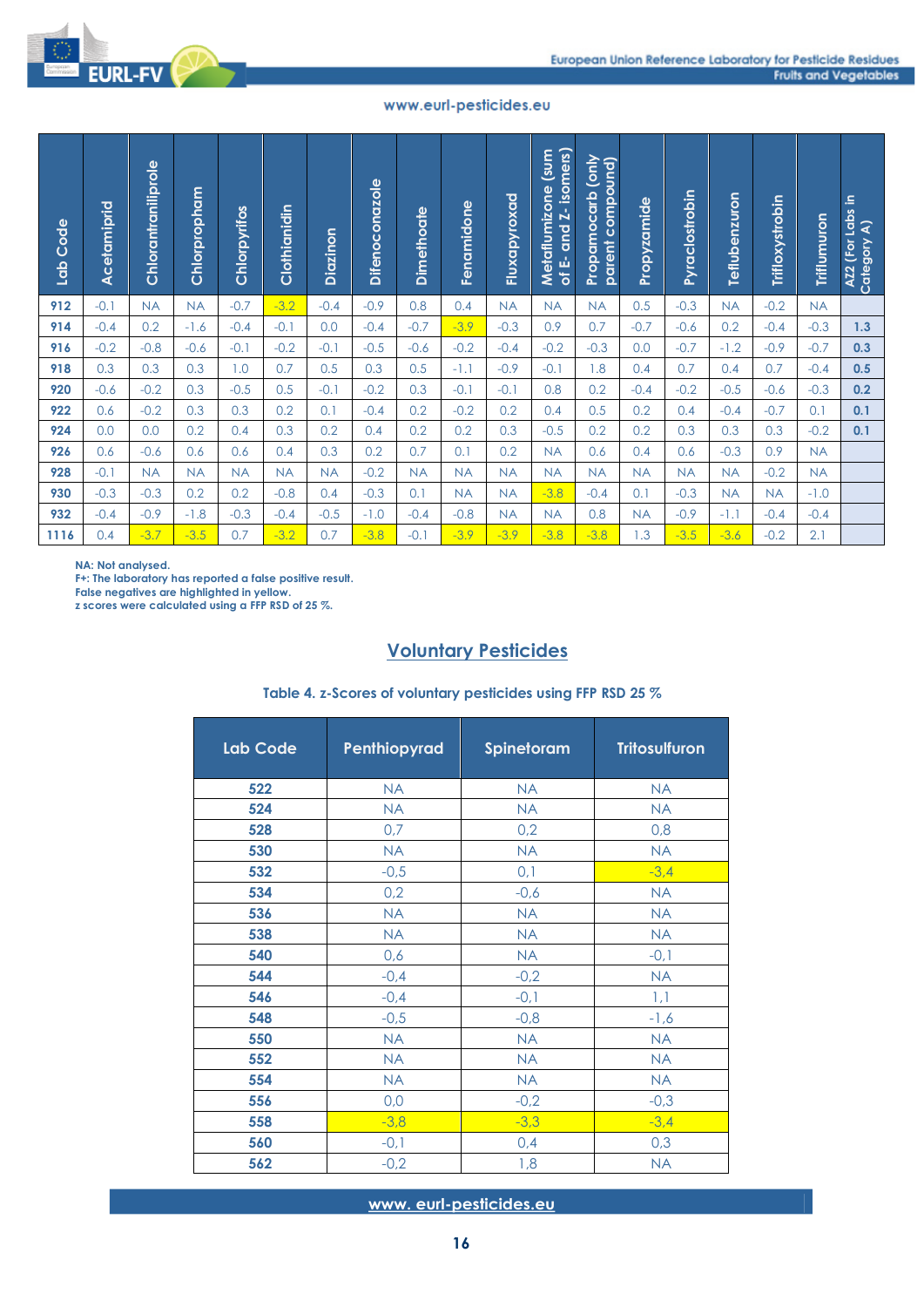| Lab Code   | Acetamiprid | Chlorantraniliprole | Chlorpropham | Chlorpyrifos    | Clothianidin | Diazinon   | <b>Difenoconazole</b>  | Dimethoate | Fenamidone                   | Fluxapyroxad           | E- and Z- isomers)<br>(sum<br>Metaflumizone<br>৳             | Propamocarb (only<br>parent compound) | Propyzamide            | Pyraclostrobin | Teflubenzuron | Trifloxystrobin | Triflumuron   | 요.<br>AZ2 (For Labs<br>Category A) |
|------------|-------------|---------------------|--------------|-----------------|--------------|------------|------------------------|------------|------------------------------|------------------------|--------------------------------------------------------------|---------------------------------------|------------------------|----------------|---------------|-----------------|---------------|------------------------------------|
| 912        | $-0.1$      | <b>NA</b>           | <b>NA</b>    | $-0.7$          | $-3.2$       | $-0.4$     | $-0.9$                 | 0.8        | 0.4                          | <b>NA</b>              | <b>NA</b>                                                    | <b>NA</b>                             | 0.5                    | $-0.3$         | <b>NA</b>     | $-0.2$          | <b>NA</b>     |                                    |
| 914        | $-0.4$      | 0.2                 | $-1.6$       | $-0.4$          | $-0.1$       | 0.0        | $-0.4$                 | $-0.7$     | $-3.9$                       | $-0.3$                 | 0.9                                                          | 0.7                                   | $-0.7$                 | $-0.6$         | 0.2           | $-0.4$          | $-0.3$        | 1.3                                |
| 916        | $-0.2$      | $-0.8$              | $-0.6$       | $-0.1$          | $-0.2$       | $-0.1$     | $-0.5$                 | $-0.6$     | $-0.2$                       | $-0.4$                 | $-0.2$                                                       | $-0.3$                                | 0.0                    | $-0.7$         | $-1.2$        | $-0.9$          | $-0.7$        | 0.3                                |
| 918        | 0.3         | 0.3                 | 0.3          | 1.0             | 0.7          | 0.5        | 0.3                    | 0.5        | $-1.1$                       | $-0.9$                 | $-0.1$                                                       | 1.8                                   | 0.4                    | 0.7            | 0.4           | 0.7             | $-0.4$        | 0.5                                |
| 920        | $-0.6$      | $-0.2$              | 0.3          | $-0.5$          | 0.5          | $-0.1$     | $-0.2$                 | 0.3        | $-0.1$                       | $-0.1$                 | 0.8                                                          | 0.2                                   | $-0.4$                 | $-0.2$         | $-0.5$        | $-0.6$          | $-0.3$        | 0.2                                |
| 922<br>924 | 0.6<br>0.0  | $-0.2$<br>0.0       | 0.3<br>0.2   | 0.3             | 0.2<br>0.3   | 0.1<br>0.2 | $-0.4$<br>0.4          | 0.2<br>0.2 | $-0.2$<br>0.2                | 0.2<br>0.3             | 0.4<br>$-0.5$                                                | 0.5<br>0.2                            | 0.2<br>0.2             | 0.4            | $-0.4$        | $-0.7$          | 0.1<br>$-0.2$ | 0.1                                |
| 926        | 0.6         | $-0.6$              | 0.6          | 0.4<br>0.6      | 0.4          | 0.3        | 0.2                    | 0.7        | 0.1                          | 0.2                    | <b>NA</b>                                                    | 0.6                                   | 0.4                    | 0.3<br>0.6     | 0.3<br>$-0.3$ | 0.3<br>0.9      | <b>NA</b>     | 0.1                                |
| 928        | $-0.1$      | <b>NA</b>           | <b>NA</b>    | <b>NA</b>       | <b>NA</b>    | <b>NA</b>  | $-0.2$                 | <b>NA</b>  | <b>NA</b>                    | <b>NA</b>              | <b>NA</b>                                                    | <b>NA</b>                             | <b>NA</b>              | <b>NA</b>      | <b>NA</b>     | $-0.2$          | <b>NA</b>     |                                    |
| 930        | $-0.3$      | $-0.3$              | 0.2          | 0.2             | $-0.8$       | 0.4        | $-0.3$                 | 0.1        | <b>NA</b>                    | <b>NA</b>              | $-3.8$                                                       | $-0.4$                                | 0.1                    | $-0.3$         | <b>NA</b>     | <b>NA</b>       | $-1.0$        |                                    |
| 932        | $-0.4$      | $-0.9$              | $-1.8$       | $-0.3$          | $-0.4$       | $-0.5$     | $-1.0$                 | $-0.4$     | $-0.8$                       | <b>NA</b>              | <b>NA</b>                                                    | 0.8                                   | <b>NA</b>              | $-0.9$         | $-1.1$        | $-0.4$          | $-0.4$        |                                    |
| 1116       | 0.4         | $-3.7$              | $-3.5$       | 0.7             | $-3.2$       | 0.7        | $-3.8$                 | $-0.1$     | $-3.9$                       | $-3.9$                 | $-3.8$                                                       | $-3.8$                                | 1.3                    | $-3.5$         | $-3.6$        | $-0.2$          | 2.1           |                                    |
|            |             |                     |              | <b>Lab Code</b> |              |            | Penthiopyrad           |            | <b>Voluntary Pesticides</b>  | Spinetoram             | Table 4. z-Scores of voluntary pesticides using FFP RSD 25 % |                                       | <b>Tritosulfuron</b>   |                |               |                 |               |                                    |
|            |             |                     |              |                 |              |            |                        |            |                              |                        |                                                              |                                       |                        |                |               |                 |               |                                    |
|            |             |                     |              | 522             |              |            | <b>NA</b>              |            |                              | <b>NA</b><br><b>NA</b> |                                                              |                                       | <b>NA</b>              |                |               |                 |               |                                    |
|            |             |                     |              | 524<br>528      |              |            | <b>NA</b><br>0,7       |            |                              | 0,2                    |                                                              |                                       | <b>NA</b><br>0,8       |                |               |                 |               |                                    |
|            |             |                     |              | 530             |              |            | <b>NA</b>              |            |                              | <b>NA</b>              |                                                              |                                       | <b>NA</b>              |                |               |                 |               |                                    |
|            |             |                     |              | 532             |              |            | $-0,5$                 |            |                              | 0,1                    |                                                              |                                       | $-3,4$                 |                |               |                 |               |                                    |
|            |             |                     |              | 534             |              |            | 0,2                    |            |                              | $-0,6$                 |                                                              |                                       | <b>NA</b>              |                |               |                 |               |                                    |
|            |             |                     |              | 536             |              |            | <b>NA</b>              |            |                              | <b>NA</b>              |                                                              |                                       | <b>NA</b>              |                |               |                 |               |                                    |
|            |             |                     |              | 538             |              |            | <b>NA</b>              |            |                              | <b>NA</b>              |                                                              |                                       | <b>NA</b>              |                |               |                 |               |                                    |
|            |             |                     |              | 540             |              |            | 0,6                    |            |                              | <b>NA</b>              |                                                              |                                       | $-0,1$                 |                |               |                 |               |                                    |
|            |             |                     |              | 544             |              |            | $-0,4$                 |            |                              | $-0,2$                 |                                                              |                                       | <b>NA</b>              |                |               |                 |               |                                    |
|            |             |                     |              | 546             |              |            | $-0,4$                 |            |                              | $-0,1$                 |                                                              |                                       | 1,1                    |                |               |                 |               |                                    |
|            |             |                     |              | 548             |              |            | $-0,5$                 |            |                              | $-0,8$                 |                                                              |                                       | $-1,6$                 |                |               |                 |               |                                    |
|            |             |                     |              | 550<br>552      |              |            | <b>NA</b><br><b>NA</b> |            |                              | <b>NA</b><br><b>NA</b> |                                                              |                                       | <b>NA</b><br><b>NA</b> |                |               |                 |               |                                    |
|            |             |                     |              | 554             |              |            | <b>NA</b>              |            |                              | <b>NA</b>              |                                                              |                                       | <b>NA</b>              |                |               |                 |               |                                    |
|            |             |                     |              | 556             |              |            | 0,0                    |            |                              | $-0,2$                 |                                                              |                                       | $-0,3$                 |                |               |                 |               |                                    |
|            |             |                     |              | 558             |              |            | $-3,8$                 |            |                              | $-3,3$                 |                                                              |                                       | $-3,4$                 |                |               |                 |               |                                    |
|            |             |                     |              | 560             |              |            | $-0,1$                 |            |                              | 0,4                    |                                                              |                                       | 0,3                    |                |               |                 |               |                                    |
|            |             |                     |              | 562             |              |            | $-0,2$                 |            |                              | 1,8                    |                                                              |                                       | <b>NA</b>              |                |               |                 |               |                                    |
|            |             |                     |              |                 |              |            |                        |            | www.eurl-pesticides.eu<br>16 |                        |                                                              |                                       |                        |                |               |                 |               |                                    |

# **Voluntary Pesticides**

| Lab Code | Penthiopyrad | Spinetoram | <b>Tritosulfuron</b> |
|----------|--------------|------------|----------------------|
| 522      | <b>NA</b>    | <b>NA</b>  | <b>NA</b>            |
| 524      | <b>NA</b>    | <b>NA</b>  | <b>NA</b>            |
| 528      | 0,7          | 0,2        | 0,8                  |
| 530      | <b>NA</b>    | <b>NA</b>  | <b>NA</b>            |
| 532      | $-0,5$       | 0,1        | $-3,4$               |
| 534      | 0,2          | $-0,6$     | <b>NA</b>            |
| 536      | <b>NA</b>    | <b>NA</b>  | <b>NA</b>            |
| 538      | <b>NA</b>    | <b>NA</b>  | <b>NA</b>            |
| 540      | 0,6          | <b>NA</b>  | $-0,1$               |
| 544      | $-0,4$       | $-0,2$     | <b>NA</b>            |
| 546      | $-0,4$       | $-0,1$     | 1,1                  |
| 548      | $-0,5$       | $-0,8$     | $-1,6$               |
| 550      | <b>NA</b>    | <b>NA</b>  | <b>NA</b>            |
| 552      | <b>NA</b>    | <b>NA</b>  | <b>NA</b>            |
| 554      | <b>NA</b>    | <b>NA</b>  | <b>NA</b>            |
| 556      | 0,0          | $-0,2$     | $-0,3$               |
| 558      | $-3,8$       | $-3,3$     | $-3,4$               |
| 560      | $-0,1$       | 0,4        | 0,3                  |
| 562      | $-0,2$       | 1,8        | <b>NA</b>            |

## **Table 4. z-Scores of voluntary pesticides using FFP RSD 25 %**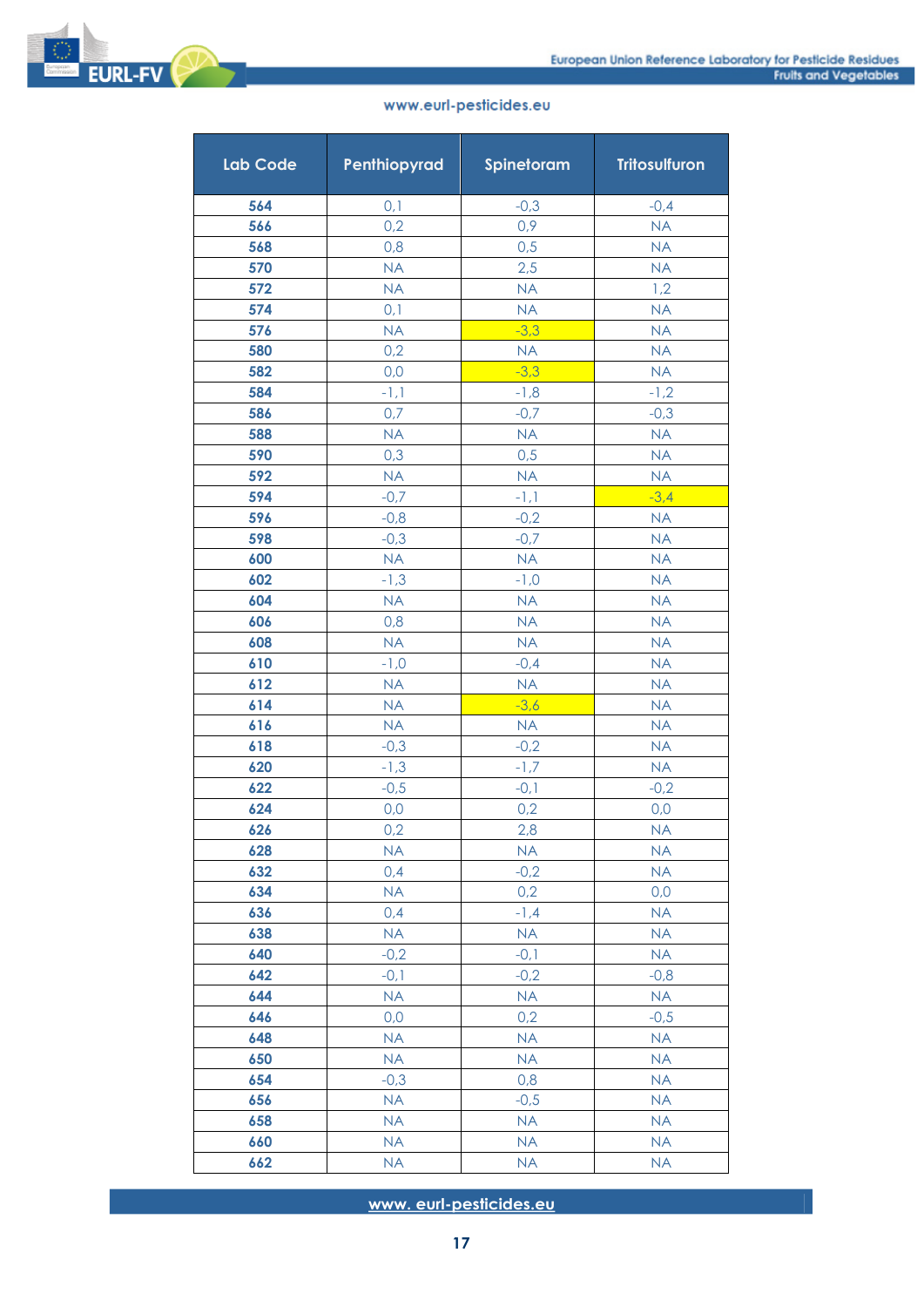

| <b>Lab Code</b> | Penthiopyrad        | Spinetoram       | <b>Tritosulfuron</b>   |
|-----------------|---------------------|------------------|------------------------|
| 564             | 0,1                 | $-0,3$           | $-0,4$                 |
| 566             | 0,2                 | 0,9              | <b>NA</b>              |
| 568             | 0,8                 | 0,5              | <b>NA</b>              |
| 570             | <b>NA</b>           | 2,5              | <b>NA</b>              |
| 572             | <b>NA</b>           | <b>NA</b>        | 1,2                    |
| 574             | 0,1                 | <b>NA</b>        | <b>NA</b>              |
| 576             | <b>NA</b>           | $-3,3$           | <b>NA</b>              |
| 580             | 0,2                 | <b>NA</b>        | <b>NA</b>              |
| 582             | 0,0                 | $-3,3$           | <b>NA</b>              |
| 584             | $-1,1$              | $-1,8$           | $-1,2$                 |
| 586             | 0,7                 | $-0,7$           | $-0,3$                 |
| 588             | <b>NA</b>           | <b>NA</b>        | <b>NA</b>              |
| 590             | 0,3                 | 0,5              | <b>NA</b>              |
| 592             | <b>NA</b>           | <b>NA</b>        | <b>NA</b>              |
| 594             | $-0,7$              | $-1,1$           | $-3,4$                 |
| 596             | $-0,8$              | $-0,2$           | <b>NA</b>              |
| 598             | $-0,3$              | $-0,7$           | <b>NA</b>              |
| 600             | <b>NA</b>           | <b>NA</b>        | <b>NA</b>              |
| 602             | $-1,3$              | $-1,0$           | <b>NA</b>              |
| 604             | <b>NA</b>           | <b>NA</b>        | <b>NA</b>              |
| 606             | 0,8                 | <b>NA</b>        | <b>NA</b>              |
| 608             | <b>NA</b>           | <b>NA</b>        | <b>NA</b>              |
| 610             | $-1,0$              | $-0,4$           | <b>NA</b>              |
| 612             | <b>NA</b>           | <b>NA</b>        | <b>NA</b>              |
| 614<br>616      | <b>NA</b>           | $-3,6$           | <b>NA</b><br><b>NA</b> |
| 618             | <b>NA</b><br>$-0,3$ | <b>NA</b>        | <b>NA</b>              |
| 620             | $-1,3$              | $-0,2$<br>$-1,7$ | <b>NA</b>              |
| 622             | $-0,5$              | $-0,1$           | $-0,2$                 |
| 624             | 0,0                 | 0,2              | 0,0                    |
| 626             | 0,2                 | 2,8              | <b>NA</b>              |
| 628             | <b>NA</b>           | <b>NA</b>        | <b>NA</b>              |
| 632             | 0,4                 | $-0,2$           | <b>NA</b>              |
| 634             | <b>NA</b>           | 0,2              | 0,0                    |
| 636             | 0,4                 | $-1, 4$          | <b>NA</b>              |
| 638             | <b>NA</b>           | <b>NA</b>        | <b>NA</b>              |
| 640             | $-0,2$              | $-0,1$           | <b>NA</b>              |
| 642             | $-0,1$              | $-0,2$           | $-0,8$                 |
| 644             | <b>NA</b>           | <b>NA</b>        | NA                     |
| 646             | 0,0                 | 0,2              | $-0,5$                 |
| 648             | <b>NA</b>           | <b>NA</b>        | <b>NA</b>              |
| 650             | <b>NA</b>           | <b>NA</b>        | <b>NA</b>              |
| 654             | $-0,3$              | 0,8              | <b>NA</b>              |
| 656             | <b>NA</b>           | $-0,5$           | <b>NA</b>              |
| 658             | <b>NA</b>           | <b>NA</b>        | <b>NA</b>              |
| 660             | <b>NA</b>           | <b>NA</b>        | <b>NA</b>              |
| 662             | <b>NA</b>           | <b>NA</b>        | <b>NA</b>              |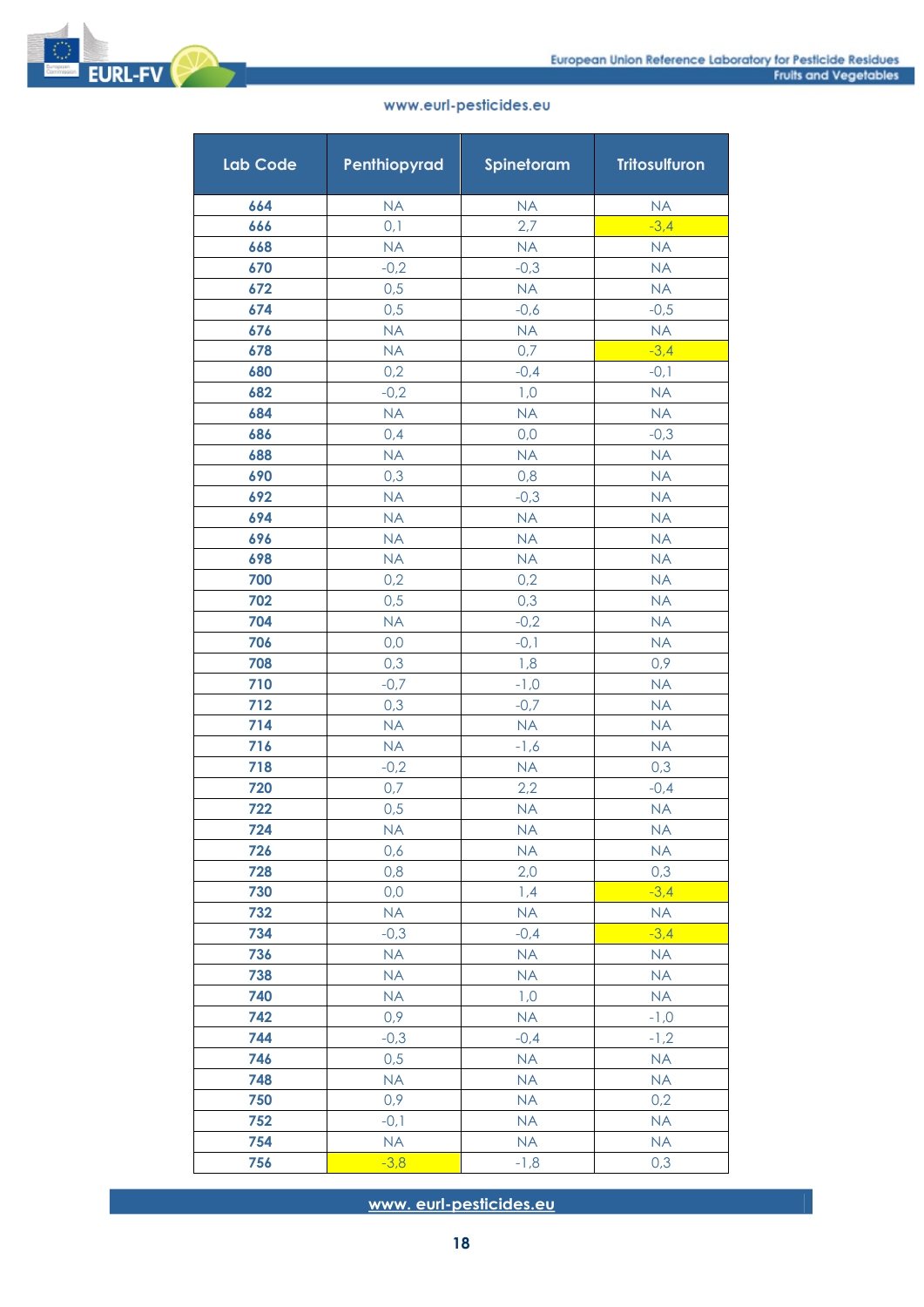

|  | www.eurl-pesticides.eu |
|--|------------------------|

| Lab Code   | Penthiopyrad  | Spinetoram          | <b>Tritosulfuron</b> |
|------------|---------------|---------------------|----------------------|
| 664        | <b>NA</b>     | <b>NA</b>           | <b>NA</b>            |
| 666        | 0,1           | 2,7                 | $-3,4$               |
| 668        | <b>NA</b>     | <b>NA</b>           | <b>NA</b>            |
| 670        | $-0,2$        | $-0,3$              | <b>NA</b>            |
| 672        | 0,5           | <b>NA</b>           | <b>NA</b>            |
| 674        | 0,5           | $-0,6$              | $-0,5$               |
| 676        | <b>NA</b>     | <b>NA</b>           | <b>NA</b>            |
| 678        | <b>NA</b>     | 0,7                 | $-3,4$               |
| 680        | 0,2           | $-0,4$              | $-0,1$               |
| 682        | $-0,2$        | 1,0                 | <b>NA</b>            |
| 684        | <b>NA</b>     | <b>NA</b>           | <b>NA</b>            |
| 686        | 0,4           | 0,0                 | $-0,3$               |
| 688        | <b>NA</b>     | <b>NA</b>           | <b>NA</b>            |
| 690        | 0,3           | 0,8                 | <b>NA</b>            |
| 692        | <b>NA</b>     | $-0,3$              | <b>NA</b>            |
| 694        | <b>NA</b>     | <b>NA</b>           | <b>NA</b>            |
| 696        | <b>NA</b>     | <b>NA</b>           | <b>NA</b>            |
| 698        | <b>NA</b>     | <b>NA</b>           | <b>NA</b>            |
| 700        | 0,2           | 0,2                 | <b>NA</b>            |
| 702        | 0,5           | 0,3                 | <b>NA</b>            |
| 704        | <b>NA</b>     | $-0,2$              | <b>NA</b>            |
| 706        | 0,0           | $-0,1$              | <b>NA</b>            |
| 708        | 0,3           | 1,8                 | 0,9                  |
| 710        | $-0,7$        | $-1,0$              | <b>NA</b>            |
| 712        | 0,3           | $-0,7$              | <b>NA</b>            |
| 714        | <b>NA</b>     | <b>NA</b>           | <b>NA</b>            |
| 716<br>718 | NA            | $-1,6$<br><b>NA</b> | <b>NA</b>            |
| 720        | $-0,2$<br>0,7 | 2,2                 | 0,3<br>$-0,4$        |
| 722        | 0,5           | <b>NA</b>           | <b>NA</b>            |
| 724        | <b>NA</b>     | <b>NA</b>           | <b>NA</b>            |
| 726        | 0,6           | <b>NA</b>           | <b>NA</b>            |
| 728        | 0,8           | 2,0                 | 0,3                  |
| 730        | 0,0           | 1,4                 | $-3,4$               |
| 732        | <b>NA</b>     | <b>NA</b>           | <b>NA</b>            |
| 734        | $-0,3$        | $-0,4$              | $-3,4$               |
| 736        | <b>NA</b>     | <b>NA</b>           | <b>NA</b>            |
| 738        | <b>NA</b>     | <b>NA</b>           | <b>NA</b>            |
| 740        | NA            | 1,0                 | <b>NA</b>            |
| 742        | 0,9           | NA                  | $-1,0$               |
| 744        | $-0,3$        | $-0,4$              | $-1,2$               |
| 746        | 0,5           | <b>NA</b>           | <b>NA</b>            |
| 748        | <b>NA</b>     | <b>NA</b>           | <b>NA</b>            |
| 750        | 0,9           | <b>NA</b>           | 0,2                  |
| 752        | $-0,1$        | <b>NA</b>           | <b>NA</b>            |
| 754        | NA            | <b>NA</b>           | <b>NA</b>            |
| 756        | $-3,8$        | $-1,8$              | 0,3                  |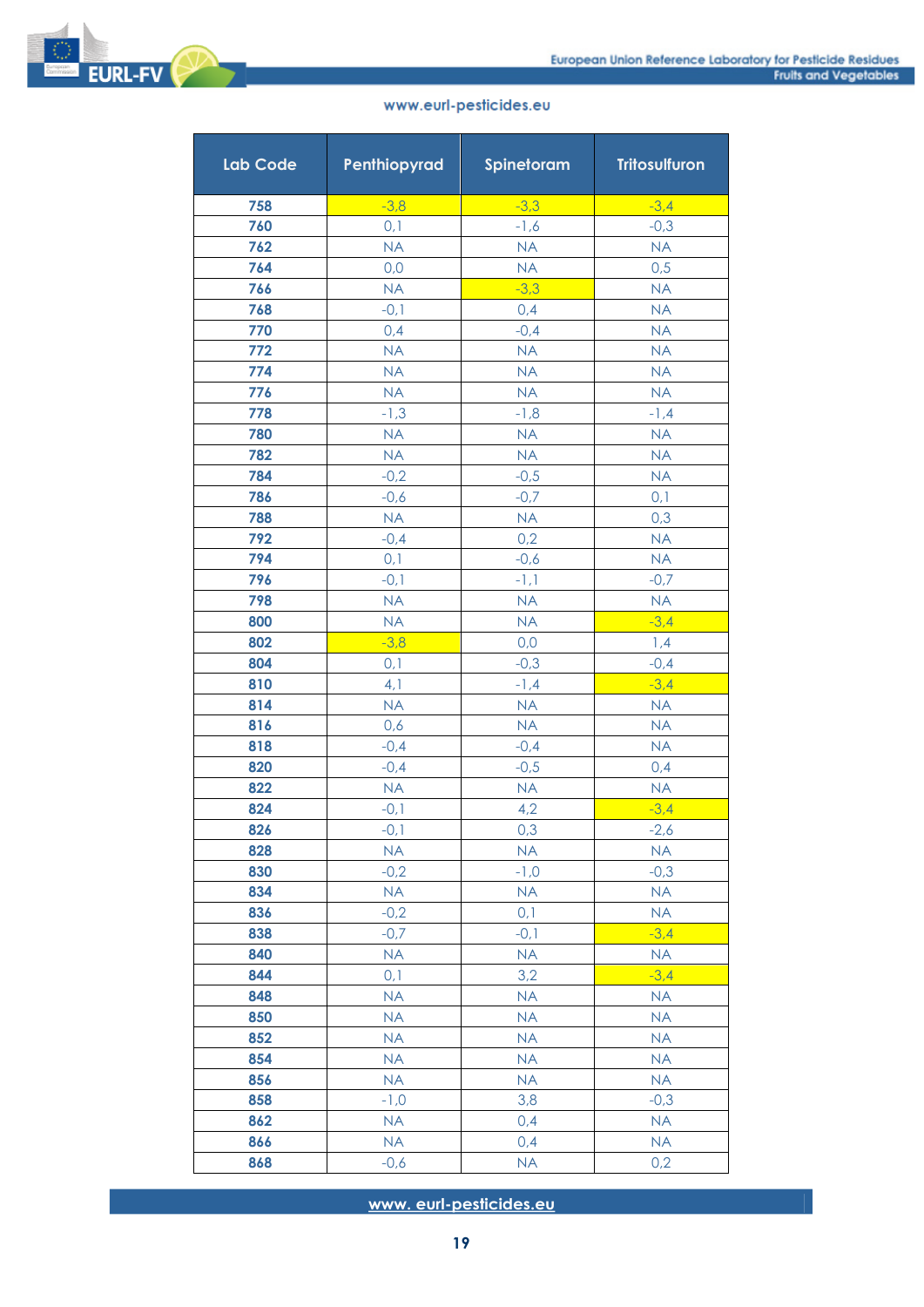

**EURL-FV** 

| <b>Lab Code</b> | Penthiopyrad        | Spinetoram       | <b>Tritosulfuron</b> |
|-----------------|---------------------|------------------|----------------------|
| 758             | $-3,8$              | $-3,3$           | $-3,4$               |
| 760             | 0,1                 | $-1,6$           | $-0,3$               |
| 762             | <b>NA</b>           | <b>NA</b>        | <b>NA</b>            |
| 764             | 0,0                 | <b>NA</b>        | 0,5                  |
| 766             | <b>NA</b>           | $-3,3$           | <b>NA</b>            |
| 768             | $-0,1$              | 0,4              | <b>NA</b>            |
| 770             | 0,4                 | $-0,4$           | <b>NA</b>            |
| 772             | <b>NA</b>           | <b>NA</b>        | <b>NA</b>            |
| 774             | <b>NA</b>           | NA               | <b>NA</b>            |
| 776             | <b>NA</b>           | <b>NA</b>        | <b>NA</b>            |
| 778             | $-1,3$              | $-1,8$           | $-1, 4$              |
| 780             | <b>NA</b>           | <b>NA</b>        | <b>NA</b>            |
| 782             | <b>NA</b>           | <b>NA</b>        | <b>NA</b>            |
| 784             | $-0,2$              | $-0,5$           | <b>NA</b>            |
| 786             | $-0,6$              | $-0,7$           | 0,1                  |
| 788             | <b>NA</b>           | <b>NA</b>        | 0,3                  |
| 792             | $-0,4$              | 0,2              | <b>NA</b>            |
| 794             | 0,1                 | $-0,6$           | <b>NA</b>            |
| 796             | $-0,1$              | $-1,1$           | $-0,7$               |
| 798             | <b>NA</b>           | <b>NA</b>        | <b>NA</b>            |
| 800             | <b>NA</b>           | <b>NA</b>        | $-3,4$               |
| 802             | $-3,8$              | 0,0              | 1,4                  |
| 804             | 0,1                 | $-0,3$           | $-0,4$               |
| 810             | 4,1                 | $-1,4$           | $-3,4$               |
| 814             | <b>NA</b>           | <b>NA</b>        | <b>NA</b>            |
| 816             | 0,6                 | <b>NA</b>        | <b>NA</b>            |
| 818             | $-0,4$              | $-0,4$           | <b>NA</b>            |
| 820             | $-0,4$              | $-0,5$           | 0,4                  |
| 822             | <b>NA</b>           | <b>NA</b>        | <b>NA</b>            |
| 824             | $-0,1$              | 4,2              | $-3,4$               |
| 826<br>828      | $-0,1$<br><b>NA</b> | 0,3<br><b>NA</b> | $-2,6$               |
| 830             | $-0,2$              | $-1,0$           | <b>NA</b><br>$-0,3$  |
| 834             |                     | <b>NA</b>        | <b>NA</b>            |
| 836             | <b>NA</b><br>$-0,2$ | 0,1              | <b>NA</b>            |
| 838             | $-0,7$              | $-0,1$           | $-3,4$               |
| 840             | NA                  | <b>NA</b>        | <b>NA</b>            |
| 844             | 0,1                 | 3,2              | $-3,4$               |
| 848             | <b>NA</b>           | <b>NA</b>        | <b>NA</b>            |
| 850             | <b>NA</b>           | <b>NA</b>        | <b>NA</b>            |
| 852             | <b>NA</b>           | <b>NA</b>        | <b>NA</b>            |
| 854             | <b>NA</b>           | <b>NA</b>        | <b>NA</b>            |
| 856             | <b>NA</b>           | <b>NA</b>        | <b>NA</b>            |
| 858             | $-1,0$              | 3,8              | $-0,3$               |
| 862             | NA                  | 0,4              | <b>NA</b>            |
| 866             | NA                  | 0,4              | <b>NA</b>            |
| 868             | $-0,6$              | <b>NA</b>        | 0,2                  |